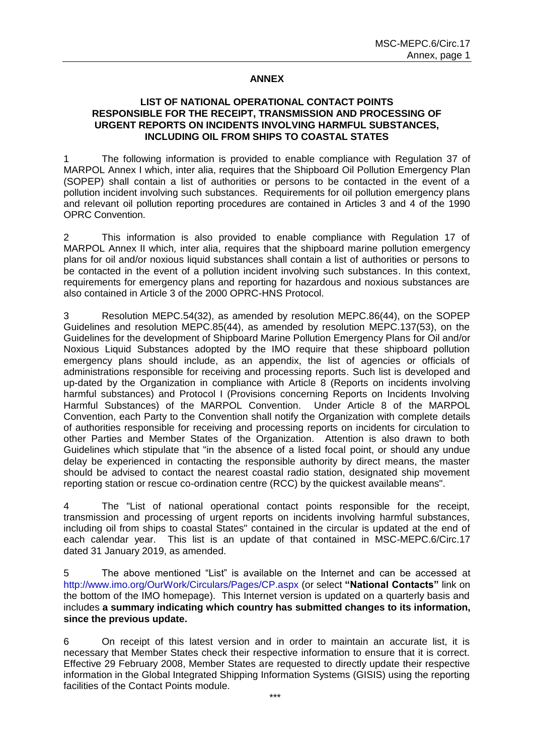## **ANNEX**

## **LIST OF NATIONAL OPERATIONAL CONTACT POINTS RESPONSIBLE FOR THE RECEIPT, TRANSMISSION AND PROCESSING OF URGENT REPORTS ON INCIDENTS INVOLVING HARMFUL SUBSTANCES, INCLUDING OIL FROM SHIPS TO COASTAL STATES**

1 The following information is provided to enable compliance with Regulation 37 of MARPOL Annex I which, inter alia, requires that the Shipboard Oil Pollution Emergency Plan (SOPEP) shall contain a list of authorities or persons to be contacted in the event of a pollution incident involving such substances. Requirements for oil pollution emergency plans and relevant oil pollution reporting procedures are contained in Articles 3 and 4 of the 1990 OPRC Convention.

2 This information is also provided to enable compliance with Regulation 17 of MARPOL Annex II which*,* inter alia, requires that the shipboard marine pollution emergency plans for oil and/or noxious liquid substances shall contain a list of authorities or persons to be contacted in the event of a pollution incident involving such substances. In this context, requirements for emergency plans and reporting for hazardous and noxious substances are also contained in Article 3 of the 2000 OPRC-HNS Protocol.

3 Resolution MEPC.54(32), as amended by resolution MEPC.86(44), on the SOPEP Guidelines and resolution MEPC.85(44), as amended by resolution MEPC.137(53), on the Guidelines for the development of Shipboard Marine Pollution Emergency Plans for Oil and/or Noxious Liquid Substances adopted by the IMO require that these shipboard pollution emergency plans should include, as an appendix, the list of agencies or officials of administrations responsible for receiving and processing reports. Such list is developed and up-dated by the Organization in compliance with Article 8 (Reports on incidents involving harmful substances) and Protocol I (Provisions concerning Reports on Incidents Involving Harmful Substances) of the MARPOL Convention. Under Article 8 of the MARPOL Convention, each Party to the Convention shall notify the Organization with complete details of authorities responsible for receiving and processing reports on incidents for circulation to other Parties and Member States of the Organization. Attention is also drawn to both Guidelines which stipulate that "in the absence of a listed focal point, or should any undue delay be experienced in contacting the responsible authority by direct means, the master should be advised to contact the nearest coastal radio station, designated ship movement reporting station or rescue co-ordination centre (RCC) by the quickest available means".

4 The "List of national operational contact points responsible for the receipt, transmission and processing of urgent reports on incidents involving harmful substances, including oil from ships to coastal States" contained in the circular is updated at the end of each calendar year. This list is an update of that contained in MSC-MEPC.6/Circ.17 dated 31 January 2019, as amended.

5 The above mentioned "List" is available on the Internet and can be accessed at http://www.imo.org/OurWork/Circulars/Pages/CP.aspx (or select **"National Contacts"** link on the bottom of the IMO homepage). This Internet version is updated on a quarterly basis and includes **a summary indicating which country has submitted changes to its information, since the previous update.**

6 On receipt of this latest version and in order to maintain an accurate list, it is necessary that Member States check their respective information to ensure that it is correct. Effective 29 February 2008, Member States are requested to directly update their respective information in the Global Integrated Shipping Information Systems (GISIS) using the reporting facilities of the Contact Points module.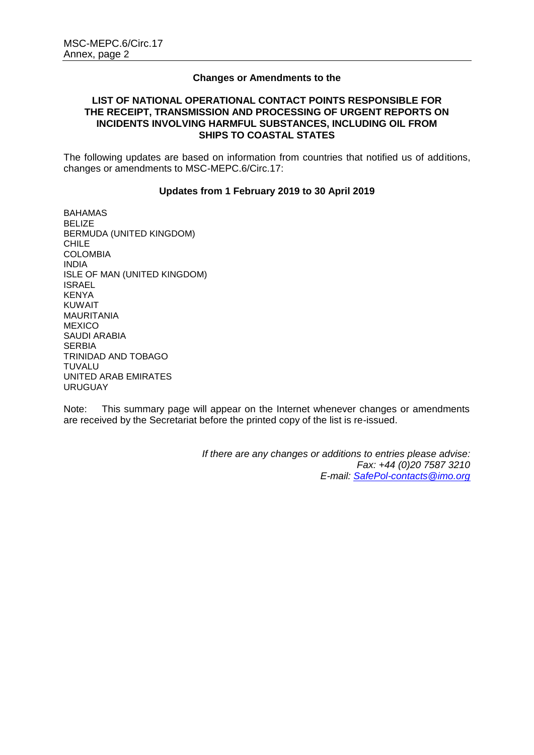## **Changes or Amendments to the**

## **LIST OF NATIONAL OPERATIONAL CONTACT POINTS RESPONSIBLE FOR THE RECEIPT, TRANSMISSION AND PROCESSING OF URGENT REPORTS ON INCIDENTS INVOLVING HARMFUL SUBSTANCES, INCLUDING OIL FROM SHIPS TO COASTAL STATES**

The following updates are based on information from countries that notified us of additions, changes or amendments to MSC-MEPC.6/Circ.17:

## **Updates from 1 February 2019 to 30 April 2019**

BAHAMAS BELIZE BERMUDA (UNITED KINGDOM) CHILE COLOMBIA INDIA ISLE OF MAN (UNITED KINGDOM) ISRAEL KENYA KUWAIT MAURITANIA MEXICO SAUDI ARABIA SERBIA TRINIDAD AND TOBAGO TUVALU UNITED ARAB EMIRATES URUGUAY

Note: This summary page will appear on the Internet whenever changes or amendments are received by the Secretariat before the printed copy of the list is re-issued.

> *If there are any changes or additions to entries please advise: Fax: +44 (0)20 7587 3210 E-mail: [SafePol-contacts@imo.org](mailto:SafePol-contacts@imo.org)*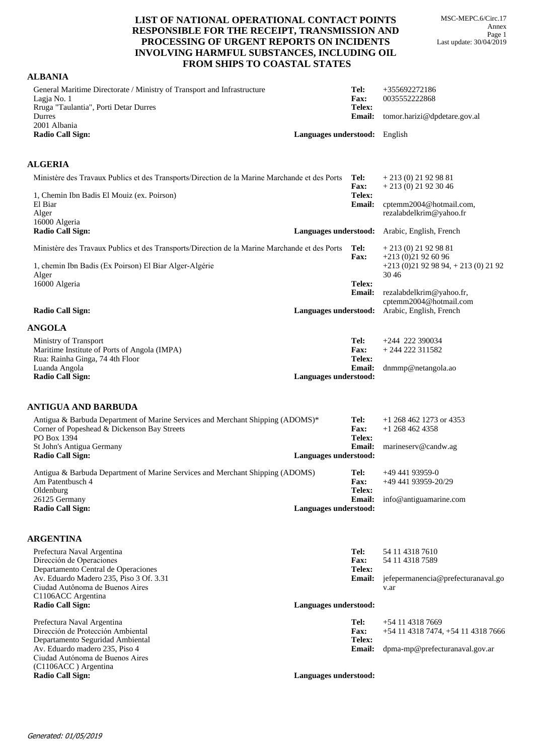MSC-MEPC.6/Circ.17 Annex Page 1 Last update: 30/04/2019

## **LIST OF NATIONAL OPERATIONAL CONTACT POINTS RESPONSIBLE FOR THE RECEIPT, TRANSMISSION AND PROCESSING OF URGENT REPORTS ON INCIDENTS INVOLVING HARMFUL SUBSTANCES, INCLUDING OIL FROM SHIPS TO COASTAL STATES**

| <b>ALBANIA</b>                                                                                                                               |                               |                               |                                                                         |
|----------------------------------------------------------------------------------------------------------------------------------------------|-------------------------------|-------------------------------|-------------------------------------------------------------------------|
| General Maritime Directorate / Ministry of Transport and Infrastructure<br>Lagja No. 1                                                       |                               | Tel:<br>Fax:                  | +355692272186<br>0035552222868                                          |
| Rruga "Taulantia", Porti Detar Durres<br>Durres                                                                                              |                               | Telex:<br><b>Email:</b>       | tomor.harizi@dpdetare.gov.al                                            |
| 2001 Albania<br><b>Radio Call Sign:</b>                                                                                                      | Languages understood: English |                               |                                                                         |
|                                                                                                                                              |                               |                               |                                                                         |
| <b>ALGERIA</b>                                                                                                                               |                               |                               |                                                                         |
| Ministère des Travaux Publics et des Transports/Direction de la Marine Marchande et des Ports                                                |                               | Tel:<br>Fax:                  | $+213(0)21929881$<br>$+213(0)21923046$                                  |
| 1, Chemin Ibn Badis El Mouiz (ex. Poirson)<br>El Biar                                                                                        |                               | Telex:<br>Email:              | cptemm2004@hotmail.com,                                                 |
| Alger                                                                                                                                        |                               |                               | rezalabdelkrim@yahoo.fr                                                 |
| 16000 Algeria<br><b>Radio Call Sign:</b>                                                                                                     | Languages understood:         |                               | Arabic, English, French                                                 |
| Ministère des Travaux Publics et des Transports/Direction de la Marine Marchande et des Ports                                                |                               | Tel:<br>Fax:                  | $+213(0)21929881$<br>$+213(0)21926096$                                  |
| 1, chemin Ibn Badis (Ex Poirson) El Biar Alger-Algérie                                                                                       |                               |                               | $+213(0)21929894$ , $+213(0)2192$                                       |
| Alger<br>16000 Algeria                                                                                                                       |                               | Telex:                        | 3046                                                                    |
|                                                                                                                                              |                               | <b>Email:</b>                 | rezalabdelkrim@yahoo.fr,                                                |
| <b>Radio Call Sign:</b>                                                                                                                      |                               |                               | cptemm2004@hotmail.com<br>Languages understood: Arabic, English, French |
| <b>ANGOLA</b>                                                                                                                                |                               |                               |                                                                         |
| Ministry of Transport                                                                                                                        |                               | Tel:                          | $+244$ 222 390034                                                       |
| Maritime Institute of Ports of Angola (IMPA)<br>Rua: Rainha Ginga, 74 4th Floor                                                              |                               | <b>Fax:</b><br>Telex:         | $+244222311582$                                                         |
| Luanda Angola                                                                                                                                |                               | <b>Email:</b>                 | dnmmp@netangola.ao                                                      |
| <b>Radio Call Sign:</b>                                                                                                                      | Languages understood:         |                               |                                                                         |
|                                                                                                                                              |                               |                               |                                                                         |
| ANTIGUA AND BARBUDA                                                                                                                          |                               |                               |                                                                         |
| Antigua & Barbuda Department of Marine Services and Merchant Shipping (ADOMS)*<br>Corner of Popeshead & Dickenson Bay Streets<br>PO Box 1394 |                               | Tel:<br><b>Fax:</b><br>Telex: | $+1$ 268 462 1273 or 4353<br>$+1$ 268 462 4358                          |
| St John's Antigua Germany                                                                                                                    |                               | <b>Email:</b>                 | marineserv@candw.ag                                                     |
| <b>Radio Call Sign:</b>                                                                                                                      | Languages understood:         |                               |                                                                         |
| Antigua & Barbuda Department of Marine Services and Merchant Shipping (ADOMS)                                                                |                               |                               | <b>Tel:</b> $+4944193959-0$                                             |
| Am Patentbusch 4                                                                                                                             |                               | <b>Fax:</b>                   | +49 441 93959-20/29                                                     |
| Oldenburg<br>26125 Germany                                                                                                                   |                               | Telex:<br><b>Email:</b>       | info@antiguamarine.com                                                  |
| <b>Radio Call Sign:</b>                                                                                                                      | Languages understood:         |                               |                                                                         |
| <b>ARGENTINA</b>                                                                                                                             |                               |                               |                                                                         |
|                                                                                                                                              |                               |                               |                                                                         |
| Prefectura Naval Argentina<br>Dirección de Operaciones                                                                                       |                               | Tel:<br><b>Fax:</b>           | 54 11 4318 7610<br>54 11 4318 7589                                      |
| Departamento Central de Operaciones                                                                                                          |                               | Telex:                        |                                                                         |
| Av. Eduardo Madero 235, Piso 3 Of. 3.31<br>Ciudad Autônoma de Buenos Aires                                                                   |                               | <b>Email:</b>                 | jefepermanencia@prefecturanaval.go<br>v.ar                              |
| C1106ACC Argentina                                                                                                                           |                               |                               |                                                                         |
| <b>Radio Call Sign:</b>                                                                                                                      | Languages understood:         |                               |                                                                         |
| Prefectura Naval Argentina<br>Dirección de Protección Ambiental                                                                              |                               | Tel:<br>Fax:                  | $+54$ 11 4318 7669<br>+54 11 4318 7474, +54 11 4318 7666                |
| Departamento Seguridad Ambiental                                                                                                             |                               | Telex:                        |                                                                         |
| Av. Eduardo madero 235, Piso 4                                                                                                               |                               | <b>Email:</b>                 | dpma-mp@prefecturanaval.gov.ar                                          |
| Ciudad Autónoma de Buenos Aires<br>(C1106ACC) Argentina                                                                                      |                               |                               |                                                                         |
| <b>Radio Call Sign:</b>                                                                                                                      | Languages understood:         |                               |                                                                         |
|                                                                                                                                              |                               |                               |                                                                         |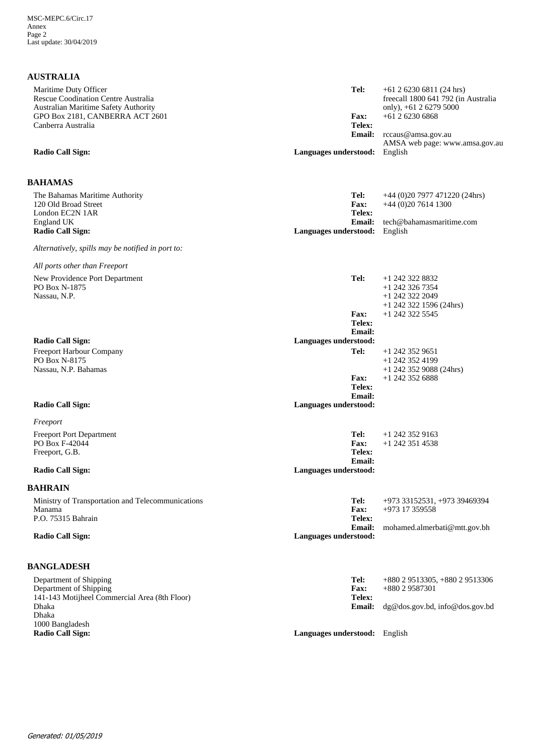| <b>AUSTRALIA</b>                                                                                     |                                        |                                                                                             |
|------------------------------------------------------------------------------------------------------|----------------------------------------|---------------------------------------------------------------------------------------------|
| Maritime Duty Officer<br>Rescue Coodination Centre Australia<br>Australian Maritime Safety Authority | Tel:                                   | $+61$ 2 6230 6811 (24 hrs)<br>freecall 1800 641 792 (in Australia<br>only), +61 2 6279 5000 |
| GPO Box 2181, CANBERRA ACT 2601<br>Canberra Australia                                                | <b>Fax:</b><br>Telex:                  | $+61$ 2 6230 6868                                                                           |
|                                                                                                      | <b>Email:</b>                          | rccaus@amsa.gov.au<br>AMSA web page: www.amsa.gov.au                                        |
| <b>Radio Call Sign:</b>                                                                              | Languages understood: English          |                                                                                             |
| <b>BAHAMAS</b>                                                                                       |                                        |                                                                                             |
| The Bahamas Maritime Authority<br>120 Old Broad Street<br>London EC2N 1AR                            | Tel:<br><b>Fax:</b><br>Telex:          | $+44$ (0)20 7977 471220 (24hrs)<br>$+44(0)2076141300$                                       |
| England UK<br><b>Radio Call Sign:</b>                                                                | <b>Email:</b><br>Languages understood: | tech@bahamasmaritime.com<br>English                                                         |
| Alternatively, spills may be notified in port to:                                                    |                                        |                                                                                             |
| All ports other than Freeport                                                                        |                                        |                                                                                             |
| New Providence Port Department<br>PO Box N-1875<br>Nassau, N.P.                                      | Tel:                                   | +1 242 322 8832<br>$+1$ 242 326 7354<br>+1 242 322 2049<br>$+1$ 242 322 1596 (24hrs)        |
|                                                                                                      | <b>Fax:</b><br>Telex:<br><b>Email:</b> | +1 242 322 5545                                                                             |
| <b>Radio Call Sign:</b>                                                                              | Languages understood:                  |                                                                                             |
| Freeport Harbour Company<br>PO Box N-8175<br>Nassau, N.P. Bahamas                                    | Tel:                                   | $+1$ 242 352 9651<br>+1 242 352 4199<br>$+1$ 242 352 9088 (24hrs)                           |
|                                                                                                      | <b>Fax:</b><br>Telex:<br><b>Email:</b> | +1 242 352 6888                                                                             |
| <b>Radio Call Sign:</b>                                                                              | Languages understood:                  |                                                                                             |
| Freeport                                                                                             |                                        |                                                                                             |
| <b>Freeport Port Department</b>                                                                      | Tel:                                   | $+1$ 242 352 9163                                                                           |
| PO Box F-42044<br>Freeport, G.B.                                                                     | <b>Fax:</b><br>Telex:                  | $+1$ 242 351 4538                                                                           |
| <b>Radio Call Sign:</b>                                                                              | <b>Email:</b><br>Languages understood: |                                                                                             |
| <b>BAHRAIN</b>                                                                                       |                                        |                                                                                             |
| Ministry of Transportation and Telecommunications<br>Manama                                          | Tel:<br>Fax:                           | +973 33152531, +973 39469394<br>$+973$ 17 359558                                            |
| P.O. 75315 Bahrain                                                                                   | Telex:<br><b>Email:</b>                | mohamed.almerbati@mtt.gov.bh                                                                |
| <b>Radio Call Sign:</b>                                                                              | Languages understood:                  |                                                                                             |
| <b>BANGLADESH</b>                                                                                    |                                        |                                                                                             |
| Department of Shipping                                                                               | Tel:                                   | $+88029513305, +88029513306$                                                                |
| Department of Shipping<br>141-143 Motijheel Commercial Area (8th Floor)                              | Fax:<br>Telex:                         | +880 2 9587301                                                                              |
| Dhaka<br>Dhaka<br>1000 Bangladesh                                                                    | <b>Email:</b>                          | dg@dos.gov.bd, info@dos.gov.bd                                                              |

**Languages understood:** English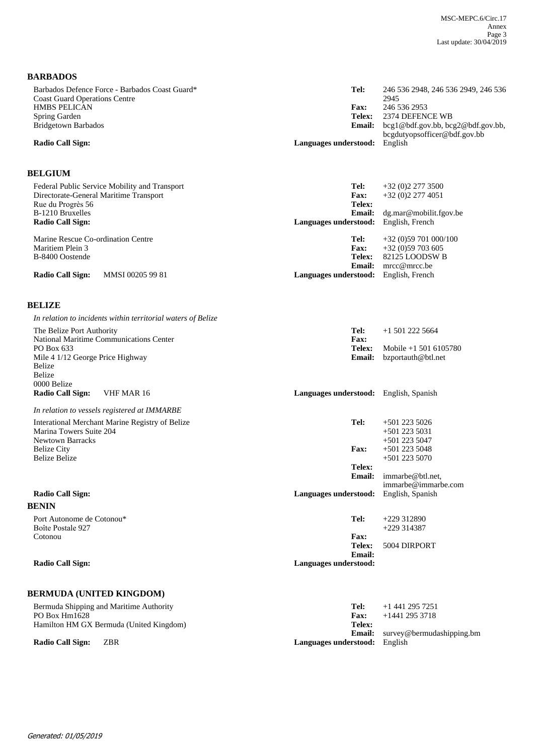**BARBADOS**

| Barbados Defence Force - Barbados Coast Guard*<br><b>Coast Guard Operations Centre</b> | Tel:                                 | 246 536 2948, 246 536 2949, 246 536<br>2945     |
|----------------------------------------------------------------------------------------|--------------------------------------|-------------------------------------------------|
| <b>HMBS PELICAN</b>                                                                    | <b>Fax:</b>                          | 246 536 2953                                    |
| Spring Garden                                                                          | Telex:                               | 2374 DEFENCE WB                                 |
| Bridgetown Barbados                                                                    |                                      | <b>Email:</b> bcg1@bdf.gov.bb, bcg2@bdf.gov.bb, |
|                                                                                        |                                      | bcgdutyopsofficer@bdf.gov.bb                    |
| Radio Call Sign:                                                                       | <b>Languages understood:</b> English |                                                 |
|                                                                                        |                                      |                                                 |

## **BELGIUM**

| Federal Public Service Mobility and Transport | Tel:                                         | $+32(0)22773500$       |
|-----------------------------------------------|----------------------------------------------|------------------------|
| Directorate-General Maritime Transport        | <b>Fax:</b>                                  | $+32(0)22774051$       |
| Rue du Progrès 56                             | Telex:                                       |                        |
| B-1210 Bruxelles                              | <b>Email:</b>                                | dg.max@mobilit.fgov.be |
| <b>Radio Call Sign:</b>                       | <b>Languages understood:</b> English, French |                        |
|                                               |                                              |                        |
|                                               |                                              |                        |
| Marine Rescue Co-ordination Centre            | Tel:                                         | $+32(0)59701000/100$   |
| Maritiem Plein 3                              | <b>Fax:</b>                                  | $+32(0)59703605$       |
| B-8400 Oostende                               | Telex:                                       | 82125 LOODSW B         |
|                                               | Email:                                       | $mrec@mrec$ .be        |

## **BELIZE**

| In relation to incidents within territorial waters of Belize         |                                        |                                         |
|----------------------------------------------------------------------|----------------------------------------|-----------------------------------------|
| The Belize Port Authority<br>National Maritime Communications Center | Tel:<br>Fax:                           | $+15012225664$                          |
| PO Box 633                                                           | Telex:                                 | Mobile $+1$ 501 6105780                 |
| Mile 4 1/12 George Price Highway<br>Belize                           | <b>Email:</b>                          | bzportauth@btl.net                      |
| <b>Belize</b>                                                        |                                        |                                         |
| 0000 Belize                                                          |                                        |                                         |
| <b>Radio Call Sign:</b><br>VHF MAR 16                                | Languages understood: English, Spanish |                                         |
| In relation to vessels registered at IMMARBE                         |                                        |                                         |
| Interational Merchant Marine Registry of Belize                      | Tel:                                   | $+501$ 223 5026                         |
| Marina Towers Suite 204                                              |                                        | $+501$ 223 5031                         |
| <b>Newtown Barracks</b>                                              |                                        | $+5012235047$                           |
| <b>Belize City</b><br><b>Belize Belize</b>                           | <b>Fax:</b>                            | $+5012235048$<br>$+501$ 223 5070        |
|                                                                      | Telex:                                 |                                         |
|                                                                      | Email:                                 | immarbe@btl.net.<br>immarbe@immarbe.com |
| <b>Radio Call Sign:</b>                                              | Languages understood:                  | English, Spanish                        |
| <b>BENIN</b>                                                         |                                        |                                         |
| Port Autonome de Cotonou*                                            | Tel:                                   | $+229312890$                            |
| Boîte Postale 927                                                    |                                        | $+229314387$                            |
| Cotonou                                                              | <b>Fax:</b>                            |                                         |
|                                                                      | Telex:<br>Email:                       | 5004 DIRPORT                            |
| <b>Radio Call Sign:</b>                                              | Languages understood:                  |                                         |
|                                                                      |                                        |                                         |
| <b>BERMUDA (UNITED KINGDOM)</b>                                      |                                        |                                         |
| Bermuda Shipping and Maritime Authority                              | Tel:                                   | $+1$ 441 295 7251                       |

|                                      | +1 441 293 7231                         |
|--------------------------------------|-----------------------------------------|
| Fax:                                 | +1441 295 3718                          |
| Telex:                               |                                         |
|                                      | <b>Email:</b> survey@bermudashipping.bm |
| <b>Languages understood:</b> English |                                         |
|                                      | Tel:                                    |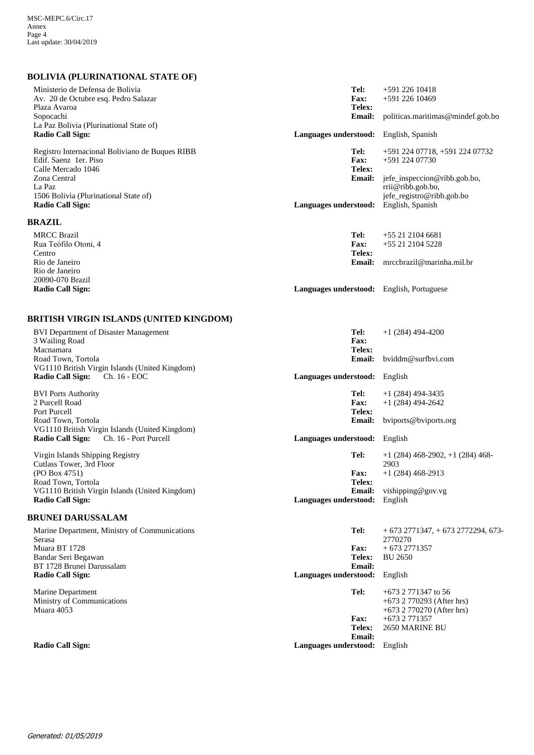## **BOLIVIA (PLURINATIONAL STATE OF)**

| Ministerio de Defensa de Bolivia<br>Av. 20 de Octubre esq. Pedro Salazar<br>Plaza Avaroa<br>Sopocachi<br>La Paz Bolivia (Plurinational State of)<br><b>Radio Call Sign:</b><br>Registro Internacional Boliviano de Buques RIBB<br>Edif. Saenz 1er. Piso | Tel:<br><b>Fax:</b><br>Telex:<br><b>Email:</b><br>Languages understood: English, Spanish<br>Tel:<br><b>Fax:</b> | $+591$ 226 10418<br>+591 226 10469<br>politicas.maritimas@mindef.gob.bo<br>+591 224 07718, +591 224 07732<br>+591 224 07730 |
|---------------------------------------------------------------------------------------------------------------------------------------------------------------------------------------------------------------------------------------------------------|-----------------------------------------------------------------------------------------------------------------|-----------------------------------------------------------------------------------------------------------------------------|
| Calle Mercado 1046<br>Zona Central<br>La Paz<br>1506 Bolivia (Plurinational State of)<br><b>Radio Call Sign:</b>                                                                                                                                        | Telex:<br><b>Email:</b><br>Languages understood:                                                                | jefe_inspeccion@ribb.gob.bo,<br>rrii@ribb.gob.bo,<br>jefe_registro@ribb.gob.bo<br>English, Spanish                          |
| <b>BRAZIL</b>                                                                                                                                                                                                                                           |                                                                                                                 |                                                                                                                             |
| <b>MRCC Brazil</b><br>Rua Teófilo Otoni, 4<br>Centro                                                                                                                                                                                                    | Tel:<br><b>Fax:</b><br>Telex:                                                                                   | +55 21 2104 6681<br>+55 21 2104 5228                                                                                        |
| Rio de Janeiro<br>Rio de Janeiro<br>20090-070 Brazil<br><b>Radio Call Sign:</b>                                                                                                                                                                         | <b>Email:</b><br>Languages understood: English, Portuguese                                                      | mrccbrazil@marinha.mil.br                                                                                                   |
|                                                                                                                                                                                                                                                         |                                                                                                                 |                                                                                                                             |
| <b>BRITISH VIRGIN ISLANDS (UNITED KINGDOM)</b>                                                                                                                                                                                                          |                                                                                                                 |                                                                                                                             |
| <b>BVI Department of Disaster Management</b><br>3 Wailing Road<br>Macnamara                                                                                                                                                                             | Tel:<br><b>Fax:</b><br>Telex:                                                                                   | $+1(284)$ 494-4200                                                                                                          |
| Road Town, Tortola<br>VG1110 British Virgin Islands (United Kingdom)<br>Ch. 16 - EOC<br><b>Radio Call Sign:</b>                                                                                                                                         | <b>Email:</b><br>Languages understood: English                                                                  | bviddm@surfbvi.com                                                                                                          |
|                                                                                                                                                                                                                                                         | Tel:                                                                                                            | $+1(284)$ 494-3435                                                                                                          |
| <b>BVI Ports Authority</b><br>2 Purcell Road<br>Port Purcell                                                                                                                                                                                            | <b>Fax:</b><br>Telex:                                                                                           | $+1(284)$ 494-2642                                                                                                          |
| Road Town, Tortola<br>VG1110 British Virgin Islands (United Kingdom)                                                                                                                                                                                    | <b>Email:</b>                                                                                                   | bviports@bviports.org                                                                                                       |
| <b>Radio Call Sign:</b><br>Ch. 16 - Port Purcell                                                                                                                                                                                                        | Languages understood: English                                                                                   |                                                                                                                             |
| Virgin Islands Shipping Registry<br>Cutlass Tower, 3rd Floor                                                                                                                                                                                            | Tel:                                                                                                            | $+1$ (284) 468-2902, $+1$ (284) 468-<br>2903                                                                                |
| (PO Box 4751)<br>Road Town, Tortola<br>VG1110 British Virgin Islands (United Kingdom)                                                                                                                                                                   | <b>Fax:</b><br>Telex:                                                                                           | $+1(284)468-2913$<br><b>Email:</b> vishipping@gov.vg                                                                        |
| <b>Radio Call Sign:</b>                                                                                                                                                                                                                                 | Languages understood: English                                                                                   |                                                                                                                             |
| <b>BRUNEI DARUSSALAM</b>                                                                                                                                                                                                                                |                                                                                                                 |                                                                                                                             |
| Marine Department, Ministry of Communications<br>Serasa                                                                                                                                                                                                 | Tel:                                                                                                            | $+6732771347$ , $+6732772294$ , 673<br>2770270                                                                              |
| Muara BT 1728<br>Bandar Seri Begawan                                                                                                                                                                                                                    | Fax:<br>Telex:                                                                                                  | $+6732771357$<br><b>BU 2650</b>                                                                                             |
| BT 1728 Brunei Darussalam<br><b>Radio Call Sign:</b>                                                                                                                                                                                                    | <b>Email:</b><br>Languages understood:                                                                          | English                                                                                                                     |
| Marine Department<br>Ministry of Communications<br>Muara 4053                                                                                                                                                                                           | Tel:                                                                                                            | $+673$ 2 771347 to 56<br>$+673$ 2 770293 (After hrs)<br>$+673$ 2 770270 (After hrs)                                         |
|                                                                                                                                                                                                                                                         | <b>Fax:</b><br>Telex:                                                                                           | +673 2 771357<br>2650 MARINE BU                                                                                             |
| <b>Radio Call Sign:</b>                                                                                                                                                                                                                                 | <b>Email:</b><br>Languages understood:                                                                          | English                                                                                                                     |
|                                                                                                                                                                                                                                                         |                                                                                                                 |                                                                                                                             |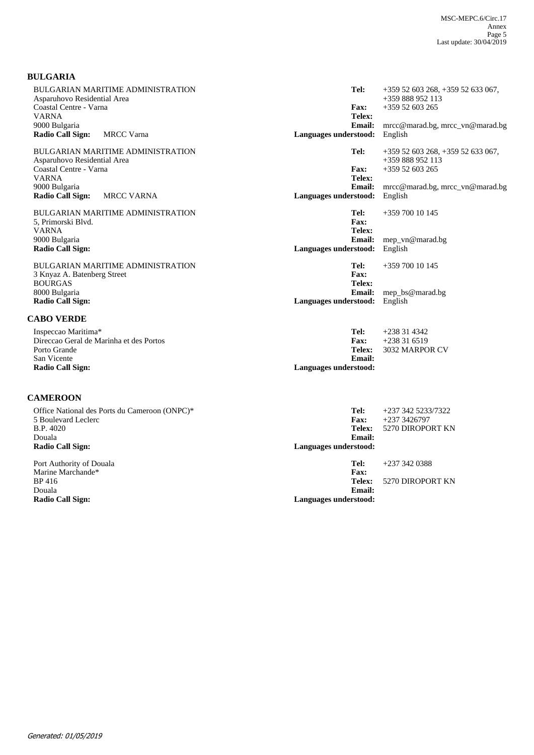## **BULGARIA**

| BULGARIAN MARITIME ADMINISTRATION<br>Asparuhovo Residential Area<br>Coastal Centre - Varna<br><b>VARNA</b>                  | Tel:<br>$+35952603268, +35952633067,$<br>$+359888952113$<br>Fax:<br>$+359$ 52 603 265<br>Telex:                                                                                     |
|-----------------------------------------------------------------------------------------------------------------------------|-------------------------------------------------------------------------------------------------------------------------------------------------------------------------------------|
| 9000 Bulgaria<br>Radio Call Sign:<br><b>MRCC</b> Varna                                                                      | <b>Email:</b><br>$\text{mrec@marad.bg, mrec\_vn@marad.bg}$<br>Languages understood:<br>English                                                                                      |
| BULGARIAN MARITIME ADMINISTRATION<br>Asparuhovo Residential Area<br>Coastal Centre - Varna<br><b>VARNA</b><br>9000 Bulgaria | Tel:<br>$+35952603268, +35952633067,$<br>+359 888 952 113<br>Fax:<br>$+359$ 52 603 265<br>Telex:<br><b>Email:</b><br>$\text{mrec}@\text{marad.bg}, \text{mrec\_vn}@\text{marad.bg}$ |
| <b>Radio Call Sign:</b><br><b>MRCC VARNA</b>                                                                                | Languages understood:<br>English                                                                                                                                                    |
| <b>BULGARIAN MARITIME ADMINISTRATION</b><br>5, Primorski Blvd.<br><b>VARNA</b>                                              | Tel:<br>$+35970010145$<br>Fax:<br>Telex:                                                                                                                                            |
| 9000 Bulgaria<br><b>Radio Call Sign:</b>                                                                                    | <b>Email:</b><br>mep_vn@marad.bg<br>English<br>Languages understood:                                                                                                                |
| <b>BULGARIAN MARITIME ADMINISTRATION</b><br>3 Knyaz A. Batenberg Street<br><b>BOURGAS</b>                                   | Tel:<br>$+35970010145$<br>Fax:<br>Telex:                                                                                                                                            |
| 8000 Bulgaria<br><b>Radio Call Sign:</b>                                                                                    | <b>Email:</b><br>mep_bs@marad.bg<br>Languages understood:<br>English                                                                                                                |
| <b>CABO VERDE</b>                                                                                                           |                                                                                                                                                                                     |
| Inspeccao Maritima*<br>Direccao Geral de Marinha et des Portos<br>Porto Grande<br>San Vicente                               | Tel:<br>$+238314342$<br>$+238316519$<br><b>Fax:</b><br>Telex:<br>3032 MARPOR CV<br>Email:                                                                                           |
| <b>Radio Call Sign:</b>                                                                                                     | Languages understood:                                                                                                                                                               |

# **CAMEROON**

| Office National des Ports du Cameroon (ONPC)*<br>5 Boulevard Leclerc<br>B.P. 4020<br>Douala<br><b>Radio Call Sign:</b> | Tel:<br><b>Fax:</b><br>Telex:<br>Email:<br>Languages understood: | +237 342 5233/7322<br>$+2373426797$<br>5270 DIROPORT KN |
|------------------------------------------------------------------------------------------------------------------------|------------------------------------------------------------------|---------------------------------------------------------|
| Port Authority of Douala<br>Marine Marchande*<br>BP 416<br>Douala<br>Radio Call Sign:                                  | Tel:<br><b>Fax:</b><br>Telex:<br>Email:<br>Languages understood: | $+2373420388$<br>5270 DIROPORT KN                       |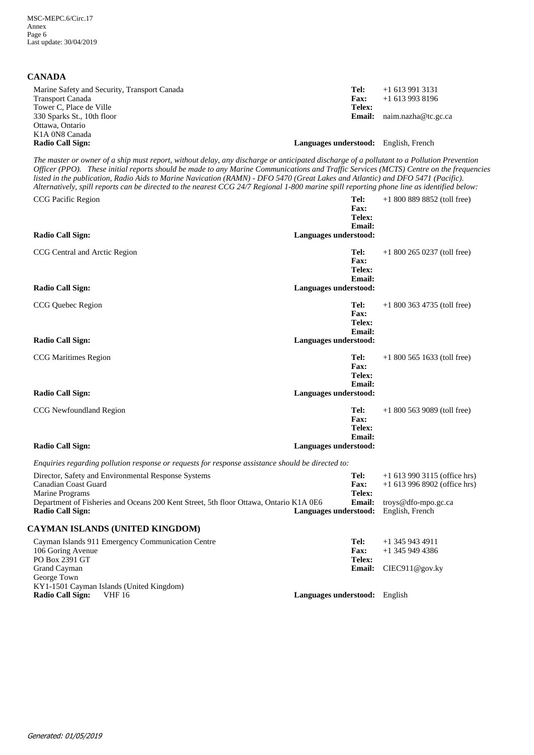## **CANADA**

| Marine Safety and Security, Transport Canada<br><b>Transport Canada</b> | Tel:<br><b>Fax:</b>                   | $+16139913131$<br>$+16139938196$    |
|-------------------------------------------------------------------------|---------------------------------------|-------------------------------------|
| Tower C, Place de Ville                                                 | Telex:                                |                                     |
| 330 Sparks St., 10th floor                                              |                                       | <b>Email:</b> $naim.nazha@tc.gc.ca$ |
| Ottawa, Ontario                                                         |                                       |                                     |
| K <sub>1</sub> A 0N <sub>8</sub> Canada                                 |                                       |                                     |
| <b>Radio Call Sign:</b>                                                 | Languages understood: English, French |                                     |

*The master or owner of a ship must report, without delay, any discharge or anticipated discharge of a pollutant to a Pollution Prevention Officer (PPO). These initial reports should be made to any Marine Communications and Traffic Services (MCTS) Centre on the frequencies listed in the publication, Radio Aids to Marine Navication (RAMN) - DFO 5470 (Great Lakes and Atlantic) and DFO 5471 (Pacific). Alternatively, spill reports can be directed to the nearest CCG 24/7 Regional 1-800 marine spill reporting phone line as identified below:*

| CCG Pacific Region                                                                                                                                                                                                                                                                                                             | Tel:<br>Fax:<br>Telex:<br><b>Email:</b>                                 | $+18008898852$ (toll free)                                                                                 |
|--------------------------------------------------------------------------------------------------------------------------------------------------------------------------------------------------------------------------------------------------------------------------------------------------------------------------------|-------------------------------------------------------------------------|------------------------------------------------------------------------------------------------------------|
| <b>Radio Call Sign:</b>                                                                                                                                                                                                                                                                                                        | Languages understood:                                                   |                                                                                                            |
| CCG Central and Arctic Region<br><b>Radio Call Sign:</b>                                                                                                                                                                                                                                                                       | Tel:<br><b>Fax:</b><br>Telex:<br><b>Email:</b><br>Languages understood: | $+18002650237$ (toll free)                                                                                 |
| CCG Quebec Region<br><b>Radio Call Sign:</b>                                                                                                                                                                                                                                                                                   | Tel:<br><b>Fax:</b><br>Telex:<br><b>Email:</b><br>Languages understood: | $+18003634735$ (toll free)                                                                                 |
| <b>CCG</b> Maritimes Region<br><b>Radio Call Sign:</b>                                                                                                                                                                                                                                                                         | Tel:<br>Fax:<br>Telex:<br>Email:<br>Languages understood:               | $+18005651633$ (toll free)                                                                                 |
| CCG Newfoundland Region                                                                                                                                                                                                                                                                                                        | Tel:<br><b>Fax:</b><br>Telex:<br><b>Email:</b>                          | $+18005639089$ (toll free)                                                                                 |
| <b>Radio Call Sign:</b>                                                                                                                                                                                                                                                                                                        | Languages understood:                                                   |                                                                                                            |
| Enquiries regarding pollution response or requests for response assistance should be directed to:<br>Director, Safety and Environmental Response Systems<br><b>Canadian Coast Guard</b><br>Marine Programs<br>Department of Fisheries and Oceans 200 Kent Street, 5th floor Ottawa, Ontario K1A 0E6<br><b>Radio Call Sign:</b> | Tel:<br><b>Fax:</b><br>Telex:<br>Email:<br>Languages understood:        | $+1$ 613 990 3115 (office hrs)<br>$+1$ 613 996 8902 (office hrs)<br>troys@dfo-mpo.gc.ca<br>English, French |
| CAYMAN ISLANDS (UNITED KINGDOM)                                                                                                                                                                                                                                                                                                |                                                                         |                                                                                                            |
| Cayman Islands 911 Emergency Communication Centre<br>106 Goring Avenue<br>PO Box 2391 GT<br>Grand Cayman                                                                                                                                                                                                                       | Tel:<br>Fax:<br>Telex:<br><b>Email:</b>                                 | $+1$ 345 943 4911<br>$+1$ 345 949 4386<br>CIEC911@gov.ky                                                   |
| George Town<br>KY1-1501 Cayman Islands (United Kingdom)<br><b>Radio Call Sign:</b><br><b>VHF 16</b>                                                                                                                                                                                                                            | Languages understood: English                                           |                                                                                                            |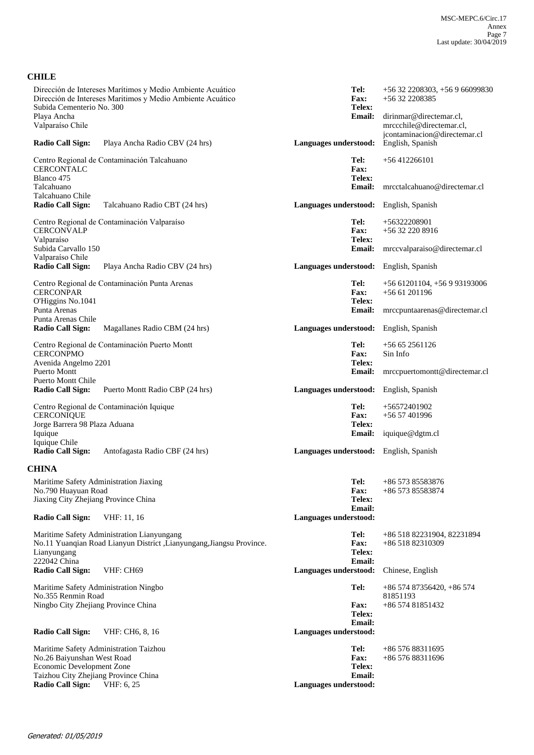## **CHILE**

| Subida Cementerio No. 300                                            | Dirección de Intereses Marítimos y Medio Ambiente Acuático<br>Dirección de Intereses Maritimos y Medio Ambiente Acuático | Tel:<br>Fax:<br>Telex:                 | $+56$ 32 2208303, $+56$ 9 66099830<br>+56 32 2208385                                |
|----------------------------------------------------------------------|--------------------------------------------------------------------------------------------------------------------------|----------------------------------------|-------------------------------------------------------------------------------------|
| Playa Ancha<br>Valparaíso Chile                                      |                                                                                                                          | <b>Email:</b>                          | dirinmar@directemar.cl.<br>mrccchile@directemar.cl,<br>jcontaminacion@directemar.cl |
| <b>Radio Call Sign:</b>                                              | Playa Ancha Radio CBV (24 hrs)                                                                                           | Languages understood:                  | English, Spanish                                                                    |
| <b>CERCONTALC</b><br>Blanco 475                                      | Centro Regional de Contaminación Talcahuano                                                                              | Tel:<br>Fax:<br>Telex:                 | $+56412266101$                                                                      |
| Talcahuano<br>Talcahuano Chile                                       |                                                                                                                          | Email:                                 | mrcctalcahuano@directemar.cl                                                        |
| <b>Radio Call Sign:</b>                                              | Talcahuano Radio CBT (24 hrs)                                                                                            | Languages understood:                  | English, Spanish                                                                    |
| <b>CERCONVALP</b><br>Valparaíso                                      | Centro Regional de Contaminación Valparaíso                                                                              | Tel:<br>Fax:<br>Telex:                 | +56322208901<br>+56 32 220 8916                                                     |
| Subida Carvallo 150<br>Valparaíso Chile                              |                                                                                                                          | <b>Email:</b>                          | mrccvalparaiso@directemar.cl                                                        |
| <b>Radio Call Sign:</b>                                              | Playa Ancha Radio CBV (24 hrs)                                                                                           | Languages understood:                  | English, Spanish                                                                    |
| <b>CERCONPAR</b><br>O'Higgins No.1041                                | Centro Regional de Contaminación Punta Arenas                                                                            | Tel:<br><b>Fax:</b><br>Telex:          | +56 61201104, +56 9 93193006<br>$+5661201196$                                       |
| Punta Arenas<br>Punta Arenas Chile                                   |                                                                                                                          | Email:                                 | mrccpuntaarenas@directemar.cl                                                       |
| <b>Radio Call Sign:</b>                                              | Magallanes Radio CBM (24 hrs)                                                                                            | Languages understood:                  | English, Spanish                                                                    |
|                                                                      | Centro Regional de Contaminación Puerto Montt                                                                            | Tel:                                   | $+56652561126$                                                                      |
| <b>CERCONPMO</b><br>Avenida Angelmo 2201<br><b>Puerto Montt</b>      |                                                                                                                          | Fax:<br>Telex:<br><b>Email:</b>        | Sin Info<br>mrccpuertomontt@directemar.cl                                           |
| <b>Puerto Montt Chile</b><br>Radio Call Sign:                        | Puerto Montt Radio CBP (24 hrs)                                                                                          | Languages understood:                  | English, Spanish                                                                    |
|                                                                      | Centro Regional de Contaminación Iquique                                                                                 | Tel:                                   | $+56572401902$                                                                      |
| <b>CERCONIQUE</b><br>Jorge Barrera 98 Plaza Aduana<br>Iquique        |                                                                                                                          | <b>Fax:</b><br>Telex:<br>Email:        | $+5657401996$<br>iquique@dgtm.cl                                                    |
| Iquique Chile<br><b>Radio Call Sign:</b>                             | Antofagasta Radio CBF (24 hrs)                                                                                           | Languages understood: English, Spanish |                                                                                     |
| <b>CHINA</b>                                                         |                                                                                                                          |                                        |                                                                                     |
| Maritime Safety Administration Jiaxing                               |                                                                                                                          | Tel:                                   | $+8657385583876$                                                                    |
| No.790 Huayuan Road<br>Jiaxing City Zhejiang Province China          |                                                                                                                          | Fax:<br>Telex:                         | +86 573 85583874                                                                    |
| <b>Radio Call Sign:</b>                                              | VHF: 11, 16                                                                                                              | Email:<br>Languages understood:        |                                                                                     |
| Lianyungang<br>222042 China                                          | Maritime Safety Administration Lianyungang<br>No.11 Yuangian Road Lianyun District ,Lianyungang,Jiangsu Province.        | Tel:<br>Fax:<br>Telex:<br>Email:       | +86 518 82231904, 82231894<br>+86 518 82310309                                      |
| <b>Radio Call Sign:</b>                                              | VHF: CH69                                                                                                                | Languages understood:                  | Chinese, English                                                                    |
| Maritime Safety Administration Ningbo                                |                                                                                                                          | Tel:                                   | $+8657487356420 + 86574$                                                            |
| No.355 Renmin Road<br>Ningbo City Zhejiang Province China            |                                                                                                                          | <b>Fax:</b><br>Telex:<br>Email:        | 81851193<br>+86 574 81851432                                                        |
| <b>Radio Call Sign:</b>                                              | VHF: CH6, 8, 16                                                                                                          | Languages understood:                  |                                                                                     |
| Maritime Safety Administration Taizhou<br>No.26 Baiyunshan West Road |                                                                                                                          | Tel:<br>Fax:                           | +86 576 88311695<br>+86 576 88311696                                                |
| Economic Development Zone                                            |                                                                                                                          | Telex:                                 |                                                                                     |
| Taizhou City Zhejiang Province China<br><b>Radio Call Sign:</b>      | VHF: 6, 25                                                                                                               | Email:<br>Languages understood:        |                                                                                     |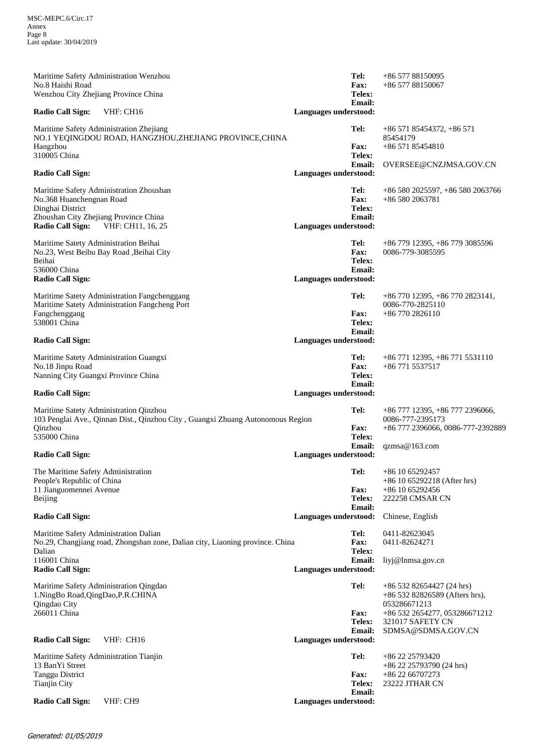| Maritime Safety Administration Wenzhou<br>No.8 Haishi Road<br>Wenzhou City Zhejiang Province China                                                                               | Tel:<br><b>Fax:</b><br>Telex:<br><b>Email:</b>                                 | +86 577 88150095<br>+86 577 88150067                                                                      |
|----------------------------------------------------------------------------------------------------------------------------------------------------------------------------------|--------------------------------------------------------------------------------|-----------------------------------------------------------------------------------------------------------|
| VHF: CH16<br><b>Radio Call Sign:</b>                                                                                                                                             | Languages understood:                                                          |                                                                                                           |
| Maritime Safety Administration Zhejiang<br>NO.1 YEQINGDOU ROAD, HANGZHOU,ZHEJIANG PROVINCE,CHINA<br>Hangzhou<br>310005 China<br><b>Radio Call Sign:</b>                          | Tel:<br><b>Fax:</b><br>Telex:<br><b>Email:</b><br>Languages understood:        | $+86\,571\,85454372, +86\,571$<br>85454179<br>+86 571 85454810<br>OVERSEE@CNZJMSA.GOV.CN                  |
|                                                                                                                                                                                  |                                                                                |                                                                                                           |
| Maritime Safety Administration Zhoushan<br>No.368 Huanchengnan Road<br>Dinghai District<br>Zhoushan City Zhejiang Province China<br><b>Radio Call Sign:</b><br>VHF: CH11, 16, 25 | Tel:<br><b>Fax:</b><br><b>Telex:</b><br><b>Email:</b><br>Languages understood: | +86 580 2025597, +86 580 2063766<br>+86 580 2063781                                                       |
| Maritime Satety Administration Beihai<br>No.23, West Beibu Bay Road , Beihai City<br>Beihai<br>536000 China<br><b>Radio Call Sign:</b>                                           | Tel:<br>Fax:<br>Telex:<br><b>Email:</b><br>Languages understood:               | $+86\,779\,12395, +86\,779\,3085596$<br>0086-779-3085595                                                  |
| Maritime Satety Administration Fangchenggang<br>Maritime Satety Administration Fangcheng Port<br>Fangchenggang<br>538001 China                                                   | Tel:<br><b>Fax:</b><br>Telex:<br><b>Email:</b>                                 | $+8677012395, +867702823141,$<br>0086-770-2825110<br>$+867702826110$                                      |
| <b>Radio Call Sign:</b>                                                                                                                                                          | Languages understood:                                                          |                                                                                                           |
| Maritime Satety Administration Guangxi<br>No.18 Jinpu Road<br>Nanning City Guangxi Province China                                                                                | Tel:<br>Fax:<br>Telex:<br><b>Email:</b>                                        | +86 771 12395, +86 771 5531110<br>+86 771 5537517                                                         |
| <b>Radio Call Sign:</b>                                                                                                                                                          |                                                                                |                                                                                                           |
|                                                                                                                                                                                  | Languages understood:                                                          |                                                                                                           |
| Maritime Satety Administration Qinzhou<br>103 Penglai Ave., Qinnan Dist., Qinzhou City, Guangxi Zhuang Autonomous Region<br>Qinzhou<br>535000 China                              | Tel:<br><b>Fax:</b><br>Telex:<br><b>Email:</b>                                 | +86 777 12395, +86 777 2396066,<br>0086-777-2395173<br>+86 777 2396066, 0086-777-2392889<br>qzmsa@163.com |
| <b>Radio Call Sign:</b>                                                                                                                                                          | Languages understood:                                                          |                                                                                                           |
| The Maritime Safety Administration<br>People's Republic of China<br>11 Jianguomennei Avenue<br>Beijing                                                                           | Tel:<br>Fax:<br>Telex:<br>Email:                                               | +86 10 65292457<br>+86 10 65292218 (After hrs)<br>+86 10 65292456<br>222258 CMSAR CN                      |
| <b>Radio Call Sign:</b>                                                                                                                                                          | Languages understood:                                                          | Chinese, English                                                                                          |
| Maritime Safety Administration Dalian<br>No.29, Changjiang road, Zhongshan zone, Dalian city, Liaoning province. China<br>Dalian                                                 | Tel:<br>Fax:<br>Telex:                                                         | 0411-82623045<br>0411-82624271                                                                            |
| 116001 China<br><b>Radio Call Sign:</b>                                                                                                                                          | <b>Email:</b><br>Languages understood:                                         | liyj@lnmsa.gov.cn                                                                                         |
| Maritime Safety Administration Qingdao<br>1.NingBo Road, QingDao, P.R.CHINA                                                                                                      | Tel:                                                                           | $+86$ 532 82654427 (24 hrs)<br>$+8653282826589$ (Afters hrs),<br>053286671213                             |
| Qingdao City<br>266011 China                                                                                                                                                     | <b>Fax:</b><br>Telex:<br>Email:                                                | +86 532 2654277, 053286671212<br>321017 SAFETY CN<br>SDMSA@SDMSA.GOV.CN                                   |
| <b>Radio Call Sign:</b><br>VHF: CH16                                                                                                                                             | Languages understood:                                                          |                                                                                                           |
| Maritime Safety Administration Tianjin<br>13 BanYi Street<br><b>Tanggu District</b><br><b>Tianjin City</b>                                                                       | Tel:<br><b>Fax:</b><br>Telex:<br>Email:                                        | +86 22 25793420<br>$+86$ 22 25793790 (24 hrs)<br>$+862266707273$<br>23222 JTHAR CN                        |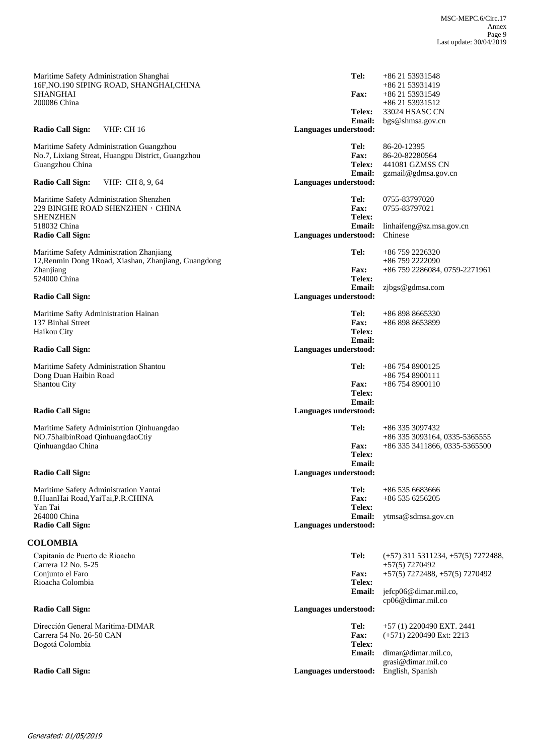| Maritime Safety Administration Shanghai<br>16F, NO.190 SIPING ROAD, SHANGHAI, CHINA<br><b>SHANGHAI</b><br>200086 China | Tel:<br><b>Fax:</b><br>Telex:                    | +86 21 53931548<br>+86 21 53931419<br>+86 21 53931549<br>+86 21 53931512<br>33024 HSASC CN   |
|------------------------------------------------------------------------------------------------------------------------|--------------------------------------------------|----------------------------------------------------------------------------------------------|
| Radio Call Sign:<br><b>VHF: CH 16</b>                                                                                  | <b>Email:</b><br>Languages understood:           | bgs@shmsa.gov.cn                                                                             |
| Maritime Safety Administration Guangzhou<br>No.7, Lixiang Streat, Huangpu District, Guangzhou<br>Guangzhou China       | Tel:<br><b>Fax:</b><br>Telex:<br><b>Email:</b>   | 86-20-12395<br>86-20-82280564<br>441081 GZMSS CN<br>gzmail@gdmsa.gov.cn                      |
| <b>Radio Call Sign:</b><br>VHF: CH 8, 9, 64                                                                            | Languages understood:                            |                                                                                              |
| Maritime Safety Administration Shenzhen<br>229 BINGHE ROAD SHENZHEN, CHINA<br><b>SHENZHEN</b><br>518032 China          | Tel:<br><b>Fax:</b><br>Telex:<br><b>Email:</b>   | 0755-83797020<br>0755-83797021<br>linhaifeng@sz.msa.gov.cn                                   |
| <b>Radio Call Sign:</b>                                                                                                | Languages understood:                            | Chinese                                                                                      |
| Maritime Safety Administration Zhanjiang<br>12, Renmin Dong 1Road, Xiashan, Zhanjiang, Guangdong<br>Zhanjiang          | Tel:<br>Fax:                                     | +86 759 2226320<br>+86 759 2222090<br>+86 759 2286084, 0759-2271961                          |
| 524000 China<br><b>Radio Call Sign:</b>                                                                                | Telex:<br><b>Email:</b><br>Languages understood: | zjbgs@gdmsa.com                                                                              |
| Maritime Safty Administration Hainan<br>137 Binhai Street<br>Haikou City                                               | Tel:<br>Fax:<br>Telex:<br>Email:                 | +86 898 8665330<br>+86 898 8653899                                                           |
| <b>Radio Call Sign:</b>                                                                                                | Languages understood:                            |                                                                                              |
| Maritime Safety Administration Shantou<br>Dong Duan Haibin Road<br>Shantou City                                        | Tel:<br><b>Fax:</b><br>Telex:<br><b>Email:</b>   | +86 754 8900125<br>$+867548900111$<br>$+867548900110$                                        |
| <b>Radio Call Sign:</b>                                                                                                | Languages understood:                            |                                                                                              |
| Maritime Safety Administrtion Qinhuangdao<br>NO.75haibinRoad QinhuangdaoCtiy<br>Qinhuangdao China                      | Tel:<br><b>Fax:</b><br>Telex:<br><b>Email:</b>   | +86 335 3097432<br>+86 335 3093164, 0335-5365555<br>+86 335 3411866, 0335-5365500            |
| Radio Call Sign:                                                                                                       | Languages understood:                            |                                                                                              |
| Maritime Safety Administration Yantai<br>8. HuanHai Road, YaiTai, P.R. CHINA<br>Yan Tai                                | Tel:<br>Fax:<br>Telex:                           | +86 535 6683666<br>$+865356256205$                                                           |
| 264000 China<br><b>Radio Call Sign:</b>                                                                                | <b>Email:</b><br>Languages understood:           | ytmsa@sdmsa.gov.cn                                                                           |
| <b>COLOMBIA</b>                                                                                                        |                                                  |                                                                                              |
| Capitanía de Puerto de Rioacha<br>Carrera 12 No. 5-25<br>Conjunto el Faro                                              | Tel:<br><b>Fax:</b>                              | $(+57)$ 311 5311234, $+57(5)$ 7272488,<br>$+57(5)$ 7270492<br>+57(5) 7272488, +57(5) 7270492 |
| Rioacha Colombia                                                                                                       | Telex:<br><b>Email:</b>                          | jefcp06@dimar.mil.co,<br>cp06@dimar.mil.co                                                   |
| <b>Radio Call Sign:</b>                                                                                                | Languages understood:                            |                                                                                              |
| Dirección General Marítima-DIMAR<br>Carrera 54 No. 26-50 CAN<br>Bogotá Colombia                                        | Tel:<br>Fax:<br>Telex:                           | +57 (1) 2200490 EXT. 2441<br>$(+571)$ 2200490 Ext: 2213                                      |
| <b>Radio Call Sign:</b>                                                                                                | <b>Email:</b><br>Languages understood:           | dimar@dimar.mil.co.<br>grasi@dimar.mil.co<br>English, Spanish                                |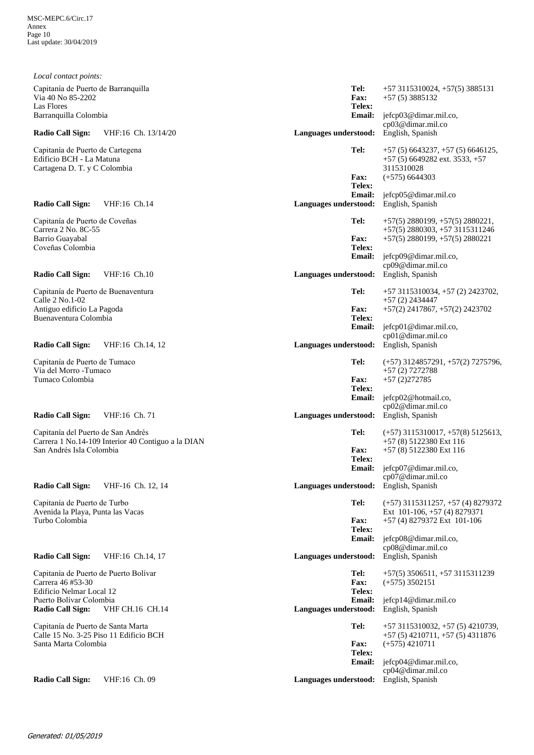| Local contact points:                                                                                                                        |                                                    |                                                                  |                                                                                                                                                               |
|----------------------------------------------------------------------------------------------------------------------------------------------|----------------------------------------------------|------------------------------------------------------------------|---------------------------------------------------------------------------------------------------------------------------------------------------------------|
| Capitanía de Puerto de Barranquilla<br>Via 40 No 85-2202<br>Las Flores                                                                       |                                                    | Tel:<br><b>Fax:</b><br>Telex:                                    | $+573115310024$ , $+57(5)3885131$<br>$+57(5)3885132$                                                                                                          |
| Barranquilla Colombia                                                                                                                        |                                                    | <b>Email:</b>                                                    | jefcp03@dimar.mil.co,<br>cp03@dimar.mil.co                                                                                                                    |
| <b>Radio Call Sign:</b>                                                                                                                      | VHF:16 Ch. 13/14/20                                | Languages understood:                                            | English, Spanish                                                                                                                                              |
| Capitanía de Puerto de Cartegena<br>Edificio BCH - La Matuna<br>Cartagena D. T. y C Colombia                                                 |                                                    | Tel:<br><b>Fax:</b><br>Telex:                                    | $+57(5)6643237, +57(5)6646125,$<br>$+57$ (5) 6649282 ext. 3533, $+57$<br>3115310028<br>$(+575)$ 6644303                                                       |
| <b>Radio Call Sign:</b>                                                                                                                      | VHF:16 Ch.14                                       | <b>Email:</b><br>Languages understood:                           | jefcp05@dimar.mil.co<br>English, Spanish                                                                                                                      |
| Capitanía de Puerto de Coveñas<br>Carrera 2 No. 8C-55<br>Barrio Guayabal<br>Coveñas Colombia                                                 |                                                    | Tel:<br><b>Fax:</b><br>Telex:<br><b>Email:</b>                   | $+57(5)$ 2880199, $+57(5)$ 2880221,<br>$+57(5)$ 2880303, $+57$ 3115311246<br>$+57(5)$ 2880199, $+57(5)$ 2880221<br>jefcp09@dimar.mil.co,<br>cp09@dimar.mil.co |
| <b>Radio Call Sign:</b>                                                                                                                      | VHF:16 Ch.10                                       | Languages understood:                                            | English, Spanish                                                                                                                                              |
| Capitanía de Puerto de Buenaventura<br>Calle 2 No.1-02<br>Antiguo edificio La Pagoda<br>Buenaventura Colombia                                |                                                    | Tel:<br>Fax:<br>Telex:<br><b>Email:</b>                          | $+573115310034$ , $+57(2)2423702$ ,<br>$+57(2)$ 2434447<br>$+57(2)$ 2417867, $+57(2)$ 2423702<br>jefcp01@dimar.mil.co,                                        |
| <b>Radio Call Sign:</b>                                                                                                                      | VHF:16 Ch.14, 12                                   | Languages understood:                                            | cp01@dimar.mil.co<br>English, Spanish                                                                                                                         |
| Capitanía de Puerto de Tumaco<br>Vía del Morro -Tumaco<br>Tumaco Colombia                                                                    |                                                    | Tel:<br><b>Fax:</b><br>Telex:<br><b>Email:</b>                   | $(+57)$ 3124857291, $+57(2)$ 7275796,<br>$+57(2)$ 7272788<br>$+57(2)272785$<br>jefcp02@hotmail.co,<br>cp02@dimar.mil.co                                       |
| <b>Radio Call Sign:</b>                                                                                                                      | VHF:16 Ch. 71                                      | <b>Languages understood:</b>                                     | English, Spanish                                                                                                                                              |
| Capitanía del Puerto de San Andrés<br>San Andrés Isla Colombia                                                                               | Carrera 1 No.14-109 Interior 40 Contiguo a la DIAN | Tel:<br><b>Fax:</b><br>Telex:<br><b>Email:</b>                   | $(+57)$ 3115310017, $+57(8)$ 5125613,<br>+57 (8) 5122380 Ext 116<br>+57 (8) 5122380 Ext 116<br>jefcp07@dimar.mil.co,<br>cp07@dimar.mil.co                     |
| <b>Radio Call Sign:</b>                                                                                                                      | VHF-16 Ch. 12, 14                                  | Languages understood:                                            | English, Spanish                                                                                                                                              |
| Capitanía de Puerto de Turbo<br>Avenida la Playa, Punta las Vacas<br>Turbo Colombia                                                          |                                                    | Tel:<br>Fax:<br>Telex:<br><b>Email:</b>                          | $(+57)$ 3115311257, $+57$ (4) 8279372<br>Ext 101-106, +57 (4) 8279371<br>$+57$ (4) 8279372 Ext 101-106<br>jefcp08@dimar.mil.co,<br>cp08@dimar.mil.co          |
| <b>Radio Call Sign:</b>                                                                                                                      | VHF:16 Ch.14, 17                                   | Languages understood:                                            | English, Spanish                                                                                                                                              |
| Capitanía de Puerto de Puerto Bolívar<br>Carrera 46 #53-30<br>Edificio Nelmar Local 12<br>Puerto Bolívar Colombia<br><b>Radio Call Sign:</b> | <b>VHF CH.16 CH.14</b>                             | Tel:<br>Fax:<br>Telex:<br><b>Email:</b><br>Languages understood: | $+57(5)$ 3506511, $+57$ 3115311239<br>$(+575)$ 3502151<br>jefcp14@dimar.mil.co<br>English, Spanish                                                            |
| Capitanía de Puerto de Santa Marta<br>Calle 15 No. 3-25 Piso 11 Edificio BCH<br>Santa Marta Colombia                                         |                                                    | Tel:<br>Fax:<br>Telex:<br><b>Email:</b>                          | +57 3115310032, +57 (5) 4210739,<br>$+57(5)$ 4210711, $+57(5)$ 4311876<br>$(+575)$ 4210711<br>jefcp04@dimar.mil.co,                                           |
| <b>Radio Call Sign:</b>                                                                                                                      | VHF:16 Ch. 09                                      | Languages understood:                                            | cp04@dimar.mil.co<br>English, Spanish                                                                                                                         |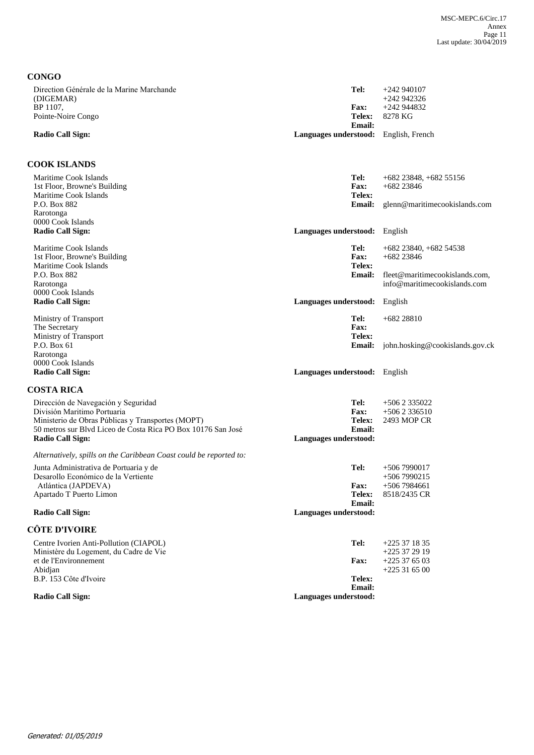| <b>CONGO</b>                                                                                                      |                                        |                                                                |
|-------------------------------------------------------------------------------------------------------------------|----------------------------------------|----------------------------------------------------------------|
| Direction Générale de la Marine Marchande<br>(DIGEMAR)                                                            | Tel:                                   | $+242940107$<br>$+242942326$                                   |
| BP 1107,<br>Pointe-Noire Congo                                                                                    | <b>Fax:</b><br>Telex:<br><b>Email:</b> | $+242944832$<br>8278 KG                                        |
| <b>Radio Call Sign:</b>                                                                                           | Languages understood:                  | English, French                                                |
| <b>COOK ISLANDS</b>                                                                                               |                                        |                                                                |
| Maritime Cook Islands                                                                                             | Tel:                                   | $+682$ 23848, $+682$ 55156                                     |
| 1st Floor, Browne's Building                                                                                      | <b>Fax:</b>                            | $+682$ 23846                                                   |
| Maritime Cook Islands<br>P.O. Box 882                                                                             | Telex:<br><b>Email:</b>                | glenn@maritimecookislands.com                                  |
| Rarotonga                                                                                                         |                                        |                                                                |
| 0000 Cook Islands                                                                                                 |                                        |                                                                |
| <b>Radio Call Sign:</b>                                                                                           | Languages understood:                  | English                                                        |
| Maritime Cook Islands                                                                                             | Tel:                                   | $+682$ 23840, $+682$ 54538                                     |
| 1st Floor, Browne's Building                                                                                      | <b>Fax:</b>                            | $+682$ 23846                                                   |
| Maritime Cook Islands<br>P.O. Box 882                                                                             | Telex:                                 |                                                                |
| Rarotonga                                                                                                         | <b>Email:</b>                          | fleet@maritimecookislands.com,<br>info@maritimecookislands.com |
| 0000 Cook Islands                                                                                                 |                                        |                                                                |
| <b>Radio Call Sign:</b>                                                                                           | Languages understood:                  | English                                                        |
| Ministry of Transport                                                                                             | Tel:                                   | $+68228810$                                                    |
| The Secretary                                                                                                     | <b>Fax:</b>                            |                                                                |
| Ministry of Transport                                                                                             | Telex:                                 |                                                                |
| P.O. Box 61<br>Rarotonga                                                                                          | <b>Email:</b>                          | john.hosking@cookislands.gov.ck                                |
| 0000 Cook Islands                                                                                                 |                                        |                                                                |
| <b>Radio Call Sign:</b>                                                                                           | Languages understood: English          |                                                                |
| <b>COSTA RICA</b>                                                                                                 |                                        |                                                                |
| Dirección de Navegación y Seguridad                                                                               | Tel:                                   | $+5062335022$                                                  |
| División Maritimo Portuaria                                                                                       | <b>Fax:</b>                            | $+5062336510$                                                  |
| Ministerio de Obras Públicas y Transportes (MOPT)<br>50 metros sur Blvd Liceo de Costa Rica PO Box 10176 San José | Telex:<br><b>Email:</b>                | 2493 MOP CR                                                    |
| <b>Radio Call Sign:</b>                                                                                           | Languages understood:                  |                                                                |
|                                                                                                                   |                                        |                                                                |
| Alternatively, spills on the Caribbean Coast could be reported to:                                                |                                        |                                                                |
| Junta Administrativa de Portuaria y de<br>Desarollo Económico de la Vertiente                                     | Tel:                                   | $+5067990017$<br>$+5067990215$                                 |
| Atlántica (JAPDEVA)                                                                                               | <b>Fax:</b>                            | $+5067984661$                                                  |
| Apartado T Puerto Limon                                                                                           | Telex:                                 | 8518/2435 CR                                                   |
| <b>Radio Call Sign:</b>                                                                                           | <b>Email:</b>                          |                                                                |
|                                                                                                                   | Languages understood:                  |                                                                |
| <b>CÔTE D'IVOIRE</b>                                                                                              |                                        |                                                                |
| Centre Ivorien Anti-Pollution (CIAPOL)                                                                            | Tel:                                   | $+225371835$                                                   |
| Ministère du Logement, du Cadre de Vie<br>et de l'Environnement                                                   | <b>Fax:</b>                            | $+225372919$<br>$+225376503$                                   |
| Abidjan                                                                                                           |                                        | $+225316500$                                                   |
| B.P. 153 Côte d'Ivoire                                                                                            | Telex:                                 |                                                                |
|                                                                                                                   | Email:                                 |                                                                |
| <b>Radio Call Sign:</b>                                                                                           | Languages understood:                  |                                                                |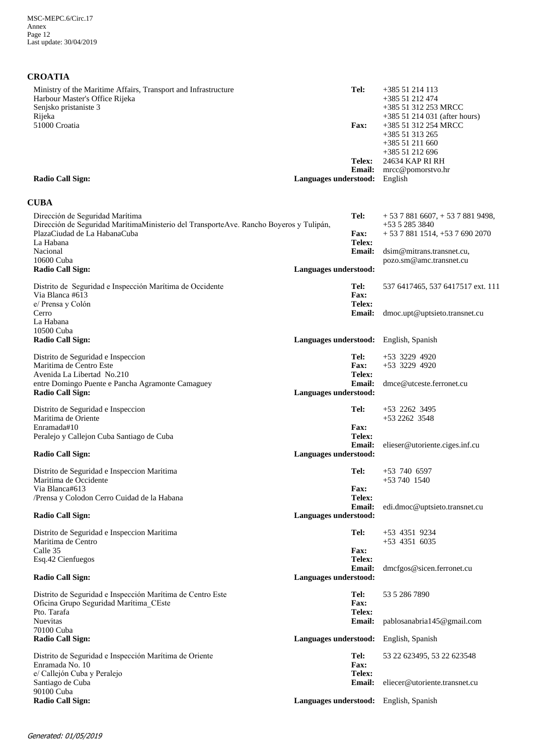## **CROATIA**

| Ministry of the Maritime Affairs, Transport and Infrastructure<br>Harbour Master's Office Rijeka                                                            | Tel:                                                    | +385 51 214 113<br>+385 51 212 474                                                                                 |
|-------------------------------------------------------------------------------------------------------------------------------------------------------------|---------------------------------------------------------|--------------------------------------------------------------------------------------------------------------------|
| Senjsko pristaniste 3<br>Rijeka<br>51000 Croatia                                                                                                            | <b>Fax:</b>                                             | +385 51 312 253 MRCC<br>$+38551214031$ (after hours)<br>+385 51 312 254 MRCC<br>+385 51 313 265<br>+385 51 211 660 |
|                                                                                                                                                             | Telex:                                                  | +385 51 212 696<br>24634 KAP RI RH                                                                                 |
| <b>Radio Call Sign:</b>                                                                                                                                     | <b>Email:</b><br>Languages understood:                  | mrcc@pomorstvo.hr<br>English                                                                                       |
| <b>CUBA</b>                                                                                                                                                 |                                                         |                                                                                                                    |
| Dirección de Seguridad Marítima<br>Dirección de Seguridad Marítima Ministerio del Transporte Ave. Rancho Boyeros y Tulipán,<br>PlazaCiudad de La HabanaCuba | Tel:<br><b>Fax:</b>                                     | $+5378816607$ , $+5378819498$ ,<br>$+5352853840$<br>$+ 5378811514$ , $+ 5376902070$                                |
| La Habana<br>Nacional                                                                                                                                       | Telex:<br><b>Email:</b>                                 | dsim@mitrans.transnet.cu,                                                                                          |
| 10600 Cuba<br><b>Radio Call Sign:</b>                                                                                                                       | Languages understood:                                   | pozo.sm@amc.transnet.cu                                                                                            |
| Distrito de Seguridad e Inspección Marítima de Occidente<br>Via Blanca #613<br>e/ Prensa y Colón                                                            | Tel:<br><b>Fax:</b><br>Telex:                           | 537 6417465, 537 6417517 ext. 111                                                                                  |
| Cerro<br>La Habana<br>10500 Cuba                                                                                                                            | <b>Email:</b>                                           | dmoc.upt@uptsieto.transnet.cu                                                                                      |
| <b>Radio Call Sign:</b>                                                                                                                                     | Languages understood: English, Spanish                  |                                                                                                                    |
| Distrito de Seguridad e Inspeccion<br>Maritima de Centro Este<br>Avenida La Libertad No.210                                                                 | Tel:<br><b>Fax:</b><br>Telex:                           | $+53$ 3229 4920<br>$+53$ 3229 4920                                                                                 |
| entre Domingo Puente e Pancha Agramonte Camaguey<br><b>Radio Call Sign:</b>                                                                                 | <b>Email:</b><br>Languages understood:                  | dmce@utceste.ferronet.cu                                                                                           |
| Distrito de Seguridad e Inspeccion<br>Maritima de Oriente<br>Enramada#10                                                                                    | Tel:<br><b>Fax:</b>                                     | $+53$ 2262 3495<br>$+5322623548$                                                                                   |
| Peralejo y Callejon Cuba Santiago de Cuba                                                                                                                   | Telex:<br><b>Email:</b>                                 | elieser@utoriente.ciges.inf.cu                                                                                     |
| <b>Radio Call Sign:</b><br>Distrito de Seguridad e Inspeccion Maritima                                                                                      | Languages understood:<br>Tel:                           | $+53$ 740 6597                                                                                                     |
| Maritima de Occidente<br>Via Blanca#613                                                                                                                     | Fax:                                                    | $+537401540$                                                                                                       |
| /Prensa y Colodon Cerro Cuidad de la Habana<br><b>Radio Call Sign:</b>                                                                                      | Telex:<br><b>Email:</b><br>Languages understood:        | edi.dmoc@uptsieto.transnet.cu                                                                                      |
| Distrito de Seguridad e Inspeccion Maritima<br>Maritima de Centro                                                                                           | Tel:                                                    | $+53$ 4351 9234<br>$+53$ 4351 6035                                                                                 |
| Calle 35<br>Esq.42 Cienfuegos                                                                                                                               | <b>Fax:</b><br>Telex:<br><b>Email:</b>                  | dmcfgos@sicen.ferronet.cu                                                                                          |
| Radio Call Sign:                                                                                                                                            | Languages understood:                                   |                                                                                                                    |
| Distrito de Seguridad e Inspección Marítima de Centro Este<br>Oficina Grupo Seguridad Marítima CEste<br>Pto. Tarafa                                         | Tel:<br><b>Fax:</b><br>Telex:                           | 53 5 286 7890                                                                                                      |
| <b>Nuevitas</b><br>70100 Cuba                                                                                                                               | <b>Email:</b>                                           | pablosanabria145@gmail.com                                                                                         |
| <b>Radio Call Sign:</b>                                                                                                                                     | Languages understood: English, Spanish                  |                                                                                                                    |
| Distrito de Seguridad e Inspección Marítima de Oriente<br>Enramada No. 10<br>e/ Callejón Cuba y Peralejo                                                    | Tel:<br>Fax:<br>Telex:                                  | 53 22 623495, 53 22 623548                                                                                         |
| Santiago de Cuba<br>90100 Cuba<br><b>Radio Call Sign:</b>                                                                                                   | <b>Email:</b><br>Languages understood: English, Spanish | eliecer@utoriente.transnet.cu                                                                                      |
|                                                                                                                                                             |                                                         |                                                                                                                    |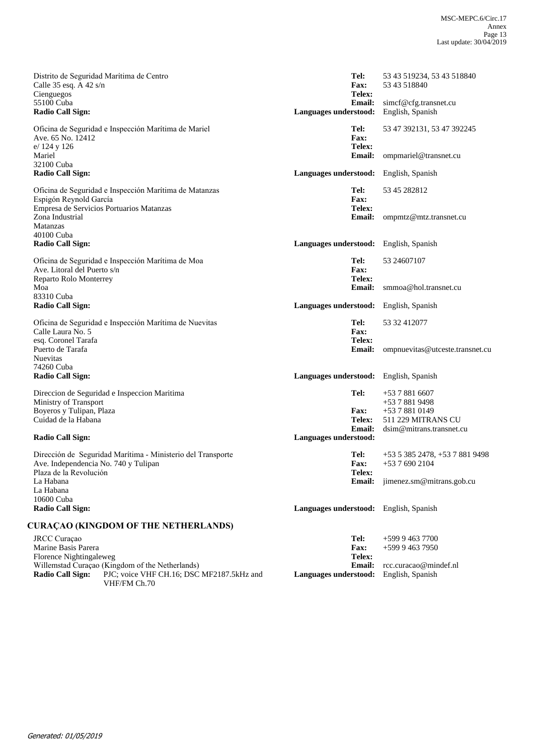| Distrito de Seguridad Marítima de Centro<br>Calle 35 esq. A 42 s/n<br>Cienguegos<br>55100 Cuba<br><b>Radio Call Sign:</b>     | Tel:<br><b>Fax:</b><br>Telex:<br><b>Email:</b><br>Languages understood: | 53 43 519234, 53 43 518840<br>53 43 518840<br>simcf@cfg.transnet.cu<br>English, Spanish |
|-------------------------------------------------------------------------------------------------------------------------------|-------------------------------------------------------------------------|-----------------------------------------------------------------------------------------|
| Oficina de Seguridad e Inspección Marítima de Mariel<br>Ave. 65 No. 12412<br>e/ 124 y 126<br>Mariel                           | Tel:<br><b>Fax:</b><br>Telex:<br>Email:                                 | 53 47 392131, 53 47 392245<br>ompmariel@transnet.cu                                     |
| 32100 Cuba<br><b>Radio Call Sign:</b>                                                                                         | Languages understood:                                                   | English, Spanish                                                                        |
| Oficina de Seguridad e Inspección Marítima de Matanzas<br>Espigón Reynold García<br>Empresa de Servicios Portuarios Matanzas  | Tel:<br><b>Fax:</b><br>Telex:                                           | 53 45 282812                                                                            |
| Zona Industrial<br>Matanzas<br>40100 Cuba                                                                                     | <b>Email:</b>                                                           | ompmtz@mtz.transnet.cu                                                                  |
| <b>Radio Call Sign:</b>                                                                                                       | Languages understood:                                                   | English, Spanish                                                                        |
| Oficina de Seguridad e Inspección Marítima de Moa<br>Ave. Litoral del Puerto s/n<br>Reparto Rolo Monterrey                    | Tel:<br><b>Fax:</b><br>Telex:                                           | 53 24607107                                                                             |
| Moa<br>83310 Cuba                                                                                                             | Email:                                                                  | smmoa@hol.transnet.cu                                                                   |
| <b>Radio Call Sign:</b>                                                                                                       | Languages understood:                                                   | English, Spanish                                                                        |
| Oficina de Seguridad e Inspección Marítima de Nuevitas<br>Calle Laura No. 5<br>esq. Coronel Tarafa                            | Tel:<br><b>Fax:</b><br>Telex:                                           | 53 32 412077                                                                            |
| Puerto de Tarafa<br>Nuevitas<br>74260 Cuba                                                                                    | <b>Email:</b>                                                           | ompnuevitas@utceste.transnet.cu                                                         |
| <b>Radio Call Sign:</b>                                                                                                       | Languages understood:                                                   | English, Spanish                                                                        |
| Direccion de Seguridad e Inspeccion Maritima<br>Ministry of Transport                                                         | Tel:                                                                    | $+5378816607$<br>+53 7 881 9498                                                         |
| Boyeros y Tulipan, Plaza<br>Cuidad de la Habana                                                                               | <b>Fax:</b><br><b>Telex:</b>                                            | $+5378810149$<br>511 229 MITRANS CU                                                     |
| <b>Radio Call Sign:</b>                                                                                                       | <b>Email:</b><br>Languages understood:                                  | dsim@mitrans.transnet.cu                                                                |
| Dirección de Seguridad Marítima - Ministerio del Transporte<br>Ave. Independencia No. 740 y Tulipan<br>Plaza de la Revolución | Tel:<br><b>Fax:</b><br>Telex:                                           | +53 5 385 2478, +53 7 881 9498<br>+53 7 690 2104                                        |
| La Habana<br>La Habana<br>10600 Cuba                                                                                          | <b>Email:</b>                                                           | jimenez.sm@mitrans.gob.cu                                                               |
| <b>Radio Call Sign:</b>                                                                                                       | Languages understood:                                                   | English, Spanish                                                                        |
| <b>CURAÇAO (KINGDOM OF THE NETHERLANDS)</b>                                                                                   |                                                                         |                                                                                         |
| JRCC Curaçao<br>Marine Basis Parera                                                                                           | Tel:<br><b>Fax:</b>                                                     | $+59994637700$<br>$+59994637950$                                                        |
| Florence Nightingaleweg<br>Willemstad Curaçao (Kingdom of the Netherlands)                                                    | <b>Telex:</b><br><b>Email:</b>                                          | rcc.curacao@mindef.nl                                                                   |
| <b>Radio Call Sign:</b><br>PJC; voice VHF CH.16; DSC MF2187.5kHz and<br>VHF/FM Ch.70                                          | Languages understood:                                                   | English, Spanish                                                                        |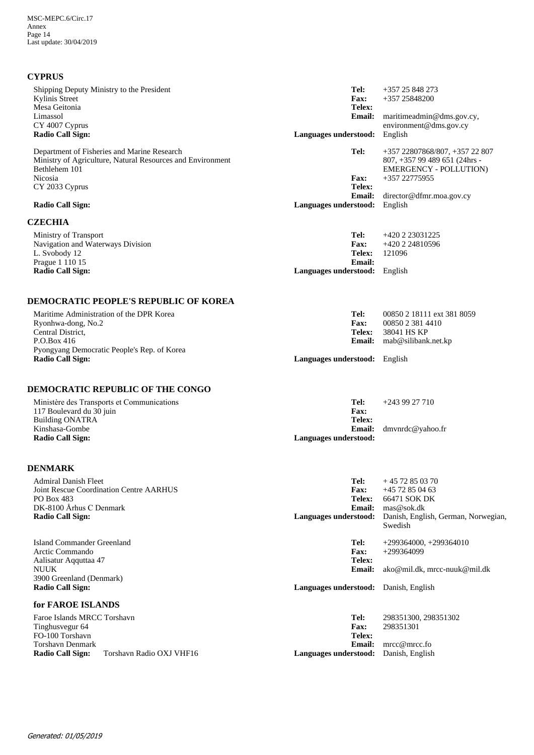## **CYPRUS**

| Kylinis Street<br>Mesa Geitonia<br>Limassol<br>CY 4007 Cyprus<br><b>Radio Call Sign:</b><br>Department of Fisheries and Marine Research<br>Ministry of Agriculture, Natural Resources and Environment | <b>Fax:</b><br>Telex:<br><b>Email:</b> | +357 25848200                                  |
|-------------------------------------------------------------------------------------------------------------------------------------------------------------------------------------------------------|----------------------------------------|------------------------------------------------|
|                                                                                                                                                                                                       |                                        |                                                |
|                                                                                                                                                                                                       |                                        | maritimeadmin@dms.gov.cy,                      |
|                                                                                                                                                                                                       |                                        | environment@dms.gov.cy                         |
|                                                                                                                                                                                                       | Languages understood:                  | English                                        |
|                                                                                                                                                                                                       | Tel:                                   | +357 22807868/807, +357 22 807                 |
|                                                                                                                                                                                                       |                                        | 807, +357 99 489 651 (24hrs -                  |
| Bethlehem 101                                                                                                                                                                                         |                                        | <b>EMERGENCY - POLLUTION)</b>                  |
| Nicosia                                                                                                                                                                                               | <b>Fax:</b>                            | +357 22775955                                  |
| CY 2033 Cyprus                                                                                                                                                                                        | Telex:                                 |                                                |
| <b>Radio Call Sign:</b>                                                                                                                                                                               | Languages understood:                  | Email: director@dfmr.moa.gov.cy<br>English     |
|                                                                                                                                                                                                       |                                        |                                                |
| <b>CZECHIA</b>                                                                                                                                                                                        |                                        |                                                |
| Ministry of Transport                                                                                                                                                                                 | Tel:                                   | +420 2 23031225                                |
| Navigation and Waterways Division                                                                                                                                                                     | <b>Fax:</b>                            | +420 2 24810596                                |
| L. Svobody 12                                                                                                                                                                                         | <b>Telex:</b>                          | 121096                                         |
| Prague 1 110 15<br><b>Radio Call Sign:</b>                                                                                                                                                            | <b>Email:</b>                          |                                                |
|                                                                                                                                                                                                       | Languages understood: English          |                                                |
| <b>DEMOCRATIC PEOPLE'S REPUBLIC OF KOREA</b>                                                                                                                                                          |                                        |                                                |
| Maritime Administration of the DPR Korea                                                                                                                                                              | Tel:                                   | 00850 2 18111 ext 381 8059                     |
| Ryonhwa-dong, No.2                                                                                                                                                                                    | <b>Fax:</b>                            | 00850 2 381 4410                               |
| Central District,                                                                                                                                                                                     | <b>Telex:</b>                          | 38041 HS KP                                    |
| P.O.Box 416                                                                                                                                                                                           |                                        | Email: mab@silibank.net.kp                     |
| Pyongyang Democratic People's Rep. of Korea                                                                                                                                                           |                                        |                                                |
| <b>Radio Call Sign:</b>                                                                                                                                                                               | Languages understood: English          |                                                |
| DEMOCRATIC REPUBLIC OF THE CONGO                                                                                                                                                                      |                                        |                                                |
| Ministère des Transports et Communications                                                                                                                                                            | Tel:<br><b>Fax:</b>                    | $+243927710$                                   |
| 117 Boulevard du 30 juin                                                                                                                                                                              | Telex:                                 |                                                |
|                                                                                                                                                                                                       |                                        |                                                |
| <b>Building ONATRA</b>                                                                                                                                                                                |                                        |                                                |
| Kinshasa-Gombe<br><b>Radio Call Sign:</b>                                                                                                                                                             | <b>Email:</b><br>Languages understood: | dmvnrdc@yahoo.fr                               |
|                                                                                                                                                                                                       |                                        |                                                |
| <b>DENMARK</b>                                                                                                                                                                                        |                                        |                                                |
| <b>Admiral Danish Fleet</b>                                                                                                                                                                           | Tel:                                   | $+4572850370$                                  |
| <b>Joint Rescue Coordination Centre AARHUS</b><br>PO Box 483                                                                                                                                          | <b>Fax:</b><br>Telex:                  | +45 72 85 04 63<br>66471 SOK DK                |
| DK-8100 Århus C Denmark                                                                                                                                                                               | <b>Email:</b>                          | mas@sok.dk                                     |
| <b>Radio Call Sign:</b>                                                                                                                                                                               | Languages understood:                  | Danish, English, German, Norwegian,<br>Swedish |
| <b>Island Commander Greenland</b>                                                                                                                                                                     | Tel:                                   | $+299364000, +299364010$                       |
| Arctic Commando                                                                                                                                                                                       |                                        |                                                |
|                                                                                                                                                                                                       | Fax:<br>Telex:                         | $+299364099$                                   |
| Aalisatur Aqquttaa 47<br><b>NUUK</b>                                                                                                                                                                  | <b>Email:</b>                          | ako@mil.dk, mrcc-nuuk@mil.dk                   |
| 3900 Greenland (Denmark)                                                                                                                                                                              |                                        |                                                |
| <b>Radio Call Sign:</b>                                                                                                                                                                               | Languages understood: Danish, English  |                                                |
| for FAROE ISLANDS                                                                                                                                                                                     |                                        |                                                |
| Faroe Islands MRCC Torshavn                                                                                                                                                                           | Tel:                                   | 298351300, 298351302                           |
| Tinghusvegur 64                                                                                                                                                                                       | Fax:                                   | 298351301                                      |
| FO-100 Torshavn                                                                                                                                                                                       | Telex:                                 |                                                |
| <b>Torshavn Denmark</b><br><b>Radio Call Sign:</b><br>Torshavn Radio OXJ VHF16                                                                                                                        | <b>Email:</b><br>Languages understood: | mrcc@mrcc.fo<br>Danish, English                |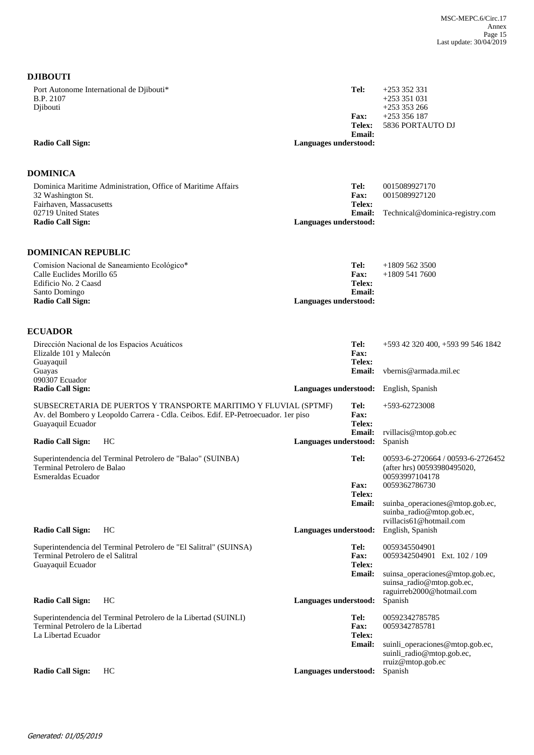| Port Autonome International de Djibouti*<br>B.P. 2107<br>Djibouti<br><b>Radio Call Sign:</b>  |                                                                                    | Languages understood: | Tel:<br><b>Fax:</b><br>Telex:<br><b>Email:</b> | $+253352331$<br>$+253351031$<br>$+253353266$<br>$+253356187$<br>5836 PORTAUTO DJ          |
|-----------------------------------------------------------------------------------------------|------------------------------------------------------------------------------------|-----------------------|------------------------------------------------|-------------------------------------------------------------------------------------------|
| DOMINICA                                                                                      |                                                                                    |                       |                                                |                                                                                           |
| 32 Washington St.<br>Fairhaven, Massacusetts                                                  | Dominica Maritime Administration, Office of Maritime Affairs                       |                       | Tel:<br>Fax:<br>Telex:                         | 0015089927170<br>0015089927120                                                            |
| 02719 United States<br><b>Radio Call Sign:</b>                                                |                                                                                    | Languages understood: | <b>Email:</b>                                  | Technical@dominica-registry.com                                                           |
| DOMINICAN REPUBLIC                                                                            |                                                                                    |                       |                                                |                                                                                           |
| Calle Euclides Morillo 65<br>Edificio No. 2 Caasd<br>Santo Domingo<br><b>Radio Call Sign:</b> | Comision Nacional de Saneamiento Ecológico*                                        | Languages understood: | Tel:<br><b>Fax:</b><br>Telex:<br><b>Email:</b> | $+18095623500$<br>$+18095417600$                                                          |
|                                                                                               |                                                                                    |                       |                                                |                                                                                           |
| <b>ECUADOR</b>                                                                                | Dirección Nacional de los Espacios Acuáticos                                       |                       | Tel:                                           | +593 42 320 400, +593 99 546 1842                                                         |
| Elizalde 101 y Malecón<br>Guayaquil<br>Guayas                                                 |                                                                                    |                       | <b>Fax:</b><br>Telex:<br><b>Email:</b>         | vbernis@armada.mil.ec                                                                     |
| 090307 Ecuador<br><b>Radio Call Sign:</b>                                                     |                                                                                    | Languages understood: |                                                | English, Spanish                                                                          |
|                                                                                               | SUBSECRETARIA DE PUERTOS Y TRANSPORTE MARITIMO Y FLUVIAL (SPTMF)                   |                       | Tel:                                           | +593-62723008                                                                             |
| Guayaquil Ecuador                                                                             | Av. del Bombero y Leopoldo Carrera - Cdla. Ceibos. Edif. EP-Petroecuador. 1er piso |                       | Fax:<br>Telex:                                 |                                                                                           |
| <b>Radio Call Sign:</b>                                                                       | HC                                                                                 | Languages understood: | Email:                                         | rvillacis@mtop.gob.ec<br>Spanish                                                          |
| Terminal Petrolero de Balao<br>Esmeraldas Ecuador                                             | Superintendencia del Terminal Petrolero de "Balao" (SUINBA)                        |                       | Tel:                                           | 00593-6-2720664 / 00593-6-2726452<br>(after hrs) 00593980495020,<br>00593997104178        |
|                                                                                               |                                                                                    |                       | Fax:<br>Telex:                                 | 0059362786730                                                                             |
|                                                                                               |                                                                                    |                       | <b>Email:</b>                                  | suinba_operaciones@mtop.gob.ec,<br>suinba_radio@mtop.gob.ec,                              |
| <b>Radio Call Sign:</b>                                                                       | HC                                                                                 | Languages understood: |                                                | rvillacis61@hotmail.com<br>English, Spanish                                               |
| Terminal Petrolero de el Salitral<br>Guayaquil Ecuador                                        | Superintendencia del Terminal Petrolero de "El Salitral" (SUINSA)                  |                       | Tel:<br><b>Fax:</b><br>Telex:                  | 0059345504901<br>0059342504901 Ext. 102 / 109                                             |
|                                                                                               |                                                                                    |                       | <b>Email:</b>                                  | suinsa_operaciones@mtop.gob.ec,<br>suinsa_radio@mtop.gob.ec,<br>raguirreb2000@hotmail.com |
| <b>Radio Call Sign:</b>                                                                       | HC                                                                                 | Languages understood: |                                                | Spanish                                                                                   |
| Terminal Petrolero de la Libertad                                                             | Superintendencia del Terminal Petrolero de la Libertad (SUINLI)                    |                       | Tel:<br>Fax:                                   | 00592342785785<br>0059342785781                                                           |
| La Libertad Ecuador                                                                           |                                                                                    |                       | Telex:<br><b>Email:</b>                        | suinli_operaciones@mtop.gob.ec,                                                           |
| <b>Radio Call Sign:</b>                                                                       | HC                                                                                 | Languages understood: |                                                | suinli_radio@mtop.gob.ec,<br>rruiz@mtop.gob.ec<br>Spanish                                 |
|                                                                                               |                                                                                    |                       |                                                |                                                                                           |

**DJIBOUTI**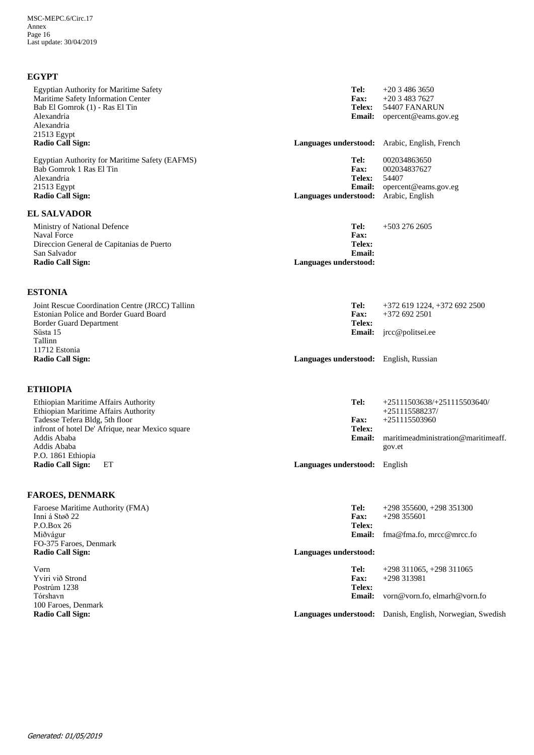## **EGYPT**

| <b>Egyptian Authority for Maritime Safety</b><br>Maritime Safety Information Center<br>Bab El Gomrok (1) - Ras El Tin<br>Alexandria<br>Alexandria<br>21513 Egypt<br><b>Radio Call Sign:</b> | Tel:<br><b>Fax:</b><br>Telex:<br><b>Email:</b><br>Languages understood: Arabic, English, French | $+2034863650$<br>$+2034837627$<br>54407 FANARUN<br>opercent@eams.gov.eg |
|---------------------------------------------------------------------------------------------------------------------------------------------------------------------------------------------|-------------------------------------------------------------------------------------------------|-------------------------------------------------------------------------|
| Egyptian Authority for Maritime Safety (EAFMS)                                                                                                                                              | Tel:                                                                                            | 002034863650                                                            |
| Bab Gomrok 1 Ras El Tin<br>Alexandria                                                                                                                                                       | Fax:<br><b>Telex:</b>                                                                           | 002034837627<br>54407                                                   |
| 21513 Egypt                                                                                                                                                                                 | <b>Email:</b>                                                                                   | opercent@eams.gov.eg                                                    |
| <b>Radio Call Sign:</b>                                                                                                                                                                     | Languages understood:                                                                           | Arabic, English                                                         |
| <b>EL SALVADOR</b>                                                                                                                                                                          |                                                                                                 |                                                                         |
| Ministry of National Defence<br><b>Naval Force</b>                                                                                                                                          | Tel:<br><b>Fax:</b>                                                                             | $+5032762605$                                                           |
| Direccion General de Capitanias de Puerto                                                                                                                                                   | Telex:                                                                                          |                                                                         |
| San Salvador                                                                                                                                                                                | <b>Email:</b>                                                                                   |                                                                         |
| <b>Radio Call Sign:</b>                                                                                                                                                                     | Languages understood:                                                                           |                                                                         |
| <b>ESTONIA</b>                                                                                                                                                                              |                                                                                                 |                                                                         |
| Joint Rescue Coordination Centre (JRCC) Tallinn                                                                                                                                             | Tel:                                                                                            | $+372$ 619 1224, $+372$ 692 2500                                        |
| Estonian Police and Border Guard Board                                                                                                                                                      | Fax:                                                                                            | $+3726922501$                                                           |
| <b>Border Guard Department</b><br>Süsta 15                                                                                                                                                  | Telex:<br><b>Email:</b>                                                                         | jrcc@politsei.ee                                                        |
| Tallinn                                                                                                                                                                                     |                                                                                                 |                                                                         |
| 11712 Estonia                                                                                                                                                                               |                                                                                                 |                                                                         |
| <b>Radio Call Sign:</b>                                                                                                                                                                     | Languages understood: English, Russian                                                          |                                                                         |
| <b>ETHIOPIA</b>                                                                                                                                                                             |                                                                                                 |                                                                         |
| Ethiopian Maritime Affairs Authority                                                                                                                                                        | Tel:                                                                                            | $+25111503638/+251115503640/$                                           |
| Ethiopian Maritime Affairs Authority                                                                                                                                                        |                                                                                                 | $+251115588237/$                                                        |
| Tadesse Tefera Bldg, 5th floor<br>infront of hotel De' Afrique, near Mexico square                                                                                                          | <b>Fax:</b><br>Telex:                                                                           | +251115503960                                                           |
| Addis Ababa                                                                                                                                                                                 | <b>Email:</b>                                                                                   | maritimeadministration@maritimeaff.                                     |
| Addis Ababa                                                                                                                                                                                 |                                                                                                 | gov.et                                                                  |
| P.O. 1861 Ethiopia<br><b>Radio Call Sign:</b><br>EТ                                                                                                                                         | Languages understood: English                                                                   |                                                                         |
|                                                                                                                                                                                             |                                                                                                 |                                                                         |
| <b>FAROES, DENMARK</b>                                                                                                                                                                      |                                                                                                 |                                                                         |
| Faroese Maritime Authority (FMA)<br>Inni á Støð 22                                                                                                                                          | Tel:<br>Fax:                                                                                    | $+298$ 355600, $+298$ 351300<br>$+298355601$                            |
| P.O.Box 26                                                                                                                                                                                  | <b>Telex:</b>                                                                                   |                                                                         |
| Miðvágur                                                                                                                                                                                    | Email:                                                                                          | fma@fma.fo, mrcc@mrcc.fo                                                |
| FO-375 Faroes, Denmark<br><b>Radio Call Sign:</b>                                                                                                                                           | Languages understood:                                                                           |                                                                         |
| Vørn                                                                                                                                                                                        | Tel:                                                                                            | $+298$ 311065, $+298$ 311065                                            |
| Yviri við Strond                                                                                                                                                                            | Fax:                                                                                            | +298 313981                                                             |
| Postrúm 1238                                                                                                                                                                                | Telex:                                                                                          |                                                                         |
| Tórshavn<br>100 Faroes, Denmark                                                                                                                                                             | <b>Email:</b>                                                                                   | vorn@vorn.fo, elmarh@vorn.fo                                            |
| <b>Radio Call Sign:</b>                                                                                                                                                                     |                                                                                                 | Languages understood: Danish, English, Norwegian, Swedish               |
|                                                                                                                                                                                             |                                                                                                 |                                                                         |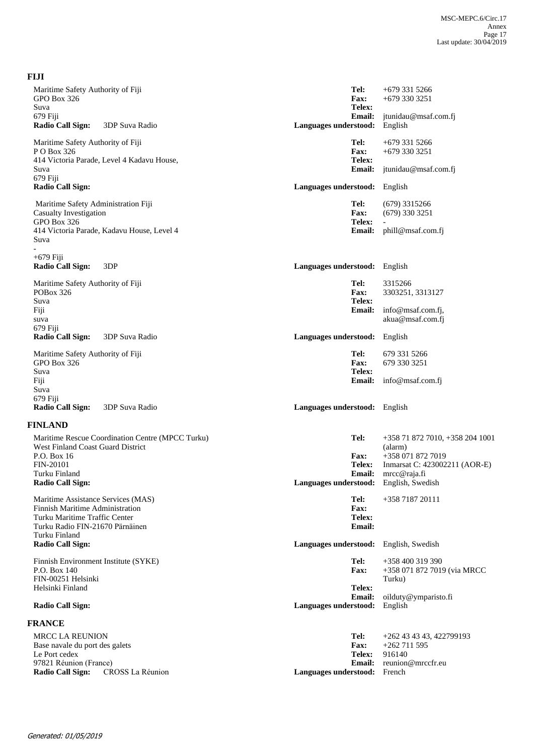| <b>FIJI</b>                                                                           |                  |                                        |                                                                           |
|---------------------------------------------------------------------------------------|------------------|----------------------------------------|---------------------------------------------------------------------------|
| Maritime Safety Authority of Fiji<br>GPO Box 326<br>Suva                              |                  | Tel:<br><b>Fax:</b><br>Telex:          | $+6793315266$<br>$+6793303251$                                            |
| 679 Fiji<br><b>Radio Call Sign:</b><br>3DP Suva Radio                                 |                  | <b>Email:</b><br>Languages understood: | jtunidau@msaf.com.fj<br>English                                           |
| Maritime Safety Authority of Fiji<br>PO Box 326                                       |                  | Tel:<br>Fax:                           | +679 331 5266<br>$+6793303251$                                            |
| 414 Victoria Parade, Level 4 Kadavu House,<br>Suva<br>679 Fiji                        |                  | Telex:<br><b>Email:</b>                | jtunidau@msaf.com.fj                                                      |
| <b>Radio Call Sign:</b>                                                               |                  | Languages understood:                  | English                                                                   |
| Maritime Safety Administration Fiji<br><b>Casualty Investigation</b><br>GPO Box 326   |                  | Tel:<br>Fax:<br>Telex:                 | $(679)$ 3315266<br>$(679)$ 330 3251                                       |
| 414 Victoria Parade, Kadavu House, Level 4<br>Suva                                    |                  | <b>Email:</b>                          | phill@msaf.com.fj                                                         |
| $+679$ Fiji<br><b>Radio Call Sign:</b><br>3DP                                         |                  | Languages understood: English          |                                                                           |
| Maritime Safety Authority of Fiji<br>POBox 326<br>Suva                                |                  | Tel:<br>Fax:<br>Telex:                 | 3315266<br>3303251, 3313127                                               |
| Fiji<br>suva<br>679 Fiji                                                              |                  | <b>Email:</b>                          | info@msaf.com.fj,<br>akua@msaf.com.fj                                     |
| <b>Radio Call Sign:</b><br>3DP Suva Radio                                             |                  | Languages understood:                  | English                                                                   |
| Maritime Safety Authority of Fiji<br>GPO Box 326<br>Suva                              |                  | Tel:<br><b>Fax:</b><br>Telex:          | 679 331 5266<br>679 330 3251                                              |
| Fiji<br>Suva                                                                          |                  | <b>Email:</b>                          | info@msaf.com.fj                                                          |
| 679 Fiji<br>Radio Call Sign:<br>3DP Suva Radio                                        |                  | Languages understood: English          |                                                                           |
| <b>FINLAND</b>                                                                        |                  |                                        |                                                                           |
| Maritime Rescue Coordination Centre (MPCC Turku)<br>West Finland Coast Guard District |                  | Tel:                                   | +358 71 872 7010, +358 204 1001<br>(alarm)                                |
| P.O. Box 16<br><b>FIN-20101</b><br>Turku Finland                                      |                  | <b>Fax:</b><br><b>Telex:</b>           | +358 071 872 7019<br>Inmarsat C: 423002211 (AOR-E)<br>Email: mrcc@raja.fi |
| <b>Radio Call Sign:</b>                                                               |                  | Languages understood: English, Swedish |                                                                           |
| Maritime Assistance Services (MAS)<br>Finnish Maritime Administration                 |                  | Tel:<br><b>Fax:</b>                    | +358 7187 20111                                                           |
| Turku Maritime Traffic Center<br>Turku Radio FIN-21670 Pärnäinen<br>Turku Finland     |                  | Telex:<br>Email:                       |                                                                           |
| <b>Radio Call Sign:</b>                                                               |                  | Languages understood:                  | English, Swedish                                                          |
| Finnish Environment Institute (SYKE)<br>P.O. Box 140<br>FIN-00251 Helsinki            |                  | Tel:<br><b>Fax:</b>                    | +358 400 319 390<br>+358 071 872 7019 (via MRCC<br>Turku)                 |
| Helsinki Finland                                                                      |                  | Telex:<br>Email:                       | oilduty@ymparisto.fi<br>English                                           |
| <b>Radio Call Sign:</b>                                                               |                  | Languages understood:                  |                                                                           |
| <b>FRANCE</b>                                                                         |                  |                                        |                                                                           |
| <b>MRCC LA REUNION</b><br>Base navale du port des galets                              |                  | Tel:<br><b>Fax:</b>                    | +262 43 43 43, 422799193<br>$+262711595$                                  |
| Le Port cedex                                                                         |                  | <b>Telex:</b>                          | 916140                                                                    |
| 97821 Réunion (France)<br><b>Radio Call Sign:</b>                                     | CROSS La Réunion | <b>Email:</b><br>Languages understood: | reunion@mrccfr.eu<br>French                                               |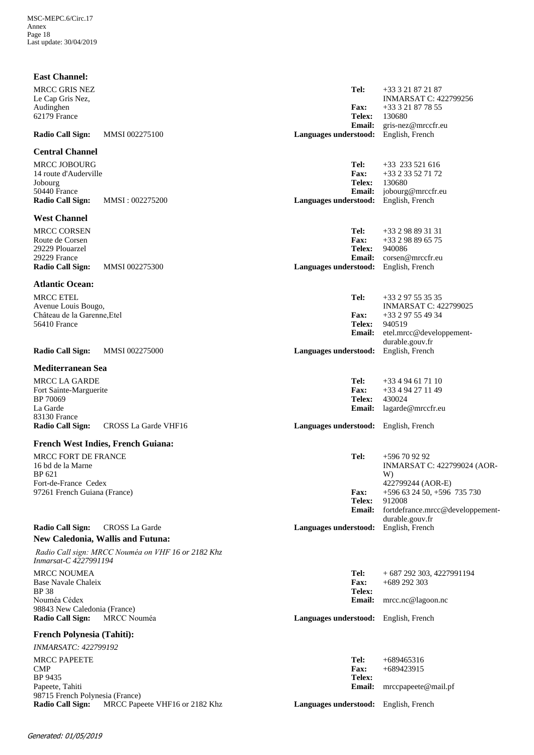| <b>East Channel:</b>                                     |                                                    |                                                  |                                                               |
|----------------------------------------------------------|----------------------------------------------------|--------------------------------------------------|---------------------------------------------------------------|
| <b>MRCC GRIS NEZ</b><br>Le Cap Gris Nez,                 |                                                    | Tel:                                             | +33 3 21 87 21 87<br><b>INMARSAT C: 422799256</b>             |
| Audinghen<br>62179 France                                |                                                    | <b>Fax:</b><br>Telex:                            | +33 3 21 87 78 55<br>130680                                   |
| <b>Radio Call Sign:</b>                                  | MMSI 002275100                                     | <b>Email:</b><br>Languages understood:           | gris-nez@mrccfr.eu<br>English, French                         |
| <b>Central Channel</b>                                   |                                                    |                                                  |                                                               |
| <b>MRCC JOBOURG</b><br>14 route d'Auderville             |                                                    | Tel:<br><b>Fax:</b>                              | $+33$ 233 521 616<br>+33 2 33 52 71 72                        |
| Jobourg<br>50440 France<br><b>Radio Call Sign:</b>       | MMSI: 002275200                                    | <b>Telex:</b><br>Email:<br>Languages understood: | 130680<br>jobourg@mrccfr.eu<br>English, French                |
| <b>West Channel</b>                                      |                                                    |                                                  |                                                               |
| <b>MRCC CORSEN</b>                                       |                                                    | Tel:                                             | $+33298893131$                                                |
| Route de Corsen<br>29229 Plouarzel                       |                                                    | <b>Fax:</b><br><b>Telex:</b>                     | +33 2 98 89 65 75<br>940086                                   |
| 29229 France                                             |                                                    | <b>Email:</b>                                    | corsen@mrccfr.eu                                              |
| <b>Radio Call Sign:</b>                                  | <b>MMSI 002275300</b>                              | <b>Languages understood:</b>                     | English, French                                               |
| <b>Atlantic Ocean:</b>                                   |                                                    |                                                  |                                                               |
| <b>MRCC ETEL</b><br>Avenue Louis Bougo,                  |                                                    | Tel:                                             | $+33297553535$<br><b>INMARSAT C: 422799025</b>                |
| Château de la Garenne, Etel                              |                                                    | <b>Fax:</b>                                      | +33 2 97 55 49 34                                             |
| 56410 France                                             |                                                    | Telex:<br><b>Email:</b>                          | 940519<br>etel.mrcc@developpement-                            |
|                                                          |                                                    |                                                  | durable.gouv.fr                                               |
| <b>Radio Call Sign:</b>                                  | <b>MMSI 002275000</b>                              | Languages understood:                            | English, French                                               |
| <b>Mediterranean Sea</b>                                 |                                                    |                                                  |                                                               |
| MRCC LA GARDE                                            |                                                    | Tel:<br><b>Fax:</b>                              | $+33494617110$<br>+33 4 94 27 11 49                           |
| Fort Sainte-Marguerite<br>BP 70069                       |                                                    | Telex:                                           | 430024                                                        |
| La Garde<br>83130 France                                 |                                                    | <b>Email:</b>                                    | lagarde@mrccfr.eu                                             |
| <b>Radio Call Sign:</b>                                  | CROSS La Garde VHF16                               | Languages understood: English, French            |                                                               |
|                                                          | <b>French West Indies, French Guiana:</b>          |                                                  |                                                               |
| MRCC FORT DE FRANCE                                      |                                                    | Tel:                                             | +596 70 92 92                                                 |
| 16 bd de la Marne<br>BP 621<br>Fort-de-France Cedex      |                                                    |                                                  | <b>INMARSAT C: 422799024 (AOR-</b><br>W)<br>422799244 (AOR-E) |
| 97261 French Guiana (France)                             |                                                    | <b>Fax:</b>                                      | +596 63 24 50, +596 735 730                                   |
|                                                          |                                                    | Telex:<br>Email:                                 | 912008<br>fortdefrance.mrcc@developpement-<br>durable.gouv.fr |
| Radio Call Sign:                                         | <b>CROSS La Garde</b>                              | Languages understood:                            | English, French                                               |
|                                                          | New Caledonia, Wallis and Futuna:                  |                                                  |                                                               |
| Inmarsat-C 4227991194                                    | Radio Call sign: MRCC Nouméa on VHF 16 or 2182 Khz |                                                  |                                                               |
| <b>MRCC NOUMEA</b><br>Base Navale Chaleix<br><b>BP38</b> |                                                    | Tel:<br><b>Fax:</b><br>Telex:                    | $+687292303, 4227991194$<br>$+689$ 292 303                    |
| Nouméa Cédex                                             |                                                    | <b>Email:</b>                                    | mrcc.nc@lagoon.nc                                             |
| 98843 New Caledonia (France)<br><b>Radio Call Sign:</b>  | <b>MRCC</b> Nouméa                                 | Languages understood: English, French            |                                                               |
| <b>French Polynesia (Tahiti):</b>                        |                                                    |                                                  |                                                               |
| <b>INMARSATC: 422799192</b>                              |                                                    |                                                  |                                                               |
| <b>MRCC PAPEETE</b><br><b>CMP</b>                        |                                                    | Tel:<br>Fax:                                     | $+689465316$<br>$+689423915$                                  |
| BP 9435                                                  |                                                    | Telex:                                           |                                                               |
| Papeete, Tahiti<br>98715 French Polynesia (France)       |                                                    | <b>Email:</b>                                    | mrccpapeete@mail.pf                                           |
| <b>Radio Call Sign:</b>                                  | MRCC Papeete VHF16 or 2182 Khz                     | Languages understood: English, French            |                                                               |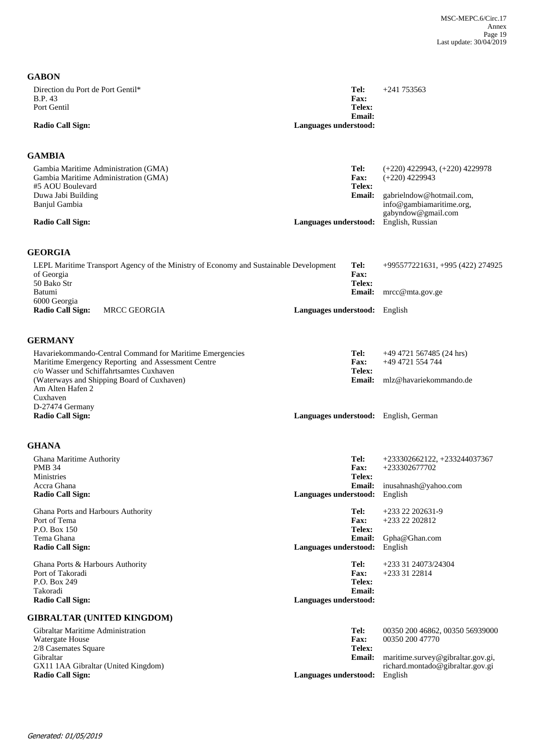| <b>GABON</b>                                                                                                                                                                                                                                   |                                                                         |                                                                                                                                                          |
|------------------------------------------------------------------------------------------------------------------------------------------------------------------------------------------------------------------------------------------------|-------------------------------------------------------------------------|----------------------------------------------------------------------------------------------------------------------------------------------------------|
| Direction du Port de Port Gentil*<br><b>B.P.</b> 43<br>Port Gentil                                                                                                                                                                             | Tel:<br><b>Fax:</b><br>Telex:                                           | $+241753563$                                                                                                                                             |
| <b>Radio Call Sign:</b>                                                                                                                                                                                                                        | <b>Email:</b><br>Languages understood:                                  |                                                                                                                                                          |
| GAMBIA                                                                                                                                                                                                                                         |                                                                         |                                                                                                                                                          |
| Gambia Maritime Administration (GMA)<br>Gambia Maritime Administration (GMA)<br>#5 AOU Boulevard<br>Duwa Jabi Building<br>Banjul Gambia<br><b>Radio Call Sign:</b>                                                                             | Tel:<br><b>Fax:</b><br>Telex:<br><b>Email:</b><br>Languages understood: | $(+220)$ 4229943, $(+220)$ 4229978<br>$(+220)$ 4229943<br>gabrielndow@hotmail.com,<br>info@gambiamaritime.org,<br>gabyndow@gmail.com<br>English, Russian |
| <b>GEORGIA</b>                                                                                                                                                                                                                                 |                                                                         |                                                                                                                                                          |
| LEPL Maritime Transport Agency of the Ministry of Economy and Sustainable Development<br>of Georgia<br>50 Bako Str                                                                                                                             | Tel:<br>Fax:<br>Telex:                                                  | +995577221631, +995 (422) 274925                                                                                                                         |
| Batumi<br>6000 Georgia<br><b>Radio Call Sign:</b><br><b>MRCC GEORGIA</b>                                                                                                                                                                       | <b>Email:</b><br>Languages understood: English                          | $\text{mrcc}@mta.gov.$ ge                                                                                                                                |
|                                                                                                                                                                                                                                                |                                                                         |                                                                                                                                                          |
| <b>GERMANY</b><br>Havariekommando-Central Command for Maritime Emergencies<br>Maritime Emergency Reporting and Assessment Centre<br>c/o Wasser und Schiffahrtsamtes Cuxhaven<br>(Waterways and Shipping Board of Cuxhaven)<br>Am Alten Hafen 2 | Tel:<br><b>Fax:</b><br><b>Telex:</b><br><b>Email:</b>                   | $+49$ 4721 567485 (24 hrs)<br>+49 4721 554 744<br>mlz@havariekommando.de                                                                                 |
| Cuxhaven<br>D-27474 Germany<br><b>Radio Call Sign:</b>                                                                                                                                                                                         | Languages understood: English, German                                   |                                                                                                                                                          |
| <b>GHANA</b>                                                                                                                                                                                                                                   |                                                                         |                                                                                                                                                          |
| Ghana Maritime Authority<br><b>PMB 34</b><br>Ministries<br>Accra Ghana<br><b>Radio Call Sign:</b>                                                                                                                                              | Tel:<br><b>Fax:</b><br>Telex:<br><b>Email:</b><br>Languages understood: | +233302662122, +233244037367<br>+233302677702<br>inusahnash@yahoo.com<br>English                                                                         |
| Ghana Ports and Harbours Authority<br>Port of Tema<br>P.O. Box 150<br>Tema Ghana<br><b>Radio Call Sign:</b>                                                                                                                                    | Tel:<br><b>Fax:</b><br>Telex:<br><b>Email:</b><br>Languages understood: | $+233$ 22 202631-9<br>+233 22 202812<br>Gpha@Ghan.com<br>English                                                                                         |
| Ghana Ports & Harbours Authority<br>Port of Takoradi<br>P.O. Box 249<br>Takoradi<br><b>Radio Call Sign:</b>                                                                                                                                    | Tel:<br><b>Fax:</b><br>Telex:<br><b>Email:</b><br>Languages understood: | +233 31 24073/24304<br>+233 31 22814                                                                                                                     |
| <b>GIBRALTAR (UNITED KINGDOM)</b>                                                                                                                                                                                                              |                                                                         |                                                                                                                                                          |
| Gibraltar Maritime Administration<br>Watergate House<br>2/8 Casemates Square<br>Gibraltar<br>GX11 1AA Gibraltar (United Kingdom)<br><b>Radio Call Sign:</b>                                                                                    | Tel:<br><b>Fax:</b><br>Telex:<br><b>Email:</b><br>Languages understood: | 00350 200 46862, 00350 56939000<br>00350 200 47770<br>maritime.survey@gibraltar.gov.gi,<br>richard.montado@gibraltar.gov.gi<br>English                   |
|                                                                                                                                                                                                                                                |                                                                         |                                                                                                                                                          |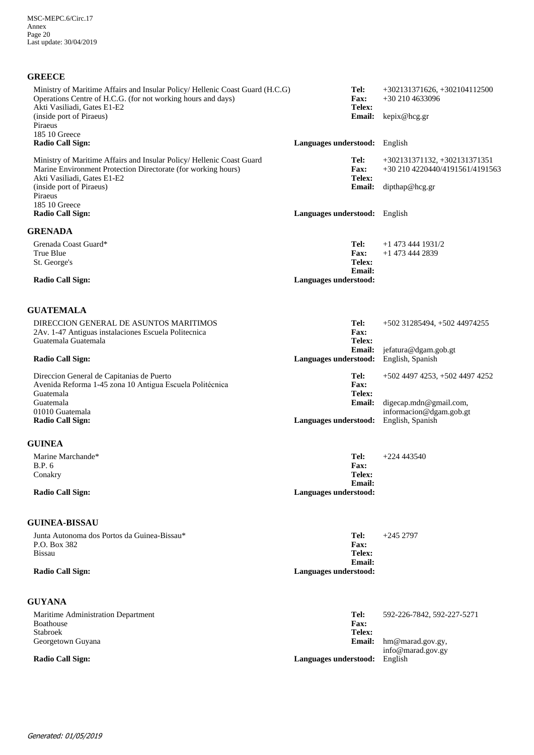| <b>GREECE</b>                |  |
|------------------------------|--|
| Ministry of Maritime Affairs |  |
| Operations Centre of $H C G$ |  |

| Ministry of Maritime Affairs and Insular Policy/ Hellenic Coast Guard (H.C.G)<br>Operations Centre of H.C.G. (for not working hours and days)<br>Akti Vasiliadi, Gates E1-E2<br>(inside port of Piraeus)<br>Piraeus<br>185 10 Greece              | Tel:<br><b>Fax:</b><br>Telex:<br><b>Email:</b>                           | +302131371626, +302104112500<br>$+302104633096$<br>kepix@hcg.gr                   |
|---------------------------------------------------------------------------------------------------------------------------------------------------------------------------------------------------------------------------------------------------|--------------------------------------------------------------------------|-----------------------------------------------------------------------------------|
| <b>Radio Call Sign:</b>                                                                                                                                                                                                                           | <b>Languages understood:</b> English                                     |                                                                                   |
| Ministry of Maritime Affairs and Insular Policy/ Hellenic Coast Guard<br>Marine Environment Protection Directorate (for working hours)<br>Akti Vasiliadi, Gates E1-E2<br>(inside port of Piraeus)<br>Piraeus<br>185 10 Greece<br>Radio Call Sign: | Tel:<br>Fax:<br>Telex:<br><b>Email:</b><br>Languages understood: English | +302131371132, +302131371351<br>+30 210 4220440/4191561/4191563<br>dipthap@heg.gr |
| <b>GRENADA</b>                                                                                                                                                                                                                                    |                                                                          |                                                                                   |
| Grenada Coast Guard*<br>True Blue<br>St. George's<br>Radio Call Sign:                                                                                                                                                                             | Tel:<br><b>Fax:</b><br>Telex:<br>Email:<br>Languages understood:         | $+1$ 473 444 1931/2<br>+1 473 444 2839                                            |
|                                                                                                                                                                                                                                                   |                                                                          |                                                                                   |
| <b>GUATEMALA</b>                                                                                                                                                                                                                                  |                                                                          |                                                                                   |
| DIRECCION GENERAL DE ASUNTOS MARITIMOS<br>2Av. 1-47 Antiguas instalaciones Escuela Politecnica<br>Guatemala Guatemala                                                                                                                             | Tel:<br>Fax:<br>Telex:                                                   | $+502$ 31285494, $+502$ 44974255                                                  |
| <b>Radio Call Sign:</b>                                                                                                                                                                                                                           | <b>Email:</b><br>Languages understood:                                   | jefatura@dgam.gob.gt<br>English, Spanish                                          |
| Direccion General de Capitanias de Puerto<br>Avenida Reforma 1-45 zona 10 Antigua Escuela Politécnica<br>Guatemala                                                                                                                                | Tel:<br>Fax:<br>Telex:                                                   | +502 4497 4253, +502 4497 4252                                                    |
| Guatemala<br>01010 Guatemala<br><b>Radio Call Sign:</b>                                                                                                                                                                                           | <b>Email:</b><br>Languages understood:                                   | digecap.mdn@gmail.com,<br>informacion@dgam.gob.gt<br>English, Spanish             |
| <b>GUINEA</b>                                                                                                                                                                                                                                     |                                                                          |                                                                                   |
| Marine Marchande*<br><b>B.P.</b> 6<br>Conakry<br><b>Radio Call Sign:</b>                                                                                                                                                                          | Tel:<br><b>Fax:</b><br>Telex:<br><b>Email:</b><br>Languages understood:  | $+224443540$                                                                      |
| <b>GUINEA-BISSAU</b>                                                                                                                                                                                                                              |                                                                          |                                                                                   |
| Junta Autonoma dos Portos da Guinea-Bissau*                                                                                                                                                                                                       | Tel:                                                                     | $+2452797$                                                                        |

Junta Autonoma dos Portos da Guinea-Bissau\* P.O. Box 382 Bissau

**Radio Call Sign: Languages understood:**

## **GUYANA**

| Maritime Administration Department | Tel:                  | 592-226-7842, 592-227-5271        |
|------------------------------------|-----------------------|-----------------------------------|
| Boathouse                          | <b>Fax:</b>           |                                   |
| <b>Stabroek</b>                    | Telex:                |                                   |
| Georgetown Guyana                  |                       | <b>Email:</b> $hm@mard.gov.gov$ , |
|                                    |                       | info@marad.gov.gy                 |
| <b>Radio Call Sign:</b>            | Languages understood: | English                           |

**Email: Telex: Fax:**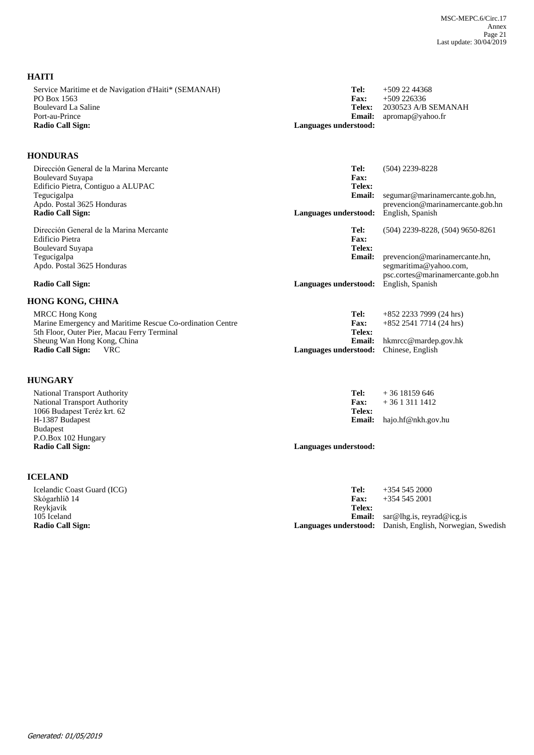| Service Maritime et de Navigation d'Haiti* (SEMANAH)<br>PO Box 1563<br><b>Boulevard La Saline</b>                          | Tel:<br>Fax:<br><b>Telex:</b>          | $+5092244368$<br>$+509226336$<br>2030523 A/B SEMANAH             |
|----------------------------------------------------------------------------------------------------------------------------|----------------------------------------|------------------------------------------------------------------|
| Port-au-Prince<br><b>Radio Call Sign:</b>                                                                                  | <b>Email:</b><br>Languages understood: | apromap@yahoo.fr                                                 |
| <b>HONDURAS</b>                                                                                                            |                                        |                                                                  |
| Dirección General de la Marina Mercante<br><b>Boulevard Suyapa</b><br>Edificio Pietra, Contiguo a ALUPAC                   | Tel:<br>Fax:<br>Telex:                 | $(504)$ 2239-8228                                                |
| Tegucigalpa                                                                                                                | <b>Email:</b>                          | segumar@marinamercante.gob.hn,                                   |
| Apdo. Postal 3625 Honduras<br><b>Radio Call Sign:</b>                                                                      | Languages understood:                  | prevencion@marinamercante.gob.hn<br>English, Spanish             |
| Dirección General de la Marina Mercante<br>Edificio Pietra<br><b>Boulevard Suyapa</b>                                      | Tel:<br>Fax:<br>Telex:                 | $(504)$ 2239-8228, $(504)$ 9650-8261                             |
| Tegucigalpa<br>Apdo. Postal 3625 Honduras                                                                                  | <b>Email:</b>                          | prevencion@marinamercante.hn,<br>segmaritima@yahoo.com,          |
| Radio Call Sign:                                                                                                           | Languages understood:                  | psc.cortes@marinamercante.gob.hn<br>English, Spanish             |
| HONG KONG, CHINA                                                                                                           |                                        |                                                                  |
| MRCC Hong Kong<br>Marine Emergency and Maritime Rescue Co-ordination Centre<br>5th Floor, Outer Pier, Macau Ferry Terminal | Tel:<br><b>Fax:</b><br>Telex:          | $+852$ 2233 7999 (24 hrs)<br>$+852$ 2541 7714 (24 hrs)           |
| Sheung Wan Hong Kong, China<br><b>Radio Call Sign:</b><br><b>VRC</b>                                                       | <b>Email:</b><br>Languages understood: | hkmrcc@mardep.gov.hk<br>Chinese, English                         |
| <b>HUNGARY</b>                                                                                                             |                                        |                                                                  |
| <b>National Transport Authority</b>                                                                                        | Tel:                                   | $+3618159646$                                                    |
| <b>National Transport Authority</b><br>1066 Budapest Teréz krt. 62                                                         | Fax:<br>Telex:                         | $+3613111412$                                                    |
| H-1387 Budapest<br><b>Budapest</b><br>P.O.Box 102 Hungary                                                                  | Email:                                 | hajo.hf@nkh.gov.hu                                               |
| <b>Radio Call Sign:</b>                                                                                                    | Languages understood:                  |                                                                  |
| <b>ICELAND</b>                                                                                                             |                                        |                                                                  |
| Icelandic Coast Guard (ICG)                                                                                                | Tel:                                   | $+35452000$                                                      |
| Skógarhlíð 14<br>Reykjavik                                                                                                 | Fax:<br>Telex:                         | $+35452001$                                                      |
| 105 Iceland<br><b>Radio Call Sign:</b>                                                                                     | <b>Email:</b><br>Languages understood: | sar@lhg.is, reyrad@icg.is<br>Danish, English, Norwegian, Swedish |

**HAITI**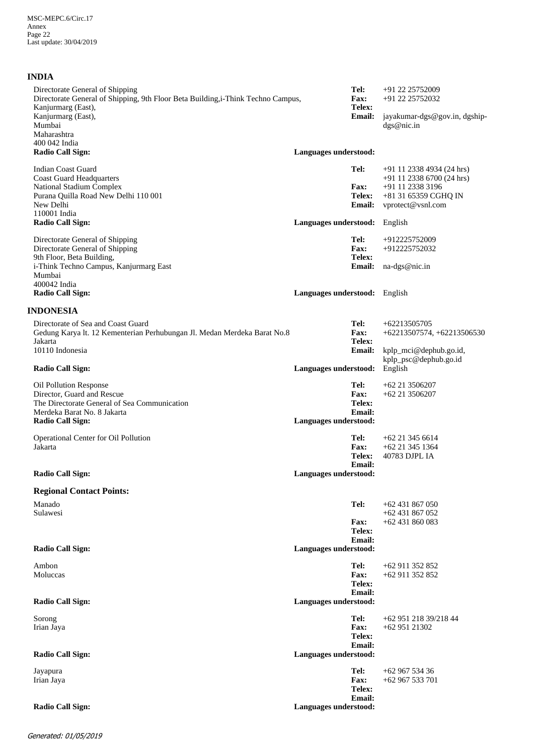## **INDIA**

| Directorate General of Shipping<br>Directorate General of Shipping, 9th Floor Beta Building, i-Think Techno Campus,<br>Kanjurmarg (East),<br>Kanjurmarg (East),                                | Tel:<br>Fax:<br>Telex:<br><b>Email:</b>                                         | +91 22 25752009<br>+91 22 25752032<br>jayakumar-dgs@gov.in, dgship-                                                       |
|------------------------------------------------------------------------------------------------------------------------------------------------------------------------------------------------|---------------------------------------------------------------------------------|---------------------------------------------------------------------------------------------------------------------------|
| Mumbai<br>Maharashtra<br>400 042 India                                                                                                                                                         |                                                                                 | dgs@nic.in                                                                                                                |
| <b>Radio Call Sign:</b>                                                                                                                                                                        | Languages understood:                                                           |                                                                                                                           |
| <b>Indian Coast Guard</b><br><b>Coast Guard Headquarters</b><br>National Stadium Complex<br>Purana Quilla Road New Delhi 110 001<br>New Delhi<br>110001 India                                  | Tel:<br><b>Fax:</b><br><b>Telex:</b><br><b>Email:</b>                           | $+91$ 11 2338 4934 (24 hrs)<br>+91 11 2338 6700 (24 hrs)<br>+91 11 2338 3196<br>+81 31 65359 CGHQ IN<br>vprotect@vsnl.com |
| <b>Radio Call Sign:</b>                                                                                                                                                                        | Languages understood:                                                           | English                                                                                                                   |
| Directorate General of Shipping<br>Directorate General of Shipping<br>9th Floor, Beta Building,<br>i-Think Techno Campus, Kanjurmarg East<br>Mumbai<br>400042 India<br><b>Radio Call Sign:</b> | Tel:<br><b>Fax:</b><br>Telex:<br><b>Email:</b><br>Languages understood: English | +912225752009<br>+912225752032<br>na-dgs@nic.in                                                                           |
| <b>INDONESIA</b>                                                                                                                                                                               |                                                                                 |                                                                                                                           |
| Directorate of Sea and Coast Guard<br>Gedung Karya lt. 12 Kementerian Perhubungan Jl. Medan Merdeka Barat No.8<br>Jakarta<br>10110 Indonesia                                                   | Tel:<br>Fax:<br>Telex:<br><b>Email:</b>                                         | +62213505705<br>+62213507574, +62213506530<br>kplp_mci@dephub.go.id,<br>kplp_psc@dephub.go.id                             |
| <b>Radio Call Sign:</b>                                                                                                                                                                        | Languages understood:                                                           | English                                                                                                                   |
| Oil Pollution Response<br>Director, Guard and Rescue<br>The Directorate General of Sea Communication<br>Merdeka Barat No. 8 Jakarta<br><b>Radio Call Sign:</b>                                 | Tel:<br><b>Fax:</b><br>Telex:<br>Email:<br>Languages understood:                | $+62$ 21 3506207<br>$+62$ 21 3506207                                                                                      |
| Operational Center for Oil Pollution<br>Jakarta                                                                                                                                                | Tel:<br>Fax:<br><b>Telex:</b><br>Email:                                         | +62 21 345 6614<br>$+62$ 21 345 1364<br>40783 DJPL IA                                                                     |
| <b>Radio Call Sign:</b>                                                                                                                                                                        | Languages understood:                                                           |                                                                                                                           |
| <b>Regional Contact Points:</b>                                                                                                                                                                |                                                                                 |                                                                                                                           |
| Manado<br>Sulawesi                                                                                                                                                                             | Tel:<br><b>Fax:</b><br>Telex:<br><b>Email:</b>                                  | +62 431 867 050<br>$+62431867052$<br>$+62431860083$                                                                       |
| <b>Radio Call Sign:</b>                                                                                                                                                                        | Languages understood:                                                           |                                                                                                                           |
| Ambon<br>Moluccas                                                                                                                                                                              | Tel:<br><b>Fax:</b><br>Telex:<br><b>Email:</b>                                  | +62 911 352 852<br>+62 911 352 852                                                                                        |
| <b>Radio Call Sign:</b>                                                                                                                                                                        | Languages understood:                                                           |                                                                                                                           |
| Sorong<br>Irian Jaya                                                                                                                                                                           | Tel:<br><b>Fax:</b><br>Telex:<br><b>Email:</b>                                  | +62 951 218 39/218 44<br>+62 951 21302                                                                                    |
| <b>Radio Call Sign:</b>                                                                                                                                                                        | Languages understood:                                                           |                                                                                                                           |
| Jayapura<br>Irian Jaya                                                                                                                                                                         | Tel:<br><b>Fax:</b><br>Telex:<br>Email:                                         | $+6296753436$<br>$+62967533701$                                                                                           |
| <b>Radio Call Sign:</b>                                                                                                                                                                        | Languages understood:                                                           |                                                                                                                           |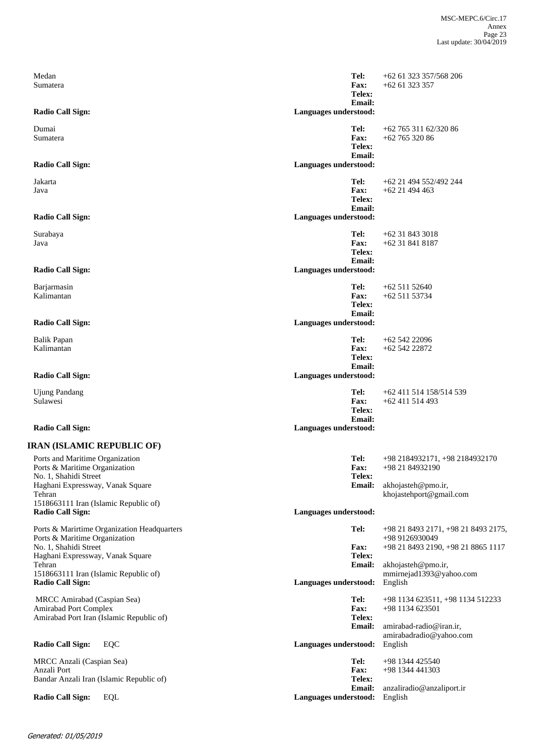| Medan<br>Sumatera                                                                                                                                   | Tel:<br><b>Fax:</b><br>Telex:<br>Email:        | $+62$ 61 323 357/568 206<br>$+6261323357$                                                                         |
|-----------------------------------------------------------------------------------------------------------------------------------------------------|------------------------------------------------|-------------------------------------------------------------------------------------------------------------------|
| <b>Radio Call Sign:</b>                                                                                                                             | Languages understood:                          |                                                                                                                   |
| Dumai<br>Sumatera                                                                                                                                   | Tel:<br>Fax:<br>Telex:<br><b>Email:</b>        | +62 765 311 62/320 86<br>$+6276532086$                                                                            |
| <b>Radio Call Sign:</b>                                                                                                                             | Languages understood:                          |                                                                                                                   |
| Jakarta<br>Java                                                                                                                                     | Tel:<br>Fax:<br>Telex:<br><b>Email:</b>        | +62 21 494 552/492 244<br>$+62$ 21 494 463                                                                        |
| <b>Radio Call Sign:</b>                                                                                                                             | Languages understood:                          |                                                                                                                   |
| Surabaya<br>Java                                                                                                                                    | Tel:<br><b>Fax:</b><br>Telex:<br><b>Email:</b> | $+62318433018$<br>+62 31 841 8187                                                                                 |
| <b>Radio Call Sign:</b>                                                                                                                             | Languages understood:                          |                                                                                                                   |
| Barjarmasin<br>Kalimantan                                                                                                                           | Tel:<br>Fax:<br>Telex:<br><b>Email:</b>        | $+6251152640$<br>+62 511 53734                                                                                    |
| <b>Radio Call Sign:</b>                                                                                                                             | Languages understood:                          |                                                                                                                   |
| <b>Balik Papan</b><br>Kalimantan                                                                                                                    | Tel:<br><b>Fax:</b><br>Telex:<br>Email:        | $+6254222096$<br>+62 542 22872                                                                                    |
| <b>Radio Call Sign:</b>                                                                                                                             | Languages understood:                          |                                                                                                                   |
| <b>Ujung Pandang</b><br>Sulawesi                                                                                                                    | Tel:<br><b>Fax:</b><br>Telex:<br>Email:        | +62 411 514 158/514 539<br>$+62$ 411 514 493                                                                      |
| <b>Radio Call Sign:</b>                                                                                                                             | Languages understood:                          |                                                                                                                   |
| <b>IRAN (ISLAMIC REPUBLIC OF)</b>                                                                                                                   |                                                |                                                                                                                   |
| Ports and Maritime Organization<br>Ports & Maritime Organization<br>No. 1, Shahidi Street<br>Haghani Expressway, Vanak Square<br>Tehran             | Tel:<br>Fax:<br>Telex:<br><b>Email:</b>        | +98 2184932171, +98 2184932170<br>+98 21 84932190<br>akhojasteh@pmo.ir,<br>khojastehport@gmail.com                |
| 1518663111 Iran (Islamic Republic of)<br><b>Radio Call Sign:</b>                                                                                    | Languages understood:                          |                                                                                                                   |
| Ports & Marirtime Organization Headquarters<br>Ports & Maritime Organization<br>No. 1, Shahidi Street<br>Haghani Expressway, Vanak Square<br>Tehran | Tel:<br>Fax:<br>Telex:<br><b>Email:</b>        | +98 21 8493 2171, +98 21 8493 2175,<br>+98 9126930049<br>+98 21 8493 2190, +98 21 8865 1117<br>akhojasteh@pmo.ir, |
| 1518663111 Iran (Islamic Republic of)<br><b>Radio Call Sign:</b>                                                                                    | Languages understood:                          | mmirnejad1393@yahoo.com<br>English                                                                                |
| MRCC Amirabad (Caspian Sea)<br>Amirabad Port Complex<br>Amirabad Port Iran (Islamic Republic of)                                                    | Tel:<br>Fax:<br>Telex:<br><b>Email:</b>        | +98 1134 623511, +98 1134 512233<br>+98 1134 623501<br>amirabad-radio@iran.ir,                                    |
| <b>Radio Call Sign:</b><br>EQC                                                                                                                      | Languages understood:                          | amirabadradio@yahoo.com<br>English                                                                                |
| MRCC Anzali (Caspian Sea)<br>Anzali Port<br>Bandar Anzali Iran (Islamic Republic of)                                                                | Tel:<br>Fax:<br>Telex:                         | +98 1344 425540<br>+98 1344 441303                                                                                |
| <b>Radio Call Sign:</b><br><b>EQL</b>                                                                                                               | <b>Email:</b><br>Languages understood:         | anzaliradio@anzaliport.ir<br>English                                                                              |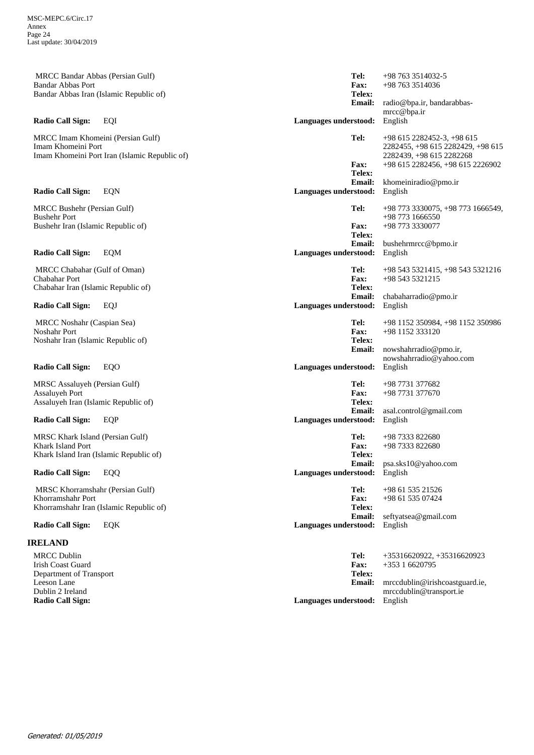MRCC Bandar Abbas (Persian Gulf) Bandar Abbas Port Bandar Abbas Iran (Islamic Republic of)

MRCC Imam Khomeini (Persian Gulf) Imam Khomeini Port Imam Khomeini Port Iran (Islamic Republic of)

MRCC Bushehr (Persian Gulf) Bushehr Port Bushehr Iran (Islamic Republic of)

 MRCC Chabahar (Gulf of Oman) Chabahar Port Chabahar Iran (Islamic Republic of)

 MRCC Noshahr (Caspian Sea) Noshahr Port Noshahr Iran (Islamic Republic of)

MRSC Assaluyeh (Persian Gulf) Assaluyeh Port Assaluyeh Iran (Islamic Republic of)

MRSC Khark Island (Persian Gulf) Khark Island Port Khark Island Iran (Islamic Republic of)

 MRSC Khorramshahr (Persian Gulf) Khorramshahr Port Khorramshahr Iran (Islamic Republic of)

## **IRELAND**

| <b>MRCC Dublin</b><br>Irish Coast Guard | Tel:<br><b>Fax:</b>                  | $+35316620922, +35316620923$<br>$+35316620795$ |
|-----------------------------------------|--------------------------------------|------------------------------------------------|
| Department of Transport                 | Telex:                               |                                                |
| Leeson Lane                             |                                      | <b>Email:</b> mrccdublin@irishcoastguard.ie,   |
| Dublin 2 Ireland                        |                                      | mrccdublin@transport.ie                        |
| <b>Radio Call Sign:</b>                 | <b>Languages understood:</b> English |                                                |

radio@bpa.ir, bandarabbasmrcc@bpa.ir +98 763 3514036 **Email: Telex: Fax: Radio Call Sign:** EQI **Languages understood:** English **Tel:** +98 763 3514032-5 khomeiniradio@pmo.ir +98 615 2282456, +98 615 2226902 **Email: Telex: Fax: Radio Call Sign:** EQN **Languages understood: Tel:** +98 615 2282452-3, +98 615 2282455, +98 615 2282429, +98 615 2282439, +98 615 2282268 bushehrmrcc@bpmo.ir +98 773 3330077 **Email: Telex: Fax: Radio Call Sign:** EQM **Languages understood:** English **Tel:** +98 773 3330075, +98 773 1666549, +98 773 1666550 chabaharradio@pmo.ir +98 543 5321215 **Email: Telex: Fax: Radio Call Sign:** EQJ **Languages understood:** English **Tel:** +98 543 5321415, +98 543 5321216 nowshahrradio@pmo.ir, nowshahrradio@yahoo.com +98 1152 333120 **Email: Telex: Fax: Radio Call Sign:** EQO **Languages understood:** English English English English English English English English English English English English English English English English English English English English English English **Tel:** +98 1152 350984, +98 1152 350986 asal.control@gmail.com +98 7731 377670 **Email: Telex: Fax: Radio Call Sign:** EQP **Languages understood: Tel:** +98 7731 377682 psa.sks10@yahoo.com +98 7333 822680 **Email: Telex: Fax: Radio Call Sign:** EQQ **Languages understood:** English **Tel:** +98 7333 822680 seftyatsea@gmail.com +98 61 535 07424 **Email: Telex: Fax: Radio Call Sign:** EQK **Languages understood:** English **Tel:** +98 61 535 21526

| Generated: 01/05/2019 |  |
|-----------------------|--|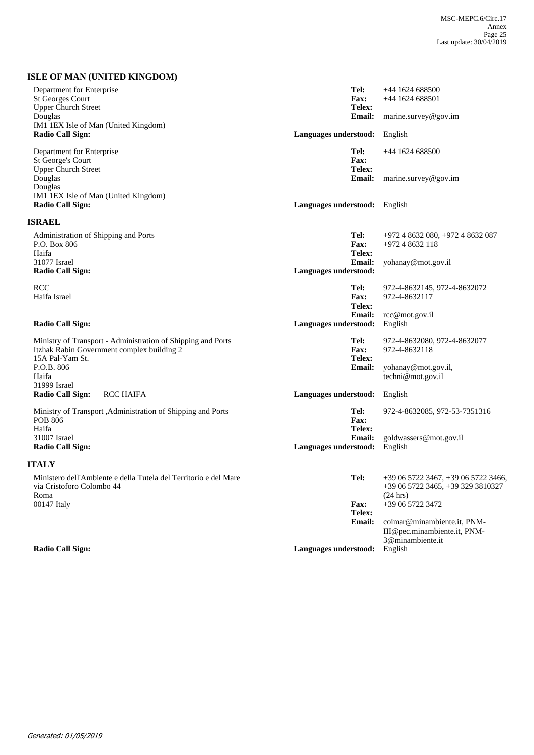## **ISLE OF MAN (UNITED KINGDOM)**

| Department for Enterprise<br><b>St Georges Court</b><br><b>Upper Church Street</b>                                                                   | Tel:<br><b>Fax:</b><br>Telex:                  | +44 1624 688500<br>$+44$ 1624 688501                                                                           |
|------------------------------------------------------------------------------------------------------------------------------------------------------|------------------------------------------------|----------------------------------------------------------------------------------------------------------------|
| Douglas<br>IM1 1EX Isle of Man (United Kingdom)                                                                                                      |                                                | Email: marine.survey@gov.im                                                                                    |
| <b>Radio Call Sign:</b>                                                                                                                              | Languages understood: English                  |                                                                                                                |
| Department for Enterprise<br><b>St George's Court</b><br><b>Upper Church Street</b>                                                                  | Tel:<br><b>Fax:</b><br>Telex:                  | +44 1624 688500                                                                                                |
| Douglas<br>Douglas<br>IM1 1EX Isle of Man (United Kingdom)                                                                                           | <b>Email:</b>                                  | marine.survey@gov.im                                                                                           |
| <b>Radio Call Sign:</b>                                                                                                                              | Languages understood: English                  |                                                                                                                |
| <b>ISRAEL</b>                                                                                                                                        |                                                |                                                                                                                |
| Administration of Shipping and Ports<br>P.O. Box 806<br>Haifa                                                                                        | Tel:<br>Fax:<br>Telex:                         | +972 4 8632 080, +972 4 8632 087<br>+972 4 8632 118                                                            |
| 31077 Israel<br><b>Radio Call Sign:</b>                                                                                                              | <b>Email:</b><br>Languages understood:         | yohanay@mot.gov.il                                                                                             |
| <b>RCC</b><br>Haifa Israel                                                                                                                           | Tel:<br><b>Fax:</b><br>Telex:                  | 972-4-8632145, 972-4-8632072<br>972-4-8632117                                                                  |
| Radio Call Sign:                                                                                                                                     | <b>Email:</b><br>Languages understood:         | rcc@mot.gov.il<br>English                                                                                      |
| Ministry of Transport - Administration of Shipping and Ports<br>Itzhak Rabin Government complex building 2<br>15A Pal-Yam St.<br>P.O.B. 806<br>Haifa | Tel:<br><b>Fax:</b><br>Telex:<br><b>Email:</b> | 972-4-8632080, 972-4-8632077<br>972-4-8632118<br>yohanay@mot.gov.il,<br>techni@mot.gov.il                      |
| 31999 Israel<br><b>RCC HAIFA</b><br><b>Radio Call Sign:</b>                                                                                          | Languages understood: English                  |                                                                                                                |
| Ministry of Transport , Administration of Shipping and Ports<br><b>POB 806</b><br>Haifa                                                              | Tel:<br>Fax:<br>Telex:                         | 972-4-8632085, 972-53-7351316                                                                                  |
| 31007 Israel<br><b>Radio Call Sign:</b>                                                                                                              | <b>Email:</b><br>Languages understood:         | goldwassers@mot.gov.il<br>English                                                                              |
| <b>ITALY</b>                                                                                                                                         |                                                |                                                                                                                |
| Ministero dell'Ambiente e della Tutela del Territorio e del Mare<br>via Cristoforo Colombo 44<br>Roma<br>00147 Italy                                 | Tel:<br>Fax:                                   | $+390657223467, +390657223466,$<br>+39 06 5722 3465, +39 329 3810327<br>$(24 \text{ hrs})$<br>+39 06 5722 3472 |
|                                                                                                                                                      | Telex:<br><b>Email:</b>                        | coimar@minambiente.it, PNM-<br>III@pec.minambiente.it, PNM-<br>3@minambiente.it                                |
| <b>Radio Call Sign:</b>                                                                                                                              | Languages understood:                          | English                                                                                                        |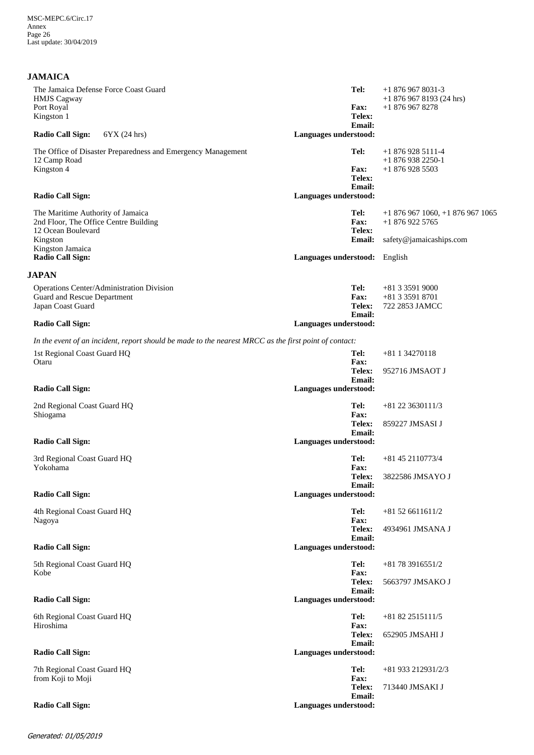## **JAMAICA**

| The Jamaica Defense Force Coast Guard<br><b>HMJS</b> Cagway<br>Port Royal                                                                                   |                                                                                                       | Tel:<br><b>Fax:</b>                                                      | $+18769678031-3$<br>$+18769678193(24 hrs)$<br>$+18769678278$                 |
|-------------------------------------------------------------------------------------------------------------------------------------------------------------|-------------------------------------------------------------------------------------------------------|--------------------------------------------------------------------------|------------------------------------------------------------------------------|
| Kingston 1<br><b>Radio Call Sign:</b><br>6YX (24 hrs)                                                                                                       |                                                                                                       | Telex:<br><b>Email:</b><br>Languages understood:                         |                                                                              |
| 12 Camp Road<br>Kingston 4                                                                                                                                  | The Office of Disaster Preparedness and Emergency Management                                          | Tel:<br><b>Fax:</b><br>Telex:<br><b>Email:</b>                           | $+18769285111-4$<br>$+18769382250-1$<br>$+18769285503$                       |
| <b>Radio Call Sign:</b>                                                                                                                                     |                                                                                                       | Languages understood:                                                    |                                                                              |
| The Maritime Authority of Jamaica<br>2nd Floor, The Office Centre Building<br>12 Ocean Boulevard<br>Kingston<br>Kingston Jamaica<br><b>Radio Call Sign:</b> |                                                                                                       | Tel:<br>Fax:<br>Telex:<br><b>Email:</b><br>Languages understood: English | $+18769671060$ , $+18769671065$<br>$+18769225765$<br>safety@jamaicaships.com |
| <b>JAPAN</b>                                                                                                                                                |                                                                                                       |                                                                          |                                                                              |
| Operations Center/Administration Division<br>Guard and Rescue Department<br>Japan Coast Guard<br><b>Radio Call Sign:</b>                                    |                                                                                                       | Tel:<br><b>Fax:</b><br><b>Telex:</b><br>Email:<br>Languages understood:  | +81 3 3591 9000<br>+81 3 3591 8701<br>722 2853 JAMCC                         |
|                                                                                                                                                             | In the event of an incident, report should be made to the nearest MRCC as the first point of contact: |                                                                          |                                                                              |
| 1st Regional Coast Guard HQ<br>Otaru                                                                                                                        |                                                                                                       | Tel:<br><b>Fax:</b><br>Telex:<br>Email:                                  | +81 1 34270118<br>952716 JMSAOT J                                            |
| <b>Radio Call Sign:</b>                                                                                                                                     |                                                                                                       | Languages understood:                                                    |                                                                              |
| 2nd Regional Coast Guard HQ<br>Shiogama                                                                                                                     |                                                                                                       | Tel:<br><b>Fax:</b><br>Telex:                                            | $+81$ 22 3630111/3<br>859227 JMSASI J                                        |
| <b>Radio Call Sign:</b>                                                                                                                                     |                                                                                                       | Email:<br>Languages understood:                                          |                                                                              |
| 3rd Regional Coast Guard HQ<br>Yokohama                                                                                                                     |                                                                                                       | Tel:<br>Fax:<br>Telex:                                                   | $+81$ 45 2110773/4<br>3822586 JMSAYO J                                       |
| <b>Radio Call Sign:</b>                                                                                                                                     |                                                                                                       | <b>Email:</b><br>Languages understood:                                   |                                                                              |
| 4th Regional Coast Guard HQ<br>Nagoya                                                                                                                       |                                                                                                       | Tel:<br>Fax:                                                             | $+81526611611/2$                                                             |
| <b>Radio Call Sign:</b>                                                                                                                                     |                                                                                                       | <b>Telex:</b><br>Email:<br>Languages understood:                         | 4934961 JMSANA J                                                             |
| 5th Regional Coast Guard HQ<br>Kobe                                                                                                                         |                                                                                                       | Tel:<br>Fax:                                                             | $+81783916551/2$                                                             |
|                                                                                                                                                             |                                                                                                       | Telex:<br>Email:                                                         | 5663797 JMSAKO J                                                             |
| <b>Radio Call Sign:</b>                                                                                                                                     |                                                                                                       | Languages understood:                                                    |                                                                              |
| 6th Regional Coast Guard HQ<br>Hiroshima                                                                                                                    |                                                                                                       | Tel:<br><b>Fax:</b><br>Telex:                                            | $+81822515111/5$<br>652905 JMSAHI J                                          |
| <b>Radio Call Sign:</b>                                                                                                                                     |                                                                                                       | Email:<br>Languages understood:                                          |                                                                              |
| 7th Regional Coast Guard HQ<br>from Koji to Moji                                                                                                            |                                                                                                       | Tel:<br><b>Fax:</b>                                                      | +81 933 212931/2/3                                                           |
| <b>Radio Call Sign:</b>                                                                                                                                     |                                                                                                       | Telex:<br><b>Email:</b><br>Languages understood:                         | 713440 JMSAKI J                                                              |
|                                                                                                                                                             |                                                                                                       |                                                                          |                                                                              |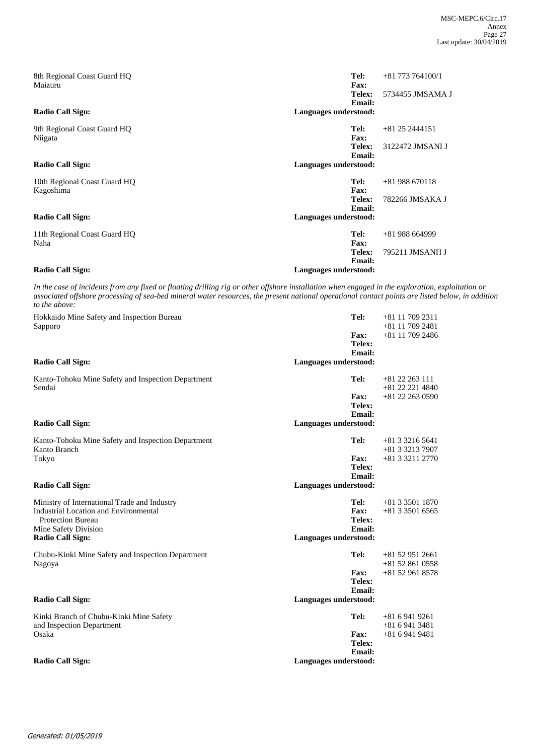| 8th Regional Coast Guard HQ<br>Maizuru    |                       | Tel:<br>Fax:            | $+81$ 773 764100/1 |
|-------------------------------------------|-----------------------|-------------------------|--------------------|
|                                           |                       | Telex:<br>Email:        | 5734455 JMSAMA J   |
| Radio Call Sign:                          | Languages understood: |                         |                    |
| 9th Regional Coast Guard HQ<br>Niigata    |                       | Tel:<br>Fax:            | $+81$ 25 2444151   |
|                                           |                       | Telex:<br>Email:        | 3122472 JMSANI J   |
| Radio Call Sign:                          | Languages understood: |                         |                    |
| 10th Regional Coast Guard HQ<br>Kagoshima |                       | Tel:<br>Fax:            | $+81988670118$     |
|                                           |                       | Telex:<br>Email:        | 782266 JMSAKA J    |
| <b>Radio Call Sign:</b>                   | Languages understood: |                         |                    |
| 11th Regional Coast Guard HQ<br>Naha      |                       | Tel:<br><b>Fax:</b>     | $+81988664999$     |
|                                           |                       | Telex:<br><b>Email:</b> | 795211 JMSANH J    |
| <b>Radio Call Sign:</b>                   | Languages understood: |                         |                    |

*In the case of incidents from any fixed or floating drilling rig or other offshore installation when engaged in the exploration, exploitation or associated offshore processing of sea-bed mineral water resources, the present national operational contact points are listed below, in addition to the above:*

| Hokkaido Mine Safety and Inspection Bureau         | Tel:                  | +81 11 709 2311   |
|----------------------------------------------------|-----------------------|-------------------|
| Sapporo                                            |                       | $+81$ 11 709 2481 |
|                                                    | <b>Fax:</b>           | $+81$ 11 709 2486 |
|                                                    | Telex:                |                   |
|                                                    | Email:                |                   |
| Radio Call Sign:                                   | Languages understood: |                   |
| Kanto-Tohoku Mine Safety and Inspection Department | Tel:                  | $+81$ 22 263 111  |
| Sendai                                             |                       | $+81$ 22 221 4840 |
|                                                    | <b>Fax:</b>           | $+81$ 22 263 0590 |
|                                                    | Telex:                |                   |
|                                                    | Email:                |                   |
| <b>Radio Call Sign:</b>                            | Languages understood: |                   |
| Kanto-Tohoku Mine Safety and Inspection Department | Tel:                  | $+81332165641$    |
| Kanto Branch                                       |                       | +81 3 3213 7907   |
| Tokyo                                              | <b>Fax:</b>           | $+81332112770$    |
|                                                    | Telex:                |                   |
|                                                    | Email:                |                   |
| <b>Radio Call Sign:</b>                            | Languages understood: |                   |
| Ministry of International Trade and Industry       | Tel:                  | $+81335011870$    |
| <b>Industrial Location and Environmental</b>       | Fax:                  | $+81335016565$    |
| <b>Protection Bureau</b>                           | Telex:                |                   |
| Mine Safety Division                               | Email:                |                   |
| <b>Radio Call Sign:</b>                            | Languages understood: |                   |
| Chubu-Kinki Mine Safety and Inspection Department  | Tel:                  | $+81529512661$    |
| Nagoya                                             |                       | $+81528610558$    |
|                                                    | <b>Fax:</b>           | +81 52 961 8578   |
|                                                    | Telex:                |                   |
|                                                    | <b>Email:</b>         |                   |
| Radio Call Sign:                                   | Languages understood: |                   |
| Kinki Branch of Chubu-Kinki Mine Safety            | Tel:                  | $+8169419261$     |
| and Inspection Department                          |                       | $+8169413481$     |
| Osaka                                              | Fax:                  | $+8169419481$     |
|                                                    | Telex:                |                   |
|                                                    | <b>Email:</b>         |                   |
| <b>Radio Call Sign:</b>                            | Languages understood: |                   |
|                                                    |                       |                   |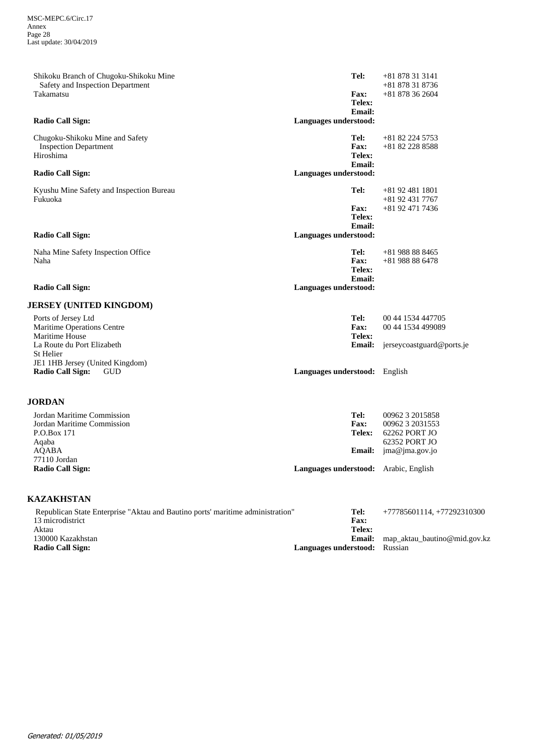| <b>JORDAN</b>                                                              |                                        |                                    |
|----------------------------------------------------------------------------|----------------------------------------|------------------------------------|
| JE1 1HB Jersey (United Kingdom)<br><b>Radio Call Sign:</b><br><b>GUD</b>   | Languages understood: English          |                                    |
| La Route du Port Elizabeth<br>St Helier                                    | <b>Email:</b>                          | jerseycoastguard@ports.je          |
| Maritime House                                                             | Telex:                                 |                                    |
| Maritime Operations Centre                                                 | Fax:                                   | 00 44 1534 499089                  |
| Ports of Jersey Ltd                                                        | Tel:                                   | 00 44 1534 447705                  |
| <b>JERSEY (UNITED KINGDOM)</b>                                             |                                        |                                    |
| <b>Radio Call Sign:</b>                                                    | Languages understood:                  |                                    |
|                                                                            | Telex:<br>Email:                       |                                    |
| Naha                                                                       | Fax:                                   | $+81988886478$                     |
| Naha Mine Safety Inspection Office                                         | Tel:                                   | $+81988888465$                     |
| <b>Radio Call Sign:</b>                                                    | Languages understood:                  |                                    |
|                                                                            | Email:                                 |                                    |
|                                                                            | <b>Fax:</b><br>Telex:                  | +81 92 471 7436                    |
| Fukuoka                                                                    |                                        | $+81924317767$                     |
| Kyushu Mine Safety and Inspection Bureau                                   | Tel:                                   | $+81924811801$                     |
| <b>Radio Call Sign:</b>                                                    | Languages understood:                  |                                    |
|                                                                            | Email:                                 |                                    |
| Hiroshima                                                                  | Telex:                                 |                                    |
| Chugoku-Shikoku Mine and Safety<br><b>Inspection Department</b>            | Tel:<br>Fax:                           | +81 82 224 5753<br>+81 82 228 8588 |
|                                                                            |                                        |                                    |
| <b>Radio Call Sign:</b>                                                    | <b>Email:</b><br>Languages understood: |                                    |
|                                                                            | Telex:                                 |                                    |
| Takamatsu                                                                  | Fax:                                   | $+81878362604$                     |
| Shikoku Branch of Chugoku-Shikoku Mine<br>Safety and Inspection Department | Tel:                                   | $+81878313141$<br>$+81878318736$   |
|                                                                            |                                        |                                    |

| Jordan Maritime Commission<br>Jordan Maritime Commission | Tel:<br><b>Fax:</b>                          | 00962 3 2015858<br>00962 3 2031553 |
|----------------------------------------------------------|----------------------------------------------|------------------------------------|
| P.O.Box 171                                              | Telex:                                       | 62262 PORT JO                      |
| Aqaba                                                    |                                              | 62352 PORT JO                      |
| AOABA                                                    |                                              | <b>Email:</b> $ima@ima.gov.io$     |
| 77110 Jordan                                             |                                              |                                    |
| <b>Radio Call Sign:</b>                                  | <b>Languages understood:</b> Arabic, English |                                    |

## **KAZAKHSTAN**

| Republican State Enterprise "Aktau and Bautino ports' maritime administration" | Tel:                                 | $+77785601114$ , $+77292310300$ |
|--------------------------------------------------------------------------------|--------------------------------------|---------------------------------|
| 13 microdistrict                                                               | Fax:                                 |                                 |
| Aktau                                                                          | Telex:                               |                                 |
| 130000 Kazakhstan                                                              | Email:                               | map aktau bautino@mid.gov.kz    |
| <b>Radio Call Sign:</b>                                                        | <b>Languages understood:</b> Russian |                                 |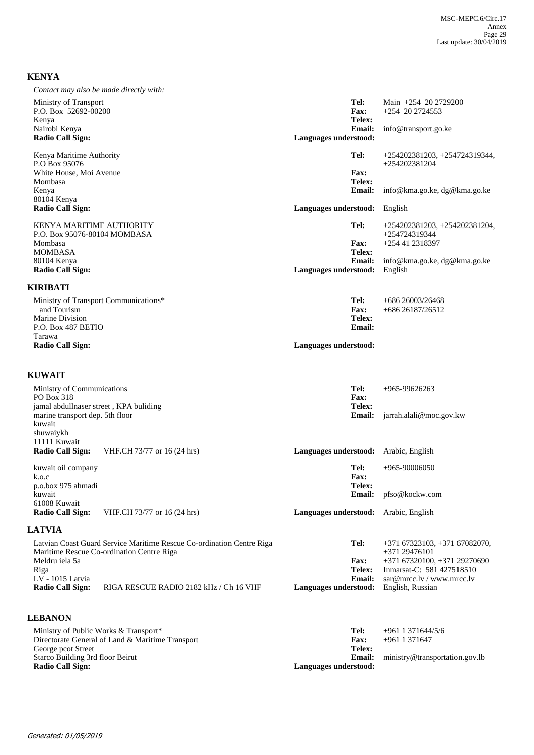## **KENYA**

| Contact may also be made directly with: |                       |                                 |
|-----------------------------------------|-----------------------|---------------------------------|
| Ministry of Transport                   | Tel:                  | Main +254 20 2729200            |
| P.O. Box 52692-00200                    | <b>Fax:</b>           | $+254$ 20 2724553               |
| Kenya                                   | Telex:                |                                 |
| Nairobi Kenya                           | <b>Email:</b>         | info@transport.go.ke            |
| <b>Radio Call Sign:</b>                 | Languages understood: |                                 |
| Kenya Maritime Authority                | Tel:                  | $+254202381203, +254724319344,$ |
| P.O Box 95076                           |                       | $+254202381204$                 |
| White House, Moi Avenue                 | Fax:                  |                                 |
| Mombasa                                 | Telex:                |                                 |
| Kenya                                   | <b>Email:</b>         | info@kma.go.ke, dg@kma.go.ke    |
| 80104 Kenya                             |                       |                                 |
| <b>Radio Call Sign:</b>                 | Languages understood: | English                         |
| <b>KENYA MARITIME AUTHORITY</b>         | Tel:                  | $+254202381203, +254202381204,$ |
| P.O. Box 95076-80104 MOMBASA            |                       | +254724319344                   |
| Mombasa                                 | <b>Fax:</b>           | +254 41 2318397                 |
| <b>MOMBASA</b>                          | Telex:                |                                 |
| 80104 Kenya                             | <b>Email:</b>         | info@kma.go.ke, dg@kma.go.ke    |
| <b>Radio Call Sign:</b>                 | Languages understood: | English                         |
| KIRIBATI                                |                       |                                 |
| Ministry of Transport Communications*   | Tel:                  | $+68626003/26468$               |
| and Tourism                             | Fax:                  | +686 26187/26512                |

Languages understood:

**Email: Telex:**

**Email: Telex: Fax:**

**Languages understood:** English, Russian

sar@mrcc.lv / www.mrcc.lv Inmarsat-C: 581 427518510 +371 67320100, +371 29270690

## **KUWAIT**

Marine Division P.O. Box 487 BETIO Tarawa<br>Radio Call Sign:

| Ministry of Communications<br>PO Box 318<br>jamal abdullnaser street, KPA buliding |                                                                                                                    | Tel:<br><b>Fax:</b><br>Telex: | $+965-99626263$                                 |
|------------------------------------------------------------------------------------|--------------------------------------------------------------------------------------------------------------------|-------------------------------|-------------------------------------------------|
| marine transport dep. 5th floor<br>kuwait<br>shuwaiykh                             |                                                                                                                    | Email:                        | jarrah.alali@moc.gov.kw                         |
| 11111 Kuwait<br><b>Radio Call Sign:</b>                                            | VHF.CH 73/77 or 16 (24 hrs)                                                                                        | Languages understood:         | Arabic, English                                 |
| kuwait oil company<br>k.o.c<br>p.o.box 975 ahmadi                                  |                                                                                                                    | Tel:<br><b>Fax:</b><br>Telex: | $+965-90006050$                                 |
| kuwait<br>61008 Kuwait                                                             |                                                                                                                    | Email:                        | pfso@kockw.com                                  |
| Radio Call Sign:                                                                   | VHF.CH 73/77 or 16 (24 hrs)                                                                                        | Languages understood:         | Arabic, English                                 |
| <b>LATVIA</b>                                                                      |                                                                                                                    |                               |                                                 |
|                                                                                    | Latvian Coast Guard Service Maritime Rescue Co-ordination Centre Riga<br>Maritime Rescue Co-ordination Centre Riga | Tel:                          | $+37167323103, +37167082070,$<br>$+37129476101$ |

| RIGA RESCUE RADIO 2182 kHz / Ch 16 VHF |
|----------------------------------------|
|                                        |

## **LEBANON**

| Ministry of Public Works & Transport*<br>Directorate General of Land & Maritime Transport | Tel:<br><b>Fax:</b>   | +961 1 371 644/5/6<br>$+961$ 1 371647 |
|-------------------------------------------------------------------------------------------|-----------------------|---------------------------------------|
| George pcot Street<br>Starco Building 3rd floor Beirut                                    | Telex:<br>Email:      | ministry@transportation.gov.lb        |
| <b>Radio Call Sign:</b>                                                                   | Languages understood: |                                       |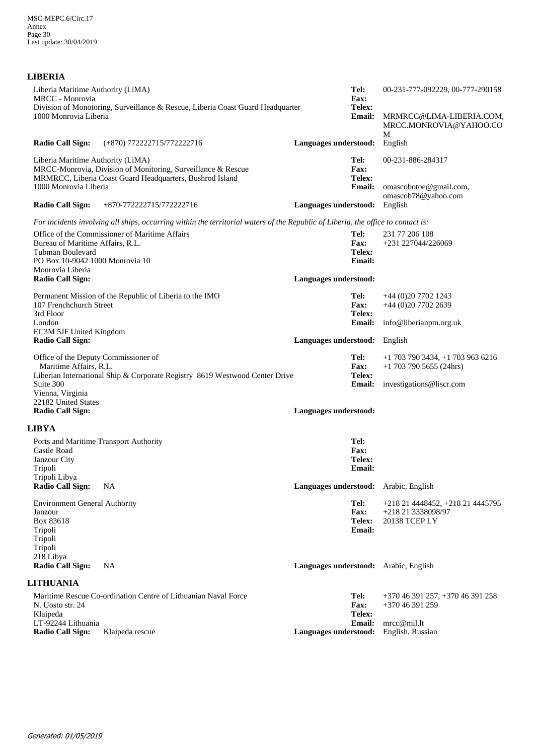## **LIBERIA**

| Liberia Maritime Authority (LiMA)<br><b>MRCC</b> - Monrovia<br>Division of Monotoring, Surveillance & Rescue, Liberia Coast Guard Headquarter<br>1000 Monrovia Liberia                                | Tel:<br>00-231-777-092229, 00-777-290158<br>Fax:<br>Telex:<br>Email:<br>MRMRCC@LIMA-LIBERIA.COM,<br>MRCC.MONROVIA@YAHOO.CO<br>M                 |
|-------------------------------------------------------------------------------------------------------------------------------------------------------------------------------------------------------|-------------------------------------------------------------------------------------------------------------------------------------------------|
| <b>Radio Call Sign:</b><br>(+870) 772222715/772222716                                                                                                                                                 | Languages understood:<br>English                                                                                                                |
| Liberia Maritime Authority (LiMA)<br>MRCC-Monrovia, Division of Monitoring, Surveillance & Rescue<br>MRMRCC, Liberia Coast Guard Headquarters, Bushrod Island<br>1000 Monrovia Liberia                | Tel:<br>00-231-886-284317<br>Fax:<br>Telex:<br><b>Email:</b><br>omascobotoe@gmail.com,<br>omascob78@yahoo.com                                   |
| <b>Radio Call Sign:</b><br>+870-772222715/772222716                                                                                                                                                   | English<br>Languages understood:                                                                                                                |
| For incidents involving all ships, occurring within the territorial waters of the Republic of Liberia, the office to contact is:                                                                      |                                                                                                                                                 |
| Office of the Commissioner of Maritime Affairs<br>Bureau of Maritime Affairs, R.L.<br>Tubman Boulevard<br>PO Box 10-9042 1000 Monrovia 10<br>Monrovia Liberia                                         | Tel:<br>231 77 206 108<br>+231 227044/226069<br><b>Fax:</b><br>Telex:<br><b>Email:</b>                                                          |
| <b>Radio Call Sign:</b>                                                                                                                                                                               | Languages understood:                                                                                                                           |
| Permanent Mission of the Republic of Liberia to the IMO<br>107 Frenchchurch Street<br>3rd Floor                                                                                                       | Tel:<br>$+44(0)2077021243$<br><b>Fax:</b><br>+44 (0)20 7702 2639<br>Telex:                                                                      |
| London<br>EC3M 5JF United Kingdom                                                                                                                                                                     | <b>Email:</b><br>info@liberianpm.org.uk                                                                                                         |
| <b>Radio Call Sign:</b>                                                                                                                                                                               | Languages understood:<br>English                                                                                                                |
| Office of the Deputy Commissioner of<br>Maritime Affairs, R.L.<br>Liberian International Ship & Corporate Registry 8619 Westwood Center Drive<br>Suite 300<br>Vienna, Virginia<br>22182 United States | Tel:<br>$+1$ 703 790 3434, $+1$ 703 963 6216<br><b>Fax:</b><br>$+1$ 703 790 5655 (24hrs)<br>Telex:<br><b>Email:</b><br>investigations@liscr.com |
| <b>Radio Call Sign:</b>                                                                                                                                                                               | Languages understood:                                                                                                                           |
| <b>LIBYA</b>                                                                                                                                                                                          |                                                                                                                                                 |
| Ports and Maritime Transport Authority<br>Castle Road<br>Janzour City<br>Tripoli<br>Tripoli Libya                                                                                                     | Tel:<br>Fax:<br>Telex:<br><b>Email:</b>                                                                                                         |
| <b>Radio Call Sign:</b><br><b>NA</b>                                                                                                                                                                  | Languages understood: Arabic, English                                                                                                           |
| <b>Environment General Authority</b><br>Janzour<br>Box 83618<br>Tripoli<br>Tripoli<br>Tripoli<br>218 Libya                                                                                            | Tel:<br>+218 21 4448452, +218 21 4445795<br><b>Fax:</b><br>+218 21 3338098/97<br>Telex:<br>20138 TCEP LY<br><b>Email:</b>                       |
| <b>Radio Call Sign:</b><br>NA                                                                                                                                                                         | Languages understood: Arabic, English                                                                                                           |
| <b>LITHUANIA</b>                                                                                                                                                                                      |                                                                                                                                                 |
| Maritime Rescue Co-ordination Centre of Lithuanian Naval Force<br>N. Uosto str. 24<br>Klaipeda<br>LT-92244 Lithuania                                                                                  | Tel:<br>+370 46 391 257, +370 46 391 258<br><b>Fax:</b><br>+370 46 391 259<br>Telex:<br>mrec@mil.lt<br><b>Email:</b>                            |
| <b>Radio Call Sign:</b><br>Klaipeda rescue                                                                                                                                                            | English, Russian<br>Languages understood:                                                                                                       |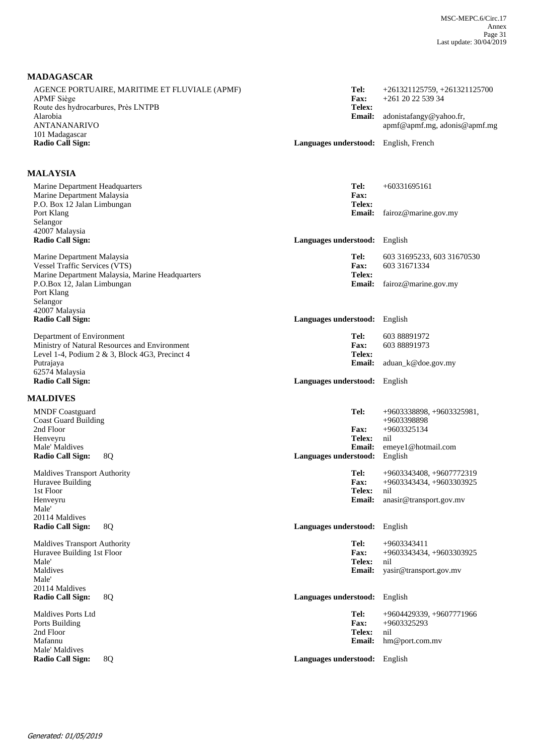## **MADAGASCAR**

| AGENCE PORTUAIRE, MARITIME ET FLUVIALE (APMF)<br><b>APMF</b> Siège<br>Route des hydrocarbures, Près LNTPB                    | Tel:<br>Fax:<br>Telex:                                  | $+261321125759, +261321125700$<br>+261 20 22 539 34                      |
|------------------------------------------------------------------------------------------------------------------------------|---------------------------------------------------------|--------------------------------------------------------------------------|
| Alarobia<br><b>ANTANANARIVO</b><br>101 Madagascar                                                                            | <b>Email:</b>                                           | adonistafangy@yahoo.fr,<br>apmf@apmf.mg, adonis@apmf.mg                  |
| <b>Radio Call Sign:</b>                                                                                                      | Languages understood: English, French                   |                                                                          |
| <b>MALAYSIA</b>                                                                                                              |                                                         |                                                                          |
| Marine Department Headquarters<br>Marine Department Malaysia<br>P.O. Box 12 Jalan Limbungan                                  | Tel:<br>Fax:<br>Telex:                                  | $+60331695161$                                                           |
| Port Klang<br>Selangor<br>42007 Malaysia                                                                                     | <b>Email:</b>                                           | fairoz@marine.gov.my                                                     |
| <b>Radio Call Sign:</b>                                                                                                      | Languages understood:                                   | English                                                                  |
| Marine Department Malaysia<br><b>Vessel Traffic Services (VTS)</b><br>Marine Department Malaysia, Marine Headquarters        | Tel:<br>Fax:<br>Telex:                                  | 603 31695233, 603 31670530<br>603 31671334                               |
| P.O.Box 12, Jalan Limbungan<br>Port Klang<br>Selangor<br>42007 Malaysia                                                      | <b>Email:</b>                                           | fairoz@marine.gov.my                                                     |
| <b>Radio Call Sign:</b>                                                                                                      | Languages understood: English                           |                                                                          |
| Department of Environment<br>Ministry of Natural Resources and Environment<br>Level 1-4, Podium 2 & 3, Block 4G3, Precinct 4 | Tel:<br>Fax:<br>Telex:                                  | 603 88891972<br>603 88891973                                             |
| Putrajaya<br>62574 Malaysia<br><b>Radio Call Sign:</b>                                                                       | <b>Email:</b><br>Languages understood: English          | aduan_k@doe.gov.my                                                       |
| <b>MALDIVES</b>                                                                                                              |                                                         |                                                                          |
| <b>MNDF</b> Coastguard<br><b>Coast Guard Building</b><br>2nd Floor                                                           | Tel:<br><b>Fax:</b>                                     | $+9603338898, +9603325981,$<br>+9603398898<br>+9603325134                |
| Henveyru<br>Male' Maldives<br><b>Radio Call Sign:</b><br>8Q                                                                  | <b>Telex:</b><br><b>Email:</b><br>Languages understood: | nil<br>emeye1@hotmail.com<br>English                                     |
| <b>Maldives Transport Authority</b><br>Huravee Building                                                                      | Tel:<br><b>Fax:</b>                                     | +9603343408, +9607772319<br>+9603343434, +9603303925                     |
| 1st Floor<br>Henveyru<br>Male'<br>20114 Maldives                                                                             | Telex:<br><b>Email:</b>                                 | nil<br>anasir@transport.gov.mv                                           |
| Radio Call Sign:<br>8Q                                                                                                       | <b>Languages understood:</b>                            | English                                                                  |
| <b>Maldives Transport Authority</b><br>Huravee Building 1st Floor<br>Male'<br>Maldives<br>Male'                              | Tel:<br>Fax:<br>Telex:<br><b>Email:</b>                 | +9603343411<br>+9603343434, +9603303925<br>nil<br>yasir@transport.gov.mv |
| 20114 Maldives<br><b>Radio Call Sign:</b><br>8Q                                                                              | Languages understood:                                   | English                                                                  |
| Maldives Ports Ltd<br>Ports Building<br>2nd Floor<br>Mafannu                                                                 | Tel:<br>Fax:<br>Telex:<br><b>Email:</b>                 | +9604429339, +9607771966<br>+9603325293<br>nil<br>hm@port.com.mv         |
| Male' Maldives<br><b>Radio Call Sign:</b><br>8Q                                                                              | Languages understood: English                           |                                                                          |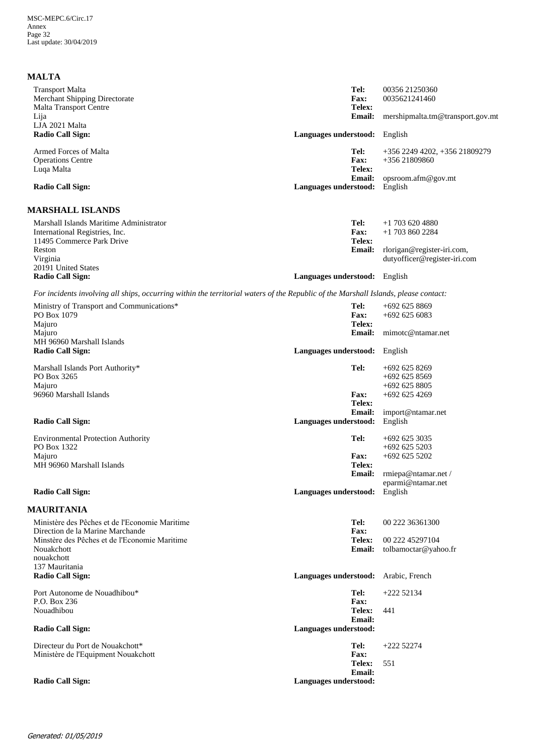| <b>MALTA</b>                                                                                                                        |                                        |                                        |
|-------------------------------------------------------------------------------------------------------------------------------------|----------------------------------------|----------------------------------------|
| <b>Transport Malta</b><br><b>Merchant Shipping Directorate</b>                                                                      | Tel:<br><b>Fax:</b>                    | 00356 21250360<br>0035621241460        |
| Malta Transport Centre<br>Lija                                                                                                      | Telex:<br><b>Email:</b>                | mershipmalta.tm@transport.gov.mt       |
| LJA 2021 Malta<br><b>Radio Call Sign:</b>                                                                                           | Languages understood:                  | English                                |
| Armed Forces of Malta                                                                                                               | Tel:                                   | +356 2249 4202, +356 21809279          |
| <b>Operations Centre</b><br>Luqa Malta                                                                                              | <b>Fax:</b><br>Telex:                  | +356 21809860                          |
| <b>Radio Call Sign:</b>                                                                                                             | <b>Email:</b><br>Languages understood: | opsroom.afm@gov.mt<br>English          |
| <b>MARSHALL ISLANDS</b>                                                                                                             |                                        |                                        |
| Marshall Islands Maritime Administrator<br>International Registries, Inc.                                                           | Tel:<br><b>Fax:</b>                    | $+1$ 703 620 4880<br>$+1$ 703 860 2284 |
| 11495 Commerce Park Drive                                                                                                           | Telex:                                 |                                        |
| Reston                                                                                                                              | <b>Email:</b>                          | rlorigan@register-iri.com,             |
| Virginia<br>20191 United States                                                                                                     |                                        | dutyofficer@register-iri.com           |
| <b>Radio Call Sign:</b>                                                                                                             | Languages understood: English          |                                        |
| For incidents involving all ships, occurring within the territorial waters of the Republic of the Marshall Islands, please contact: |                                        |                                        |
| Ministry of Transport and Communications*                                                                                           | Tel:                                   | $+692$ 625 8869                        |
| PO Box 1079                                                                                                                         | <b>Fax:</b><br>Telex:                  | $+6926256083$                          |
| Majuro<br>Majuro                                                                                                                    |                                        | Email: mimotc@ntamar.net               |
| MH 96960 Marshall Islands<br><b>Radio Call Sign:</b>                                                                                | Languages understood: English          |                                        |
|                                                                                                                                     |                                        |                                        |
| Marshall Islands Port Authority*<br>PO Box 3265                                                                                     | Tel:                                   | $+692$ 625 8269<br>$+6926258569$       |
| Majuro                                                                                                                              |                                        | $+6926258805$                          |
| 96960 Marshall Islands                                                                                                              | <b>Fax:</b><br>Telex:                  | $+692$ 625 4269                        |
|                                                                                                                                     | <b>Email:</b>                          | import@ntamar.net                      |
| <b>Radio Call Sign:</b>                                                                                                             | Languages understood:                  | English                                |
| <b>Environmental Protection Authority</b>                                                                                           | Tel:                                   | $+692$ 625 3035                        |
| PO Box 1322<br>Majuro                                                                                                               | <b>Fax:</b>                            | $+692$ 625 5203<br>$+692$ 625 5202     |
| MH 96960 Marshall Islands                                                                                                           | Telex:                                 |                                        |
|                                                                                                                                     | <b>Email:</b>                          | rmiepa@ntamar.net /                    |
| <b>Radio Call Sign:</b>                                                                                                             | Languages understood:                  | eparmi@ntamar.net<br>English           |
| <b>MAURITANIA</b>                                                                                                                   |                                        |                                        |
| Ministère des Pêches et de l'Economie Maritime                                                                                      | Tel:                                   | 00 222 36361300                        |
| Direction de la Marine Marchande                                                                                                    | Fax:                                   |                                        |
| Minstère des Pêches et de l'Economie Maritime                                                                                       | Telex:                                 | 00 222 45297104                        |
| Nouakchott<br>nouakchott                                                                                                            | <b>Email:</b>                          | tolbamoctar@yahoo.fr                   |
| 137 Mauritania                                                                                                                      |                                        |                                        |
| <b>Radio Call Sign:</b>                                                                                                             | Languages understood:                  | Arabic, French                         |
| Port Autonome de Nouadhibou*                                                                                                        | Tel:                                   | $+22252134$                            |
| P.O. Box 236<br>Nouadhibou                                                                                                          | Fax:<br>Telex:                         | 441                                    |
|                                                                                                                                     | <b>Email:</b>                          |                                        |
| <b>Radio Call Sign:</b>                                                                                                             | Languages understood:                  |                                        |
| Directeur du Port de Nouakchott*                                                                                                    | Tel:                                   | $+22252274$                            |
| Ministère de l'Equipment Nouakchott                                                                                                 | Fax:<br>Telex:                         | 551                                    |
|                                                                                                                                     | <b>Email:</b>                          |                                        |
| <b>Radio Call Sign:</b>                                                                                                             | Languages understood:                  |                                        |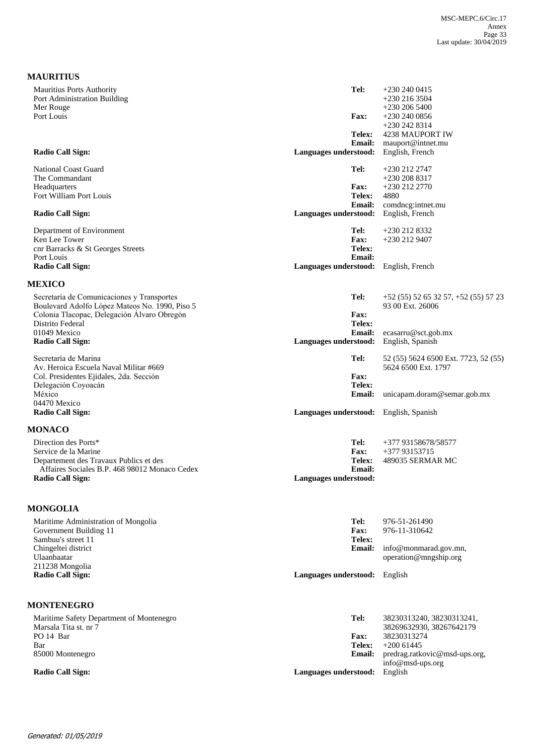| <b>MAURITIUS</b>                               |                                        |                                      |
|------------------------------------------------|----------------------------------------|--------------------------------------|
| <b>Mauritius Ports Authority</b>               | Tel:                                   | $+2302400415$                        |
| Port Administration Building                   |                                        | $+230\,216\,3504$                    |
| Mer Rouge                                      |                                        | $+230\,206\,5400$                    |
| Port Louis                                     | <b>Fax:</b>                            | $+230\,240\,0856$                    |
|                                                |                                        | +230 242 8314                        |
|                                                | <b>Telex:</b><br><b>Email:</b>         | 4238 MAUPORT IW<br>mauport@intnet.mu |
| Radio Call Sign:                               | Languages understood:                  | English, French                      |
| <b>National Coast Guard</b>                    | Tel:                                   | +230 212 2747                        |
| The Commandant                                 |                                        | $+230\,208\,8317$                    |
| Headquarters                                   | <b>Fax:</b>                            | +230 212 2770                        |
| Fort William Port Louis                        | Telex:                                 | 4880                                 |
|                                                | <b>Email:</b>                          | comdneg:intnet.mu                    |
| Radio Call Sign:                               | Languages understood:                  | English, French                      |
| Department of Environment                      | Tel:                                   | +230 212 8332                        |
| Ken Lee Tower                                  | <b>Fax:</b>                            | $+2302129407$                        |
| cnr Barracks & St Georges Streets              | Telex:                                 |                                      |
| Port Louis                                     | <b>Email:</b>                          |                                      |
| <b>Radio Call Sign:</b>                        | Languages understood:                  | English, French                      |
| <b>MEXICO</b>                                  |                                        |                                      |
| Secretaría de Comunicaciones y Transportes     | Tel:                                   | $+52(55)52653257, +52(55)5723$       |
| Boulevard Adolfo López Mateos No. 1990, Piso 5 |                                        | 93 00 Ext. 26006                     |
| Colonia Tlacopac, Delegación Álvaro Obregón    | Fax:                                   |                                      |
| Distrito Federal                               | Telex:                                 |                                      |
| 01049 Mexico                                   | <b>Email:</b>                          | ecasarru@sct.gob.mx                  |
| <b>Radio Call Sign:</b>                        | Languages understood:                  | English, Spanish                     |
| Secretaría de Marina                           | Tel:                                   | 52 (55) 5624 6500 Ext. 7723, 52 (55) |
| Av. Heroica Escuela Naval Militar #669         |                                        | 5624 6500 Ext. 1797                  |
| Col. Presidentes Ejidales, 2da. Sección        | Fax:                                   |                                      |
| Delegación Coyoacán                            | Telex:                                 |                                      |
| México<br>04470 Mexico                         | <b>Email:</b>                          | unicapam.doram@semar.gob.mx          |
| <b>Radio Call Sign:</b>                        | Languages understood: English, Spanish |                                      |
| <b>MONACO</b>                                  |                                        |                                      |
| Direction des Ports*                           | Tel:                                   | +377 93158678/58577                  |
| Service de la Marine                           | Fax:                                   | +377 93153715                        |
| Departement des Travaux Publics et des         | Telex:                                 | 489035 SERMAR MC                     |
| Affaires Sociales B.P. 468 98012 Monaco Cedex  | <b>Email:</b>                          |                                      |
| <b>Radio Call Sign:</b>                        | Languages understood:                  |                                      |
| <b>MONGOLIA</b>                                |                                        |                                      |
|                                                |                                        |                                      |
| Maritime Administration of Mongolia            | Tel:                                   | 976-51-261490                        |

| Government Building 11<br>Sambuu's street 11<br>Chingeltei district | <b>Fax:</b><br><b>Telex:</b><br>Email: | 976-11-310642<br>info@monmarad.gov.mn, |
|---------------------------------------------------------------------|----------------------------------------|----------------------------------------|
| Ulaanbaatar<br>211238 Mongolia                                      |                                        | operation@mngship.org                  |
| <b>Radio Call Sign:</b>                                             | Languages understood: English          |                                        |
| <b>MONTENEGRO</b>                                                   |                                        |                                        |

| Maritime Safety Department of Montenegro<br>Marsala Tita st. nr 7 | Tel:                  | 38230313240, 38230313241,<br>38269632930, 38267642179 |
|-------------------------------------------------------------------|-----------------------|-------------------------------------------------------|
| PO 14 Bar                                                         | <b>Fax:</b>           | 38230313274                                           |
| Bar                                                               | Telex:                | $+200\,61445$                                         |
| 85000 Montenegro                                                  | <b>Email:</b>         | predrag.ratkovic@msd-ups.org,                         |
|                                                                   |                       | info@msd-ups.org                                      |
| Radio Call Sign:                                                  | Languages understood: | English                                               |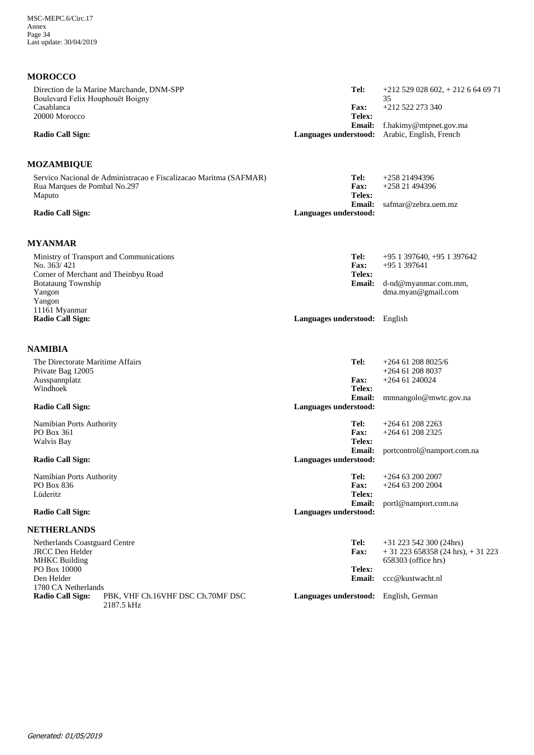# **MOROCCO**

| Direction de la Marine Marchande, DNM-SPP                                  | Tel:                                  | $+212$ 529 028 602, $+212$ 6 64 69 71                       |
|----------------------------------------------------------------------------|---------------------------------------|-------------------------------------------------------------|
| Boulevard Felix Houphouët Boigny<br>Casablanca                             | <b>Fax:</b>                           | 35<br>$+212$ 522 273 340                                    |
| 20000 Morocco                                                              | Telex:                                |                                                             |
|                                                                            | <b>Email:</b>                         | f.hakimy@mtpnet.gov.ma                                      |
| <b>Radio Call Sign:</b>                                                    | Languages understood:                 | Arabic, English, French                                     |
|                                                                            |                                       |                                                             |
| <b>MOZAMBIQUE</b>                                                          |                                       |                                                             |
| Servico Nacional de Administracao e Fiscalizacao Maritma (SAFMAR)          | Tel:                                  | $+25821494396$                                              |
| Rua Marques de Pombal No.297                                               | <b>Fax:</b><br>Telex:                 | +258 21 494396                                              |
| Maputo                                                                     | <b>Email:</b>                         | safmar@zebra.uem.mz                                         |
| <b>Radio Call Sign:</b>                                                    | Languages understood:                 |                                                             |
|                                                                            |                                       |                                                             |
| <b>MYANMAR</b>                                                             |                                       |                                                             |
| Ministry of Transport and Communications                                   | Tel:                                  | +95 1 397640, +95 1 397642                                  |
| No. 363/421                                                                | <b>Fax:</b>                           | $+951397641$                                                |
| Corner of Merchant and Theinbyu Road                                       | Telex:                                |                                                             |
| <b>Botataung Township</b>                                                  | <b>Email:</b>                         | d-nd@myanmar.com.mm,                                        |
| Yangon<br>Yangon                                                           |                                       | dma.myan@gmail.com                                          |
| 11161 Myanmar                                                              |                                       |                                                             |
| <b>Radio Call Sign:</b>                                                    | Languages understood: English         |                                                             |
|                                                                            |                                       |                                                             |
| NAMIBIA                                                                    |                                       |                                                             |
| The Directorate Maritime Affairs                                           | Tel:                                  | $+264$ 61 208 8025/6                                        |
| Private Bag 12005                                                          |                                       | $+264$ 61 208 8037                                          |
| Ausspannplatz                                                              | <b>Fax:</b>                           | $+264$ 61 240024                                            |
| Windhoek                                                                   | <b>Telex:</b><br><b>Email:</b>        | mmnangolo@mwtc.gov.na                                       |
| <b>Radio Call Sign:</b>                                                    | Languages understood:                 |                                                             |
|                                                                            |                                       |                                                             |
| Namibian Ports Authority                                                   | Tel:                                  | $+264$ 61 208 2263                                          |
| PO Box 361                                                                 | Fax:                                  | +264 61 208 2325                                            |
| Walvis Bay                                                                 | <b>Telex:</b><br><b>Email:</b>        | portcontrol@namport.com.na                                  |
| <b>Radio Call Sign:</b>                                                    | Languages understood:                 |                                                             |
| Namibian Ports Authority                                                   | Tel:                                  | $+264$ 63 200 2007                                          |
| <b>PO Box 836</b>                                                          | <b>Fax:</b>                           | $+264$ 63 200 2004                                          |
| Lüderitz                                                                   | Telex:                                |                                                             |
|                                                                            | <b>Email:</b>                         | portl@namport.com.na                                        |
| <b>Radio Call Sign:</b>                                                    | Languages understood:                 |                                                             |
| <b>NETHERLANDS</b>                                                         |                                       |                                                             |
| Netherlands Coastguard Centre                                              | Tel:                                  | $+31$ 223 542 300 (24hrs)                                   |
| <b>JRCC</b> Den Helder<br><b>MHKC Building</b>                             | <b>Fax:</b>                           | $+31$ 223 658358 (24 hrs), $+31$ 223<br>658303 (office hrs) |
| PO Box 10000                                                               | Telex:                                |                                                             |
| Den Helder                                                                 | <b>Email:</b>                         | ccc@kustwacht.nl                                            |
| 1780 CA Netherlands                                                        |                                       |                                                             |
| <b>Radio Call Sign:</b><br>PBK, VHF Ch.16VHF DSC Ch.70MF DSC<br>2187.5 kHz | Languages understood: English, German |                                                             |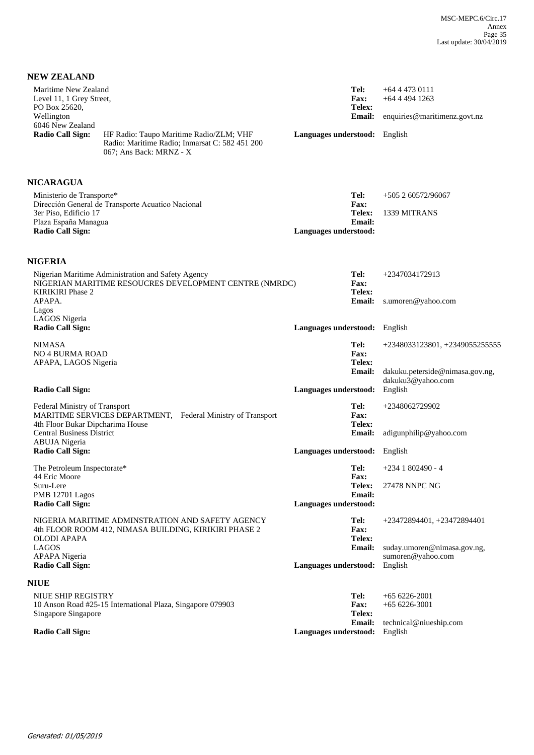| <b>NEW ZEALAND</b>                                                                                                                                        |                                                  |                                                                        |
|-----------------------------------------------------------------------------------------------------------------------------------------------------------|--------------------------------------------------|------------------------------------------------------------------------|
| Maritime New Zealand<br>Level 11, 1 Grey Street,<br>PO Box 25620,<br>Wellington<br>6046 New Zealand                                                       | Tel:<br>Fax:<br>Telex:<br><b>Email:</b>          | $+6444730111$<br>$+64$ 4 4 9 4 1 2 6 3<br>enquiries@maritimenz.govt.nz |
| <b>Radio Call Sign:</b><br>HF Radio: Taupo Maritime Radio/ZLM; VHF<br>Radio: Maritime Radio; Inmarsat C: 582 451 200<br>067; Ans Back: MRNZ - X           | Languages understood: English                    |                                                                        |
| <b>NICARAGUA</b>                                                                                                                                          |                                                  |                                                                        |
| Ministerio de Transporte*<br>Dirección General de Transporte Acuatico Nacional<br>3er Piso, Edificio 17<br>Plaza España Managua                           | Tel:<br><b>Fax:</b><br>Telex:<br><b>Email:</b>   | $+505260572/96067$<br>1339 MITRANS                                     |
| <b>Radio Call Sign:</b>                                                                                                                                   | Languages understood:                            |                                                                        |
|                                                                                                                                                           |                                                  |                                                                        |
| <b>NIGERIA</b><br>Nigerian Maritime Administration and Safety Agency<br>NIGERIAN MARITIME RESOUCRES DEVELOPMENT CENTRE (NMRDC)<br><b>KIRIKIRI</b> Phase 2 | Tel:<br><b>Fax:</b><br>Telex:                    | +2347034172913                                                         |
| APAPA.<br>Lagos                                                                                                                                           | <b>Email:</b>                                    | s.umoren@yahoo.com                                                     |
| LAGOS Nigeria<br><b>Radio Call Sign:</b>                                                                                                                  | Languages understood: English                    |                                                                        |
| <b>NIMASA</b><br><b>NO 4 BURMA ROAD</b><br>APAPA, LAGOS Nigeria                                                                                           | Tel:<br><b>Fax:</b><br><b>Telex:</b>             | +2348033123801, +2349055255555                                         |
| <b>Radio Call Sign:</b>                                                                                                                                   | <b>Email:</b><br>Languages understood:           | dakuku.peterside@nimasa.gov.ng,<br>dakuku3@yahoo.com<br>English        |
| Federal Ministry of Transport<br>MARITIME SERVICES DEPARTMENT, Federal Ministry of Transport<br>4th Floor Bukar Dipcharima House                          | Tel:<br><b>Fax:</b><br>Telex:                    | +2348062729902                                                         |
| <b>Central Business District</b><br><b>ABUJA</b> Nigeria                                                                                                  | <b>Email:</b>                                    | adigunphilip@yahoo.com                                                 |
| <b>Radio Call Sign:</b>                                                                                                                                   | Languages understood: English                    |                                                                        |
| The Petroleum Inspectorate*<br>44 Eric Moore                                                                                                              | <b>Fax:</b>                                      | Tel: $+2341802490 - 4$                                                 |
| Suru-Lere<br>PMB 12701 Lagos<br><b>Radio Call Sign:</b>                                                                                                   | Telex:<br><b>Email:</b><br>Languages understood: | 27478 NNPC NG                                                          |
| NIGERIA MARITIME ADMINSTRATION AND SAFETY AGENCY<br>4th FLOOR ROOM 412, NIMASA BUILDING, KIRIKIRI PHASE 2<br>OLODI APAPA                                  | Tel:<br><b>Fax:</b><br>Telex:                    | +23472894401, +23472894401                                             |
| <b>LAGOS</b><br><b>APAPA</b> Nigeria<br><b>Radio Call Sign:</b>                                                                                           | <b>Email:</b><br>Languages understood:           | suday.umoren@nimasa.gov.ng,<br>sumoren@yahoo.com<br>English            |
| <b>NIUE</b>                                                                                                                                               |                                                  |                                                                        |
| NIUE SHIP REGISTRY<br>10 Anson Road #25-15 International Plaza, Singapore 079903<br>Singapore Singapore                                                   | Tel:<br><b>Fax:</b><br>Telex:                    | $+656226-2001$<br>$+656226-3001$                                       |
| <b>Radio Call Sign:</b>                                                                                                                                   | <b>Email:</b><br>Languages understood:           | technical@niueship.com<br>English                                      |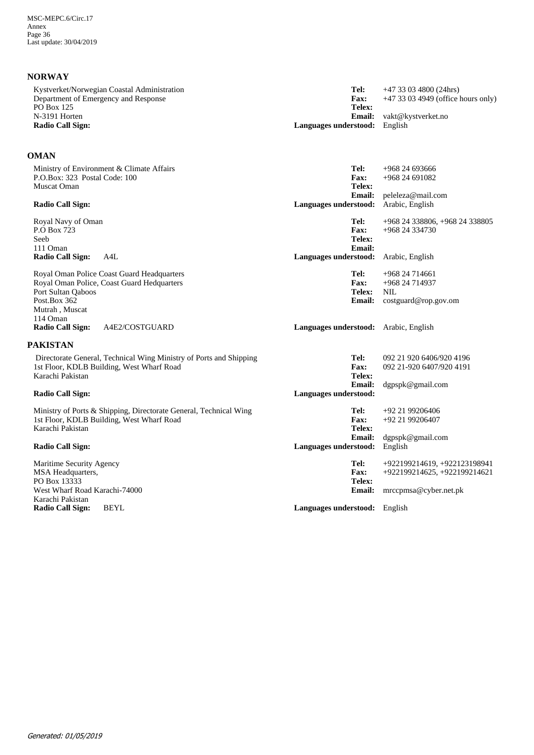## **NORWAY**

| Kystverket/Norwegian Coastal Administration<br>Department of Emergency and Response<br>PO Box 125 | Tel:<br><b>Fax:</b><br>Telex:        | $+4733034800(24hrs)$<br>$+47$ 33 03 4949 (office hours only) |
|---------------------------------------------------------------------------------------------------|--------------------------------------|--------------------------------------------------------------|
| N-3191 Horten                                                                                     | <b>Email:</b>                        | vakt@kystverket.no                                           |
| Radio Call Sign:                                                                                  | <b>Languages understood:</b> English |                                                              |
|                                                                                                   |                                      |                                                              |

## **OMAN**

| Ministry of Environment & Climate Affairs<br>P.O.Box: 323 Postal Code: 100<br>Muscat Oman                                                                    | Tel:<br>Fax:<br>Telex:                  | $+96824693666$<br>+968 24 691082                                            |
|--------------------------------------------------------------------------------------------------------------------------------------------------------------|-----------------------------------------|-----------------------------------------------------------------------------|
| Radio Call Sign:                                                                                                                                             | <b>Email:</b><br>Languages understood:  | peleleza@mail.com<br>Arabic, English                                        |
| Royal Navy of Oman<br>P.O Box 723<br>Seeb<br>111 Oman                                                                                                        | Tel:<br>Fax:<br>Telex:<br>Email:        | +968 24 338806, +968 24 338805<br>+968 24 334730                            |
| <b>Radio Call Sign:</b><br>A4L                                                                                                                               | Languages understood:                   | Arabic, English                                                             |
| Royal Oman Police Coast Guard Headquarters<br>Royal Oman Police, Coast Guard Hedquarters<br>Port Sultan Oaboos<br>Post.Box 362<br>Mutrah, Muscat<br>114 Oman | Tel:<br>Fax:<br>Telex:<br><b>Email:</b> | +968 24 714661<br>+968 24 714937<br><b>NIL</b><br>costguard@rop.gov.om      |
| <b>Radio Call Sign:</b><br>A4E2/COSTGUARD                                                                                                                    | Languages understood:                   | Arabic, English                                                             |
| PAKISTAN                                                                                                                                                     |                                         |                                                                             |
| Directorate General, Technical Wing Ministry of Ports and Shipping<br>1st Floor, KDLB Building, West Wharf Road<br>Karachi Pakistan                          | Tel:<br>Fax:<br>Telex:<br>Email:        | 092 21 920 6406/920 4196<br>092 21-920 6407/920 4191<br>$d$ gpspk@gmail.com |
| <b>Radio Call Sign:</b>                                                                                                                                      | Languages understood:                   |                                                                             |
| Ministry of Ports & Shipping, Directorate General, Technical Wing<br>1st Floor, KDLB Building, West Wharf Road<br>Karachi Pakistan                           | Tel:<br>Fax:<br>Telex:<br><b>Email:</b> | $+92$ 21 99206406<br>+92 21 99206407<br>dgpspk@gmail.com                    |
| <b>Radio Call Sign:</b>                                                                                                                                      | Languages understood:                   | English                                                                     |
| Maritime Security Agency<br>MSA Headquarters,<br>PO Box 13333                                                                                                | Tel:<br>Fax:<br>Telex:                  | +922199214619, +922123198941<br>+922199214625, +922199214621                |
| West Wharf Road Karachi-74000<br>Karachi Pakistan                                                                                                            | <b>Email:</b>                           | mrccpmsa@cyber.net.pk                                                       |
| <b>Radio Call Sign:</b><br><b>BEYL</b>                                                                                                                       | Languages understood: English           |                                                                             |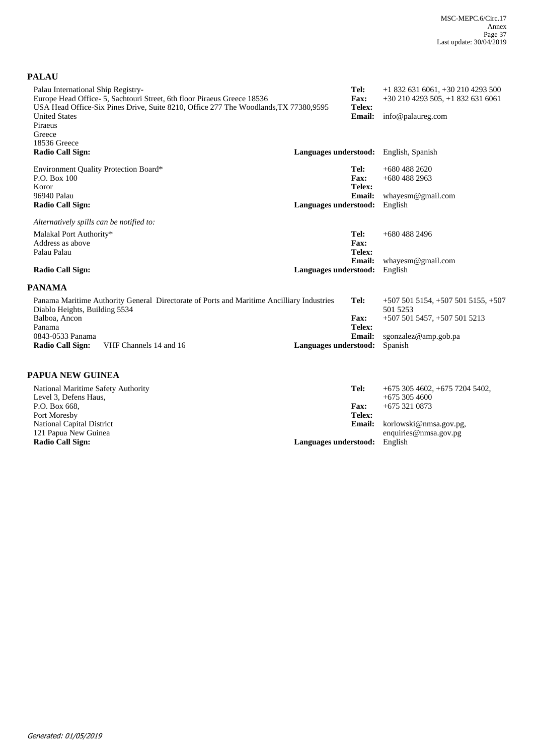## **PALAU**

| Palau International Ship Registry-<br>Europe Head Office- 5, Sachtouri Street, 6th floor Piraeus Greece 18536<br>USA Head Office-Six Pines Drive, Suite 8210, Office 277 The Woodlands, TX 77380, 9595 | Tel:<br><b>Fax:</b><br>Telex: | $+18326316061, +302104293500$<br>$+302104293505$ , $+18326316061$ |
|--------------------------------------------------------------------------------------------------------------------------------------------------------------------------------------------------------|-------------------------------|-------------------------------------------------------------------|
| <b>United States</b><br>Piraeus<br>Greece                                                                                                                                                              | <b>Email:</b>                 | info@palaureg.com                                                 |
| 18536 Greece                                                                                                                                                                                           |                               |                                                                   |
| <b>Radio Call Sign:</b>                                                                                                                                                                                |                               | Languages understood: English, Spanish                            |
| <b>Environment Quality Protection Board*</b>                                                                                                                                                           | Tel:                          | $+6804882620$                                                     |
| P.O. Box 100                                                                                                                                                                                           | Fax:                          | $+6804882963$                                                     |
| Koror                                                                                                                                                                                                  | Telex:                        |                                                                   |
| 96940 Palau                                                                                                                                                                                            | <b>Email:</b>                 | whayesm@gmail.com                                                 |
| <b>Radio Call Sign:</b>                                                                                                                                                                                | Languages understood:         | English                                                           |
| Alternatively spills can be notified to:                                                                                                                                                               |                               |                                                                   |
| Malakal Port Authority*                                                                                                                                                                                | Tel:                          | $+6804882496$                                                     |
| Address as above                                                                                                                                                                                       | Fax:                          |                                                                   |
| Palau Palau                                                                                                                                                                                            | Telex:                        |                                                                   |
|                                                                                                                                                                                                        | <b>Email:</b>                 | whayesm@gmail.com                                                 |
| <b>Radio Call Sign:</b>                                                                                                                                                                                | Languages understood:         | English                                                           |
| <b>PANAMA</b>                                                                                                                                                                                          |                               |                                                                   |
| Panama Maritime Authority General Directorate of Ports and Maritime Ancilliary Industries                                                                                                              | Tel:                          | $+5075015154$ , $+5075015155$ , $+507$                            |
| Diablo Heights, Building 5534<br>Balboa, Ancon                                                                                                                                                         | Fax:                          | 501 5253                                                          |
| Panama                                                                                                                                                                                                 | Telex:                        | +507 501 5457, +507 501 5213                                      |
| 0843-0533 Panama                                                                                                                                                                                       | <b>Email:</b>                 | sgonzalez@amp.gob.pa                                              |
| Radio Call Sign:<br>VHF Channels 14 and 16                                                                                                                                                             | Languages understood:         | Spanish                                                           |
|                                                                                                                                                                                                        |                               |                                                                   |
| <b>PAPUA NEW GUINEA</b>                                                                                                                                                                                |                               |                                                                   |
| National Maritime Safety Authority                                                                                                                                                                     | Tel:                          | $+6753054602, +67572045402,$                                      |
| Level 3, Defens Haus,                                                                                                                                                                                  |                               | $+6753054600$                                                     |
| P.O. Box 668,<br>$\mathbf{D}$ $\mathbf{M}$ 1                                                                                                                                                           | <b>Fax:</b><br>m. 1.          | $+6753210873$                                                     |

| Level 3. Defens Haus.     | $+6753054600$                        |  |
|---------------------------|--------------------------------------|--|
| P.O. Box 668,             | $+6753210873$<br><b>Fax:</b>         |  |
| Port Moresby              | Telex:                               |  |
| National Capital District | <b>Email:</b> korlowski@nmsa.gov.pg. |  |
| 121 Papua New Guinea      | enquiries@nmsa.gov.pg                |  |
| Radio Call Sign:          | English<br>Languages understood:     |  |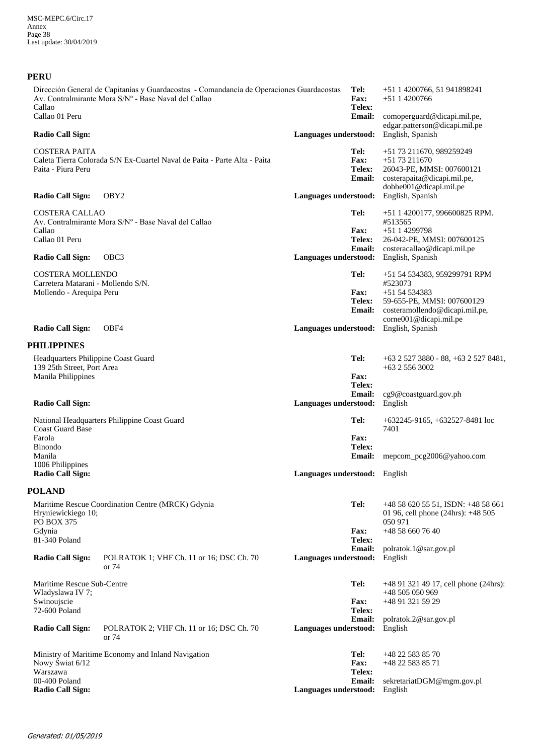| <b>PERU</b>                                                                               |                                                                                                                                                  |                               |                                                |                                                                                                                                                                  |
|-------------------------------------------------------------------------------------------|--------------------------------------------------------------------------------------------------------------------------------------------------|-------------------------------|------------------------------------------------|------------------------------------------------------------------------------------------------------------------------------------------------------------------|
| Callao                                                                                    | Dirección General de Capitanías y Guardacostas - Comandancía de Operaciones Guardacostas<br>Av. Contralmirante Mora S/N° - Base Naval del Callao |                               | Tel:<br>Fax:<br>Telex:                         | +51 1 4200766, 51 941898241<br>$+5114200766$                                                                                                                     |
| Callao 01 Peru                                                                            |                                                                                                                                                  |                               | <b>Email:</b>                                  | comoperguard@dicapi.mil.pe,<br>edgar.patterson@dicapi.mil.pe                                                                                                     |
| <b>Radio Call Sign:</b>                                                                   |                                                                                                                                                  | Languages understood:         |                                                | English, Spanish                                                                                                                                                 |
| <b>COSTERA PAITA</b><br>Paita - Piura Peru                                                | Caleta Tierra Colorada S/N Ex-Cuartel Naval de Paita - Parte Alta - Paita                                                                        |                               | Tel:<br>Fax:<br>Telex:<br>Email:               | +51 73 211670, 989259249<br>$+5173211670$<br>26043-PE, MMSI: 007600121<br>costerapaita@dicapi.mil.pe,<br>dobbe001@dicapi.mil.pe                                  |
| <b>Radio Call Sign:</b>                                                                   | OBY <sub>2</sub>                                                                                                                                 | Languages understood:         |                                                | English, Spanish                                                                                                                                                 |
| <b>COSTERA CALLAO</b><br>Callao<br>Callao 01 Peru<br><b>Radio Call Sign:</b>              | Av. Contralmirante Mora S/N° - Base Naval del Callao<br>OBC <sub>3</sub>                                                                         |                               | Tel:<br><b>Fax:</b><br>Telex:<br><b>Email:</b> | +51 1 4200177, 996600825 RPM.<br>#513565<br>$+5114299798$<br>26-042-PE, MMSI: 007600125<br>costeracallao@dicapi.mil.pe<br>Languages understood: English, Spanish |
| <b>COSTERA MOLLENDO</b>                                                                   |                                                                                                                                                  |                               | Tel:                                           | +51 54 534383, 959299791 RPM                                                                                                                                     |
| Carretera Matarani - Mollendo S/N.<br>Mollendo - Arequipa Peru<br><b>Radio Call Sign:</b> | OBF4                                                                                                                                             |                               | <b>Fax:</b><br>Telex:<br><b>Email:</b>         | #523073<br>$+5154534383$<br>59-655-PE, MMSI: 007600129<br>costeramollendo@dicapi.mil.pe,<br>corne001@dicapi.mil.pe<br>Languages understood: English, Spanish     |
| <b>PHILIPPINES</b>                                                                        |                                                                                                                                                  |                               |                                                |                                                                                                                                                                  |
| Headquarters Philippine Coast Guard<br>139 25th Street, Port Area<br>Manila Philippines   |                                                                                                                                                  |                               | Tel:<br><b>Fax:</b>                            | $+63$ 2 527 3880 - 88, $+63$ 2 527 8481,<br>$+63$ 2 556 3002                                                                                                     |
| <b>Radio Call Sign:</b>                                                                   |                                                                                                                                                  | Languages understood:         | Telex:<br><b>Email:</b>                        | cg9@coastguard.gov.ph<br>English                                                                                                                                 |
| <b>Coast Guard Base</b><br>Farola<br><b>Binondo</b>                                       | National Headquarters Philippine Coast Guard                                                                                                     |                               | Tel:<br><b>Fax:</b><br>Telex:                  | $+632245-9165, +632527-8481$ loc<br>7401                                                                                                                         |
| Manila<br>1006 Philippines                                                                |                                                                                                                                                  |                               | <b>Email:</b>                                  | mepcom_pcg2006@yahoo.com                                                                                                                                         |
| <b>Radio Call Sign:</b>                                                                   |                                                                                                                                                  | Languages understood: English |                                                |                                                                                                                                                                  |
| <b>POLAND</b>                                                                             |                                                                                                                                                  |                               |                                                |                                                                                                                                                                  |
| Hryniewickiego 10;<br>PO BOX 375                                                          | Maritime Rescue Coordination Centre (MRCK) Gdynia                                                                                                |                               | Tel:                                           | +48 58 620 55 51, ISDN: +48 58 661<br>01 96, cell phone (24hrs): +48 505<br>050 971                                                                              |
| Gdynia<br>81-340 Poland                                                                   |                                                                                                                                                  |                               | <b>Fax:</b><br>Telex:                          | +48 58 660 76 40                                                                                                                                                 |
| <b>Radio Call Sign:</b>                                                                   | POLRATOK 1; VHF Ch. 11 or 16; DSC Ch. 70<br>or 74                                                                                                | Languages understood:         | <b>Email:</b>                                  | polratok.1@sar.gov.pl<br>English                                                                                                                                 |
| Maritime Rescue Sub-Centre<br>Wladyslawa IV 7;<br>Swinoujscie<br>72-600 Poland            |                                                                                                                                                  |                               | Tel:<br>Fax:<br>Telex:                         | $+48913214917$ , cell phone (24hrs):<br>+48 505 050 969<br>+48 91 321 59 29                                                                                      |
| <b>Radio Call Sign:</b>                                                                   | POLRATOK 2; VHF Ch. 11 or 16; DSC Ch. 70<br>or 74                                                                                                | Languages understood:         | <b>Email:</b>                                  | polratok.2@sar.gov.pl<br>English                                                                                                                                 |
| Nowy Świat 6/12<br>Warszawa                                                               | Ministry of Maritime Economy and Inland Navigation                                                                                               |                               | Tel:<br>Fax:<br>Telex:                         | +48 22 583 85 70<br>+48 22 583 85 71                                                                                                                             |
| 00-400 Poland<br><b>Radio Call Sign:</b>                                                  |                                                                                                                                                  | Languages understood:         | <b>Email:</b>                                  | sekretariatDGM@mgm.gov.pl<br>English                                                                                                                             |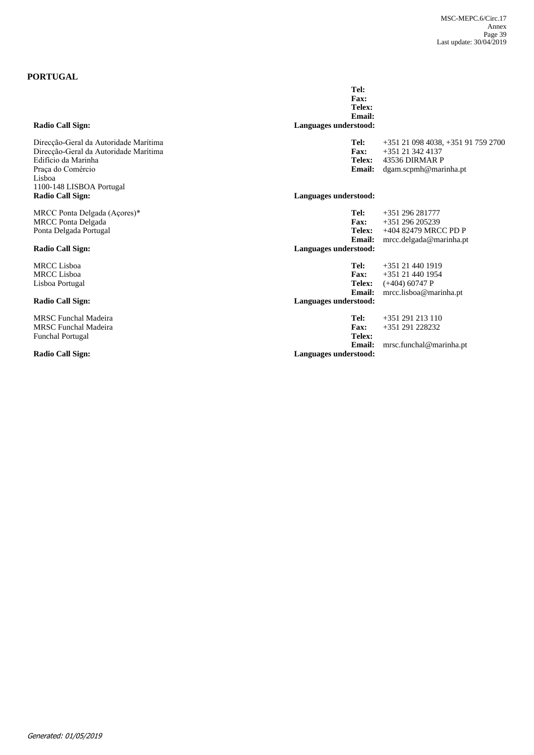## **PORTUGAL**

| <b>Radio Call Sign:</b>                                                                                                              | Languages understood:                                                                                                                        |
|--------------------------------------------------------------------------------------------------------------------------------------|----------------------------------------------------------------------------------------------------------------------------------------------|
| Direcção-Geral da Autoridade Marítima<br>Direcção-Geral da Autoridade Marítima<br>Edifício da Marinha<br>Praça do Comércio<br>Lisboa | Tel:<br>+351 21 098 4038, +351 91 759 2700<br>Fax:<br>+351 21 342 4137<br>Telex:<br>43536 DIRMAR P<br><b>Email:</b><br>dgam.scpmh@marinha.pt |
| 1100-148 LISBOA Portugal<br>Radio Call Sign:                                                                                         | Languages understood:                                                                                                                        |
| MRCC Ponta Delgada (Açores)*<br><b>MRCC</b> Ponta Delgada<br>Ponta Delgada Portugal                                                  | Tel:<br>$+351$ 296 281777<br><b>Fax:</b><br>+351 296 205239<br>Telex:<br>+404 82479 MRCC PD P<br>Email:<br>mrc. delgada @marinha. pt         |
| Radio Call Sign:                                                                                                                     | Languages understood:                                                                                                                        |
| <b>MRCC</b> Lisboa<br><b>MRCC</b> Lisboa<br>Lisboa Portugal                                                                          | Tel:<br>+351 21 440 1919<br>Fax:<br>+351 21 440 1954<br>Telex:<br>$(+404)$ 60747 P<br>mrcc.lisboa@marinha.pt<br><b>Email:</b>                |
| Radio Call Sign:                                                                                                                     | Languages understood:                                                                                                                        |
| <b>MRSC Funchal Madeira</b><br><b>MRSC</b> Funchal Madeira<br><b>Funchal Portugal</b><br>Radio Call Sign:                            | Tel:<br>+351 291 213 110<br>Fax:<br>+351 291 228232<br>Telex:<br><b>Email:</b><br>mrsc.funchal@marinha.pt<br>Languages understood:           |
|                                                                                                                                      |                                                                                                                                              |

**Email: Telex: Fax:**

**Tel:**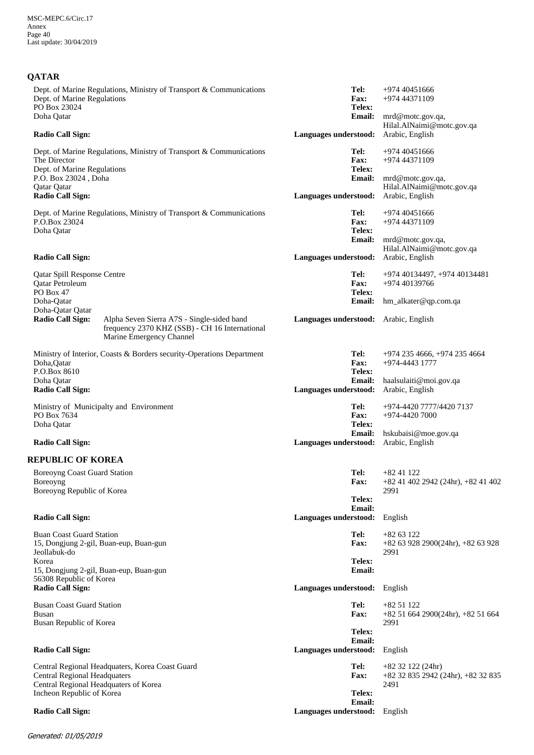# **QATAR**

| Dept. of Marine Regulations, Ministry of Transport & Communications<br>Dept. of Marine Regulations<br>PO Box 23024                                  | Tel:<br>+974 40451666<br>Fax:<br>+974 44371109<br>Telex:                                                   |
|-----------------------------------------------------------------------------------------------------------------------------------------------------|------------------------------------------------------------------------------------------------------------|
| Doha Qatar<br><b>Radio Call Sign:</b>                                                                                                               | <b>Email:</b><br>mrd@motc.gov.qa,<br>Hilal.AlNaimi@motc.gov.qa<br>Languages understood:<br>Arabic, English |
| Dept. of Marine Regulations, Ministry of Transport & Communications<br>The Director<br>Dept. of Marine Regulations<br>P.O. Box 23024, Doha          | Tel:<br>$+97440451666$<br><b>Fax:</b><br>+974 44371109<br>Telex:<br><b>Email:</b><br>mrd@motc.gov.qa,      |
| Qatar Qatar<br><b>Radio Call Sign:</b>                                                                                                              | Hilal.AlNaimi@motc.gov.qa<br>Languages understood:<br>Arabic, English                                      |
| Dept. of Marine Regulations, Ministry of Transport & Communications<br>P.O.Box 23024<br>Doha Qatar                                                  | Tel:<br>$+97440451666$<br>Fax:<br>+974 44371109<br>Telex:<br><b>Email:</b><br>mrd@motc.gov.qa,             |
| <b>Radio Call Sign:</b>                                                                                                                             | Hilal.AlNaimi@motc.gov.qa<br>Languages understood:<br>Arabic, English                                      |
| <b>Qatar Spill Response Centre</b><br>Qatar Petroleum<br>PO Box 47                                                                                  | Tel:<br>+974 40134497, +974 40134481<br>Fax:<br>+974 40139766<br>Telex:                                    |
| Doha-Qatar<br>Doha-Qatar Qatar                                                                                                                      | <b>Email:</b><br>hm_alkater@qp.com.qa                                                                      |
| <b>Radio Call Sign:</b><br>Alpha Seven Sierra A7S - Single-sided band<br>frequency 2370 KHZ (SSB) - CH 16 International<br>Marine Emergency Channel | Languages understood: Arabic, English                                                                      |
| Ministry of Interior, Coasts & Borders security-Operations Department<br>Doha, Qatar<br>P.O.Box 8610                                                | Tel:<br>+974 235 4666, +974 235 4664<br>Fax:<br>$+974 - 4443$ 1777<br><b>Telex:</b>                        |
| Doha Qatar<br><b>Radio Call Sign:</b>                                                                                                               | Email:<br>haalsulaiti@moi.gov.qa<br>Languages understood:<br>Arabic, English                               |
| Ministry of Municipalty and Environment<br>PO Box 7634                                                                                              | Tel:<br>+974-4420 7777/4420 7137<br>Fax:<br>+974-4420 7000                                                 |
| Doha Qatar<br><b>Radio Call Sign:</b>                                                                                                               | Telex:<br><b>Email:</b><br>hskubaisi@moe.gov.qa<br>Languages understood:<br>Arabic, English                |
| <b>REPUBLIC OF KOREA</b>                                                                                                                            |                                                                                                            |
| Boreoyng Coast Guard Station<br>Boreoyng<br>Boreoyng Republic of Korea                                                                              | Tel:<br>$+8241122$<br><b>Fax:</b><br>$+82$ 41 402 2942 (24hr), $+82$ 41 402<br>2991                        |
| <b>Radio Call Sign:</b>                                                                                                                             | Telex:<br><b>Email:</b><br>Languages understood:<br>English                                                |
| <b>Buan Coast Guard Station</b><br>15, Dongjung 2-gil, Buan-eup, Buan-gun                                                                           | Tel:<br>$+8263122$<br><b>Fax:</b><br>$+82$ 63 928 2900(24hr), $+82$ 63 928                                 |
| Jeollabuk-do<br>Korea<br>15, Dongjung 2-gil, Buan-eup, Buan-gun                                                                                     | 2991<br>Telex:<br>Email:                                                                                   |
| 56308 Republic of Korea<br><b>Radio Call Sign:</b>                                                                                                  | Languages understood:<br>English                                                                           |
| <b>Busan Coast Guard Station</b><br>Busan<br><b>Busan Republic of Korea</b>                                                                         | Tel:<br>$+8251122$<br><b>Fax:</b><br>+82 51 664 2900(24hr), +82 51 664<br>2991                             |
| <b>Radio Call Sign:</b>                                                                                                                             | Telex:<br>Email:<br>Languages understood:<br>English                                                       |
| Central Regional Headquaters, Korea Coast Guard<br><b>Central Regional Headquaters</b><br>Central Regional Headquaters of Korea                     | Tel:<br>$+82$ 32 122 (24hr)<br><b>Fax:</b><br>+82 32 835 2942 (24hr), +82 32 835<br>2491                   |
| Incheon Republic of Korea                                                                                                                           | Telex:<br><b>Email:</b>                                                                                    |
| <b>Radio Call Sign:</b>                                                                                                                             | Languages understood:<br>English                                                                           |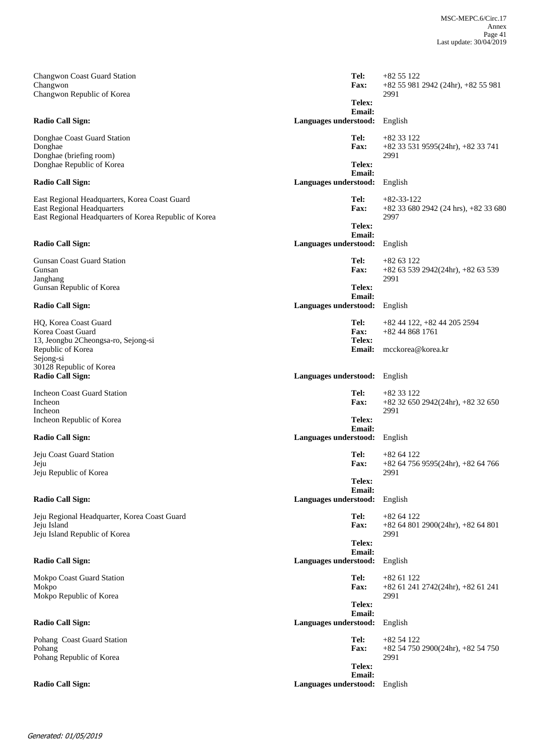| <b>Changwon Coast Guard Station</b><br>Changwon                                                                                             | Tel:<br><b>Fax:</b>                       | $+8255122$<br>+82 55 981 2942 (24hr), +82 55 981                 |
|---------------------------------------------------------------------------------------------------------------------------------------------|-------------------------------------------|------------------------------------------------------------------|
| Changwon Republic of Korea                                                                                                                  | Telex:<br><b>Email:</b>                   | 2991                                                             |
| <b>Radio Call Sign:</b>                                                                                                                     | Languages understood:                     | English                                                          |
| Donghae Coast Guard Station<br>Donghae<br>Donghae (briefing room)                                                                           | Tel:<br><b>Fax:</b>                       | $+8233122$<br>$+82$ 33 531 9595(24hr), $+82$ 33 741<br>2991      |
| Donghae Republic of Korea                                                                                                                   | Telex:                                    |                                                                  |
| Radio Call Sign:                                                                                                                            | <b>Email:</b><br>Languages understood:    | English                                                          |
| East Regional Headquarters, Korea Coast Guard<br><b>East Regional Headquarters</b><br>East Regional Headquarters of Korea Republic of Korea | Tel:<br><b>Fax:</b>                       | $+82-33-122$<br>$+82$ 33 680 2942 (24 hrs), $+82$ 33 680<br>2997 |
| <b>Radio Call Sign:</b>                                                                                                                     | Telex:<br>Email:<br>Languages understood: | English                                                          |
| Gunsan Coast Guard Station<br>Gunsan                                                                                                        | Tel:<br><b>Fax:</b>                       | $+8263122$<br>+82 63 539 2942(24hr), +82 63 539                  |
| Janghang<br>Gunsan Republic of Korea                                                                                                        | Telex:<br>Email:                          | 2991                                                             |
| <b>Radio Call Sign:</b>                                                                                                                     | Languages understood:                     | English                                                          |
| HO, Korea Coast Guard<br>Korea Coast Guard<br>13, Jeongbu 2Cheongsa-ro, Sejong-si                                                           | Tel:<br>Fax:<br>Telex:                    | $+82$ 44 122, $+82$ 44 205 2594<br>$+82448681761$                |
| Republic of Korea<br>Sejong-si<br>30128 Republic of Korea                                                                                   | <b>Email:</b>                             | mcckorea@korea.kr                                                |
| <b>Radio Call Sign:</b>                                                                                                                     | Languages understood:                     | English                                                          |
| <b>Incheon Coast Guard Station</b><br>Incheon                                                                                               | Tel:<br><b>Fax:</b>                       | $+8233122$<br>$+82$ 32 650 2942(24hr), $+82$ 32 650              |
| Incheon<br>Incheon Republic of Korea                                                                                                        | Telex:                                    | 2991                                                             |
| <b>Radio Call Sign:</b>                                                                                                                     | <b>Email:</b><br>Languages understood:    | English                                                          |
| Jeju Coast Guard Station<br>Jeju<br>Jeju Republic of Korea                                                                                  | Tel:<br><b>Fax:</b>                       | $+8264122$<br>$+82$ 64 756 9595(24hr), $+82$ 64 766              |
|                                                                                                                                             | Telex:                                    | 2991                                                             |
| <b>Radio Call Sign:</b>                                                                                                                     | Email:<br>Languages understood:           | English                                                          |
| Jeju Regional Headquarter, Korea Coast Guard<br>Jeju Island<br>Jeju Island Republic of Korea                                                | Tel:<br>Fax:                              | $+8264122$<br>$+82$ 64 801 2900(24hr), $+82$ 64 801<br>2991      |
|                                                                                                                                             | Telex:                                    |                                                                  |
| <b>Radio Call Sign:</b>                                                                                                                     | Email:<br>Languages understood:           | English                                                          |
| Mokpo Coast Guard Station<br>Mokpo                                                                                                          | Tel:<br>Fax:                              | $+8261122$<br>$+82$ 61 241 2742(24hr), $+82$ 61 241              |
| Mokpo Republic of Korea                                                                                                                     | Telex:<br>Email:                          | 2991                                                             |
| <b>Radio Call Sign:</b>                                                                                                                     | Languages understood:                     | English                                                          |
| Pohang Coast Guard Station<br>Pohang<br>Pohang Republic of Korea                                                                            | Tel:<br>Fax:                              | $+8254122$<br>$+82$ 54 750 2900(24hr), $+82$ 54 750<br>2991      |
|                                                                                                                                             | Telex:<br>Email:                          |                                                                  |
| <b>Radio Call Sign:</b>                                                                                                                     | Languages understood: English             |                                                                  |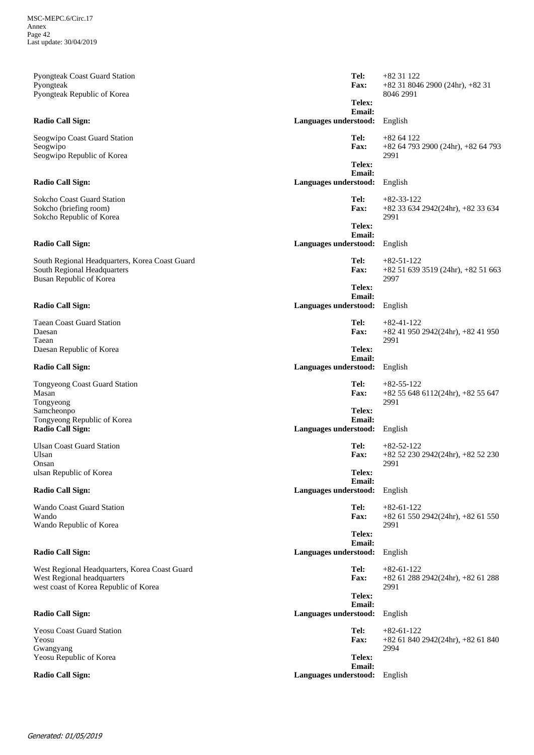+82 31 8046 2900 (24hr), +82 31 8046 2991 **Email: Telex: Fax:** Pyongteak Coast Guard Station Pyongteak Pyongteak Republic of Korea **Radio Call Sign: Languages understood:** English **Tel:** +82 31 122 +82 64 793 2900 (24hr), +82 64 793 2991 **Email: Telex: Fax:** Seogwipo Coast Guard Station Seogwipo Seogwipo Republic of Korea **Radio Call Sign: Languages understood:** English **Tel:** +82 64 122 +82 33 634 2942(24hr), +82 33 634 2991 **Email: Telex: Fax:** Sokcho Coast Guard Station Sokcho (briefing room) Sokcho Republic of Korea **Radio Call Sign: Languages understood:** English **Tel:** +82-33-122 +82 51 639 3519 (24hr), +82 51 663 2997 **Email: Telex: Fax:** South Regional Headquarters, Korea Coast Guard South Regional Headquarters Busan Republic of Korea **Radio Call Sign: Languages understood:** English **Tel:** +82-51-122 +82 41 950 2942(24hr), +82 41 950 2991 **Email: Telex: Fax:** Taean Coast Guard Station Daesan Taean Daesan Republic of Korea **Radio Call Sign: Languages understood:** English **Tel:** +82-41-122 +82 55 648 6112(24hr), +82 55 647 2991 **Email: Telex: Fax:** Tongyeong Coast Guard Station Masan Tongyeong Samcheonpo Tongyeong Republic of Korea **Radio Call Sign: Languages understood:** English **Tel:** +82-55-122 +82 52 230 2942(24hr), +82 52 230 2991 **Email: Telex: Fax:** Ulsan Coast Guard Station Ulsan Onsan ulsan Republic of Korea **Radio Call Sign: Languages understood:** English **Tel:** +82-52-122 +82 61 550 2942(24hr), +82 61 550 2991 **Email: Telex: Fax:** Wando Coast Guard Station Wando Wando Republic of Korea **Radio Call Sign: Languages understood:** English **Tel:** +82-61-122 +82 61 288 2942(24hr), +82 61 288 2991 **Email: Telex: Fax:** West Regional Headquarters, Korea Coast Guard West Regional headquarters west coast of Korea Republic of Korea **Radio Call Sign: Languages understood:** English **Tel:** +82-61-122 +82 61 840 2942(24hr), +82 61 840 2994 **Email: Telex: Fax:** Yeosu Coast Guard Station Yeosu Gwangyang Yeosu Republic of Korea **Radio Call Sign: Languages understood:** English **Tel:** +82-61-122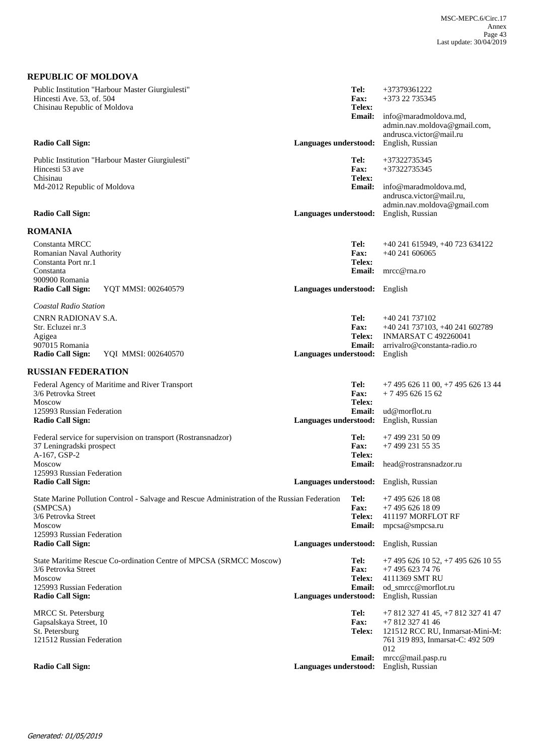| <b>REPUBLIC OF MOLDOVA</b>                                                                                    |                               |                               |                                                                                  |
|---------------------------------------------------------------------------------------------------------------|-------------------------------|-------------------------------|----------------------------------------------------------------------------------|
| Public Institution "Harbour Master Giurgiulesti"<br>Hincesti Ave. 53, of. 504<br>Chisinau Republic of Moldova |                               | Tel:<br><b>Fax:</b><br>Telex: | +37379361222<br>+373 22 735345                                                   |
|                                                                                                               |                               | <b>Email:</b>                 | info@maradmoldova.md,<br>admin.nav.moldova@gmail.com,<br>andrusca.victor@mail.ru |
| <b>Radio Call Sign:</b>                                                                                       | Languages understood:         |                               | English, Russian                                                                 |
| Public Institution "Harbour Master Giurgiulesti"<br>Hincesti 53 ave<br>Chisinau                               |                               | Tel:<br>Fax:<br>Telex:        | +37322735345<br>+37322735345                                                     |
| Md-2012 Republic of Moldova                                                                                   |                               | <b>Email:</b>                 | info@maradmoldova.md,<br>andrusca.victor@mail.ru,<br>admin.nav.moldova@gmail.com |
| <b>Radio Call Sign:</b>                                                                                       | Languages understood:         |                               | English, Russian                                                                 |
| <b>ROMANIA</b>                                                                                                |                               |                               |                                                                                  |
| Constanta MRCC<br>Romanian Naval Authority<br>Constanta Port nr.1                                             |                               | Tel:<br><b>Fax:</b><br>Telex: | +40 241 615949, +40 723 634122<br>$+40241606065$                                 |
| Constanta<br>900900 Romania                                                                                   |                               | Email:                        | mrcc@rna.ro                                                                      |
| YOT MMSI: 002640579<br><b>Radio Call Sign:</b>                                                                | Languages understood: English |                               |                                                                                  |
| Coastal Radio Station                                                                                         |                               |                               |                                                                                  |
| CNRN RADIONAV S.A.                                                                                            |                               | Tel:                          | +40 241 737102                                                                   |
| Str. Ecluzei nr.3<br>Agigea                                                                                   |                               | Fax:<br>Telex:                | +40 241 737103, +40 241 602789<br><b>INMARSAT C 492260041</b>                    |
| 907015 Romania<br>Radio Call Sign:<br>YQI MMSI: 002640570                                                     |                               | <b>Email:</b>                 | arrivalro@constanta-radio.ro                                                     |
|                                                                                                               | Languages understood:         |                               | English                                                                          |
| <b>RUSSIAN FEDERATION</b>                                                                                     |                               |                               |                                                                                  |
| Federal Agency of Maritime and River Transport<br>3/6 Petrovka Street                                         |                               | Tel:<br>Fax:                  | $+74956261100$ , $+74956261344$<br>$+74956261562$                                |
| <b>Moscow</b><br>125993 Russian Federation                                                                    |                               | Telex:<br><b>Email:</b>       | ud@morflot.ru                                                                    |
| <b>Radio Call Sign:</b>                                                                                       | Languages understood:         |                               | English, Russian                                                                 |
| Federal service for supervision on transport (Rostransnadzor)                                                 |                               | Tel:                          | +7 499 231 50 09                                                                 |
| 37 Leningradski prospect<br>A-167, GSP-2                                                                      |                               | Fax:<br>Telex:                | +7 499 231 55 35                                                                 |
| <b>Moscow</b>                                                                                                 |                               | <b>Email:</b>                 | head@rostransnadzor.ru                                                           |
| 125993 Russian Federation<br><b>Radio Call Sign:</b>                                                          |                               |                               | Languages understood: English, Russian                                           |
| State Marine Pollution Control - Salvage and Rescue Administration of the Russian Federation                  |                               | Tel:                          | +7 495 626 18 08                                                                 |
| (SMPCSA)<br>3/6 Petrovka Street                                                                               |                               | Fax:<br>Telex:                | $+74956261809$                                                                   |
| Moscow                                                                                                        |                               | <b>Email:</b>                 | 411197 MORFLOT RF<br>mpcsa@smpcsa.ru                                             |
| 125993 Russian Federation<br><b>Radio Call Sign:</b>                                                          | Languages understood:         |                               | English, Russian                                                                 |
| State Maritime Rescue Co-ordination Centre of MPCSA (SRMCC Moscow)<br>3/6 Petrovka Street                     |                               | Tel:<br>Fax:                  | $+7$ 495 626 10 52, $+7$ 495 626 10 55<br>+7 495 623 74 76                       |
| <b>Moscow</b>                                                                                                 |                               | Telex:                        | 4111369 SMT RU                                                                   |
| 125993 Russian Federation<br><b>Radio Call Sign:</b>                                                          | Languages understood:         | <b>Email:</b>                 | od_smrcc@morflot.ru<br>English, Russian                                          |
| <b>MRCC St. Petersburg</b>                                                                                    |                               | Tel:                          | +7 812 327 41 45, +7 812 327 41 47                                               |
| Gapsalskaya Street, 10<br>St. Petersburg                                                                      |                               | Fax:<br><b>Telex:</b>         | +7 812 327 41 46<br>121512 RCC RU, Inmarsat-Mini-M:                              |
| 121512 Russian Federation                                                                                     |                               |                               | 761 319 893, Inmarsat-C: 492 509<br>012                                          |
|                                                                                                               |                               | <b>Email:</b>                 | mrcc@mail.pasp.ru                                                                |
| <b>Radio Call Sign:</b>                                                                                       | Languages understood:         |                               | English, Russian                                                                 |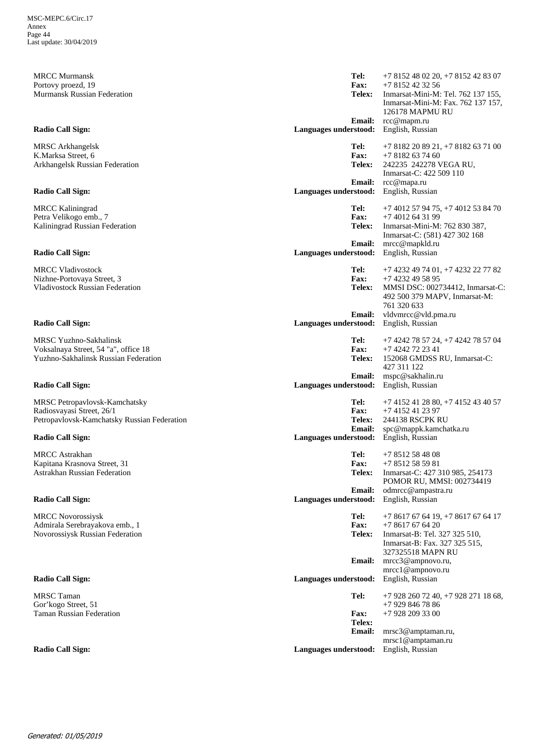MRCC Murmansk Portovy proezd, 19 Murmansk Russian Federation

MRSC Arkhangelsk K.Marksa Street, 6 Arkhangelsk Russian Federation

MRCC Kaliningrad Petra Velikogo emb., 7 Kaliningrad Russian Federation

MRCC Vladivostock Nizhne-Portovaya Street, 3 Vladivostock Russian Federation

MRSC Yuzhno-Sakhalinsk Voksalnaya Street, 54 "a", office 18 Yuzhno-Sakhalinsk Russian Federation

MRSC Petropavlovsk-Kamchatsky Radiosvayasi Street, 26/1 Petropavlovsk-Kamchatsky Russian Federation

MRCC Astrakhan Kapitana Krasnova Street, 31 Astrakhan Russian Federation

MRCC Novorossiysk Admirala Serebrayakova emb., 1 Novorossiysk Russian Federation

MRSC Taman Gor'kogo Street, 51 Taman Russian Federation

rcc@mapm.ru Inmarsat-Mini-M: Tel. 762 137 155, Inmarsat-Mini-M: Fax. 762 137 157, 126178 MAPMU RU +7 8152 42 32 56 **Email: Telex: Fax: Radio Call Sign: Languages understood:** English, Russian **Tel:** +7 8152 48 02 20, +7 8152 42 83 07 rcc@mapa.ru<br>English, Russian 242235 242278 VEGA RU, Inmarsat-C: 422 509 110 +7 8182 63 74 60 **Email: Telex: Fax: Radio Call Sign: Languages understood: Languages understood: Tel:** +7 8182 20 89 21, +7 8182 63 71 00 mrcc@mapkld.ru Inmarsat-Mini-M: 762 830 387, Inmarsat-C: (581) 427 302 168 +7 4012 64 31 99 **Email: Telex: Fax: Radio Call Sign: Languages understood:** English, Russian **Tel:** +7 4012 57 94 75, +7 4012 53 84 70 vldvmrcc@vld.pma.ru MMSI DSC: 002734412, Inmarsat-C: 492 500 379 MAPV, Inmarsat-M: 761 320 633 +7 4232 49 58 95 **Email: Telex: Fax: Radio Call Sign: Languages understood:** English, Russian **Tel:** +7 4232 49 74 01, +7 4232 22 77 82 mspc@sakhalin.ru 152068 GMDSS RU, Inmarsat-C: 427 311 122 +7 4242 72 23 41 **Email: Telex: Fax: Radio Call Sign: Languages understood:** English, Russian **Tel:** +7 4242 78 57 24, +7 4242 78 57 04 spc@mappk.kamchatka.ru<br>English, Russian 244138 RSCPK RU +7 4152 41 23 97 **Email: Telex: Fax: Radio Call Sign: Languages understood:** English, Radio Call Sign: **Tel:** +7 4152 41 28 80, +7 4152 43 40 57 odmrcc@ampastra.ru Inmarsat-C: 427 310 985, 254173 POMOR RU, MMSI: 002734419 +7 8512 58 59 81 **Email: Telex: Fax: Radio Call Sign: Languages understood:** English, Russian **Tel:** +7 8512 58 48 08 mrcc3@ampnovo.ru, mrcc1@ampnovo.ru Inmarsat-B: Tel. 327 325 510, Inmarsat-B: Fax. 327 325 515, 327325518 MAPN RU +7 8617 67 64 20 **Email: Telex: Fax: Radio Call Sign: Languages understood:** English, Russian **Tel:** +7 8617 67 64 19, +7 8617 67 64 17 mrsc3@amptaman.ru, mrsc1@amptaman.ru +7 928 209 33 00 **Email: Telex: Fax: Tel:** +7 928 260 72 40, +7 928 271 18 68, +7 929 846 78 86

**Radio Call Sign: Languages understood:** English, Russian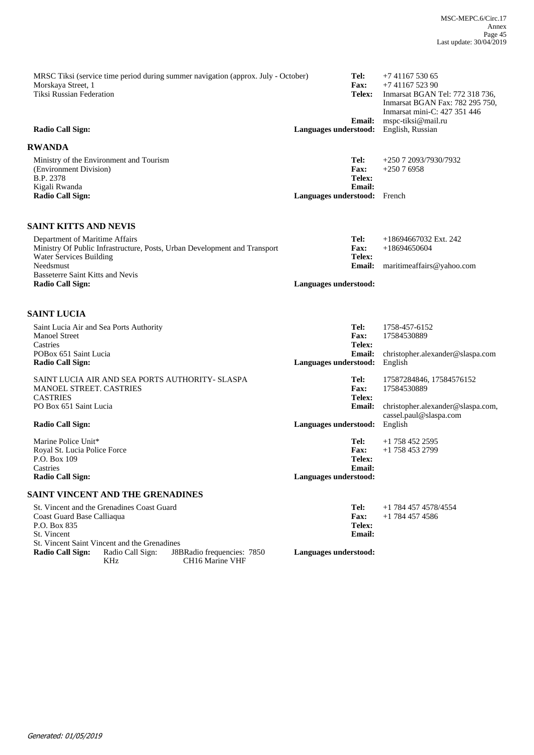| MRSC Tiksi (service time period during summer navigation (approx. July - October)<br>Morskaya Street, 1<br>Tiksi Russian Federation | Tel:<br><b>Fax:</b><br>Telex:                                    | $+74116753065$<br>$+74116752390$<br>Inmarsat BGAN Tel: 772 318 736,<br>Inmarsat BGAN Fax: 782 295 750, |
|-------------------------------------------------------------------------------------------------------------------------------------|------------------------------------------------------------------|--------------------------------------------------------------------------------------------------------|
| Radio Call Sign:                                                                                                                    | <b>Email:</b><br>Languages understood:                           | Inmarsat mini-C: 427 351 446<br>mspc-tiksi@mail.ru<br>English, Russian                                 |
| <b>RWANDA</b>                                                                                                                       |                                                                  |                                                                                                        |
| Ministry of the Environment and Tourism<br>(Environment Division)<br><b>B.P. 2378</b><br>Kigali Rwanda<br><b>Radio Call Sign:</b>   | Tel:<br><b>Fax:</b><br>Telex:<br>Email:<br>Languages understood: | $+25072093/7930/7932$<br>$+25076958$<br>French                                                         |
| <b>SAINT KITTS AND NEVIS</b>                                                                                                        |                                                                  |                                                                                                        |

| Department of Maritime Affairs                                            | Tel:                  | $+18694667032$ Ext. 242   |
|---------------------------------------------------------------------------|-----------------------|---------------------------|
| Ministry Of Public Infrastructure, Posts, Urban Development and Transport | <b>Fax:</b>           | +18694650604              |
| Water Services Building                                                   | Telex:                |                           |
| Needsmust                                                                 | <b>Email:</b>         | maritimeaffairs@yahoo.com |
| <b>Basseterre Saint Kitts and Nevis</b>                                   |                       |                           |
| <b>Radio Call Sign:</b>                                                   | Languages understood: |                           |

## **SAINT LUCIA**

| Saint Lucia Air and Sea Ports Authority         | Tel:                  | 1758-457-6152                                               |
|-------------------------------------------------|-----------------------|-------------------------------------------------------------|
| <b>Manoel Street</b>                            | <b>Fax:</b>           | 17584530889                                                 |
| Castries                                        | Telex:                |                                                             |
| POBox 651 Saint Lucia                           | <b>Email:</b>         | christopher.alexander@slaspa.com                            |
| <b>Radio Call Sign:</b>                         | Languages understood: | English                                                     |
| SAINT LUCIA AIR AND SEA PORTS AUTHORITY- SLASPA | Tel:                  | 17587284846, 17584576152                                    |
| <b>MANOEL STREET. CASTRIES</b>                  | <b>Fax:</b>           | 17584530889                                                 |
| <b>CASTRIES</b>                                 | Telex:                |                                                             |
| PO Box 651 Saint Lucia                          | <b>Email:</b>         | christopher.alexander@slaspa.com,<br>cassel.paul@slaspa.com |
| <b>Radio Call Sign:</b>                         | Languages understood: | English                                                     |
| Marine Police Unit*                             | Tel:                  | $+1$ 758 452 2595                                           |
| Royal St. Lucia Police Force                    | <b>Fax:</b>           | $+1$ 758 453 2799                                           |
| P.O. Box 109                                    | Telex:                |                                                             |
| Castries                                        | Email:                |                                                             |
| <b>Radio Call Sign:</b>                         | Languages understood: |                                                             |
| SAINT VINCENT AND THE GRENADINES                |                       |                                                             |
| St. Vincent and the Grenadines Coast Guard      | $T_{\mathbf{P}}$ .    | $+1$ 784 457 4578/4554                                      |

| St. Vincent and the Grenadines Coast Guard   |                          |                                                           | Tel:                  | +1 784 457 4578/4554 |
|----------------------------------------------|--------------------------|-----------------------------------------------------------|-----------------------|----------------------|
| Coast Guard Base Calliagua                   |                          |                                                           | <b>Fax:</b>           | $+1$ 784 457 4586    |
| P.O. Box 835                                 |                          |                                                           | Telex:                |                      |
| St. Vincent                                  |                          |                                                           | Email:                |                      |
| St. Vincent Saint Vincent and the Grenadines |                          |                                                           |                       |                      |
| Radio Call Sign:                             | Radio Call Sign:<br>KHz. | J8BRadio frequencies: 7850<br>CH <sub>16</sub> Marine VHF | Languages understood: |                      |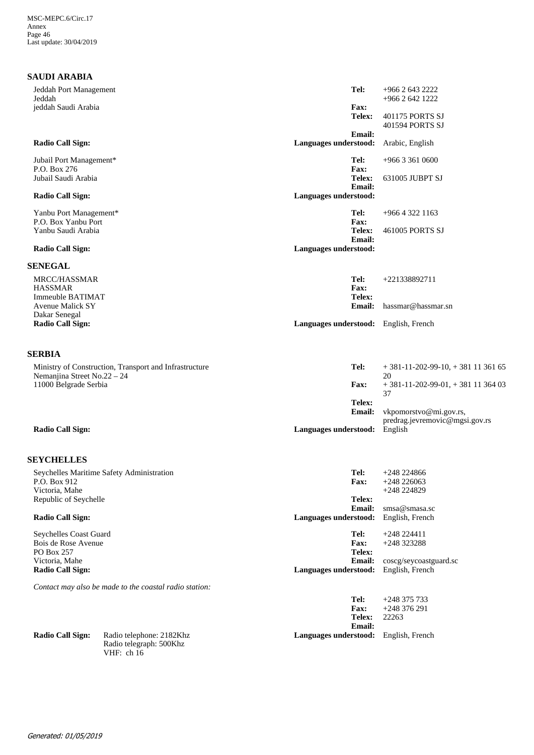## **SAUDI ARABIA**

| Jeddah Port Management                               |                                                                   | Tel:                                   | +966 2 643 2222                           |
|------------------------------------------------------|-------------------------------------------------------------------|----------------------------------------|-------------------------------------------|
| Jeddah                                               |                                                                   | <b>Fax:</b>                            | +966 2 642 1222                           |
| jeddah Saudi Arabia                                  |                                                                   | Telex:                                 | 401175 PORTS SJ<br>401594 PORTS SJ        |
|                                                      |                                                                   | Email:                                 |                                           |
| <b>Radio Call Sign:</b>                              |                                                                   | Languages understood:                  | Arabic, English                           |
| Jubail Port Management*<br>P.O. Box 276              |                                                                   | Tel:<br>Fax:                           | $+966$ 3 361 0600                         |
| Jubail Saudi Arabia                                  |                                                                   | Telex:<br>Email:                       | 631005 JUBPT SJ                           |
| <b>Radio Call Sign:</b>                              |                                                                   | Languages understood:                  |                                           |
| Yanbu Port Management*<br>P.O. Box Yanbu Port        |                                                                   | Tel:<br>Fax:                           | +966 4 322 1163                           |
| Yanbu Saudi Arabia                                   |                                                                   | Telex:                                 | 461005 PORTS SJ                           |
| <b>Radio Call Sign:</b>                              |                                                                   | <b>Email:</b><br>Languages understood: |                                           |
| <b>SENEGAL</b>                                       |                                                                   |                                        |                                           |
| MRCC/HASSMAR                                         |                                                                   | Tel:                                   | +221338892711                             |
| <b>HASSMAR</b><br><b>Immeuble BATIMAT</b>            |                                                                   | Fax:<br>Telex:                         |                                           |
| <b>Avenue Malick SY</b>                              |                                                                   | Email:                                 | hassmar@hassmar.sn                        |
| Dakar Senegal                                        |                                                                   |                                        |                                           |
| <b>Radio Call Sign:</b>                              |                                                                   | Languages understood: English, French  |                                           |
| <b>SERBIA</b>                                        |                                                                   |                                        |                                           |
|                                                      | Ministry of Construction, Transport and Infrastructure            | Tel:                                   | $+381-11-202-99-10$ , $+3811136165$       |
| Nemanjina Street No.22 - 24<br>11000 Belgrade Serbia |                                                                   | Fax:                                   | 20<br>$+381-11-202-99-01$ , $+3811136403$ |
|                                                      |                                                                   | Telex:                                 | 37                                        |
|                                                      |                                                                   | <b>Email:</b>                          | vkpomorstvo@mi.gov.rs,                    |
| <b>Radio Call Sign:</b>                              |                                                                   | Languages understood:                  | predrag.jevremovic@mgsi.gov.rs<br>English |
|                                                      |                                                                   |                                        |                                           |
| <b>SEYCHELLES</b>                                    |                                                                   |                                        |                                           |
| P.O. Box 912                                         | Seychelles Maritime Safety Administration                         | Tel:<br>Fax:                           | $+248224866$<br>$+248226063$              |
| Victoria, Mahe                                       |                                                                   |                                        | $+248224829$                              |
| Republic of Seychelle                                |                                                                   | Telex:                                 |                                           |
|                                                      |                                                                   | Email:                                 | smsa@smasa.sc                             |
| <b>Radio Call Sign:</b>                              |                                                                   | Languages understood:                  | English, French                           |
| Seychelles Coast Guard                               |                                                                   | Tel:                                   | $+248224411$                              |
| Bois de Rose Avenue                                  |                                                                   | Fax:                                   | +248 323288                               |
| PO Box 257<br>Victoria, Mahe                         |                                                                   | Telex:<br>Email:                       | coscg/seycoastguard.sc                    |
| <b>Radio Call Sign:</b>                              |                                                                   | Languages understood:                  | English, French                           |
|                                                      | Contact may also be made to the coastal radio station:            |                                        |                                           |
|                                                      |                                                                   | Tel:                                   | $+248375733$                              |
|                                                      |                                                                   | Fax:                                   | $+248376291$                              |
|                                                      |                                                                   | Telex:<br>Email:                       | 22263                                     |
| <b>Radio Call Sign:</b>                              | Radio telephone: 2182Khz<br>Radio telegraph: 500Khz<br>VHF: ch 16 | Languages understood:                  | English, French                           |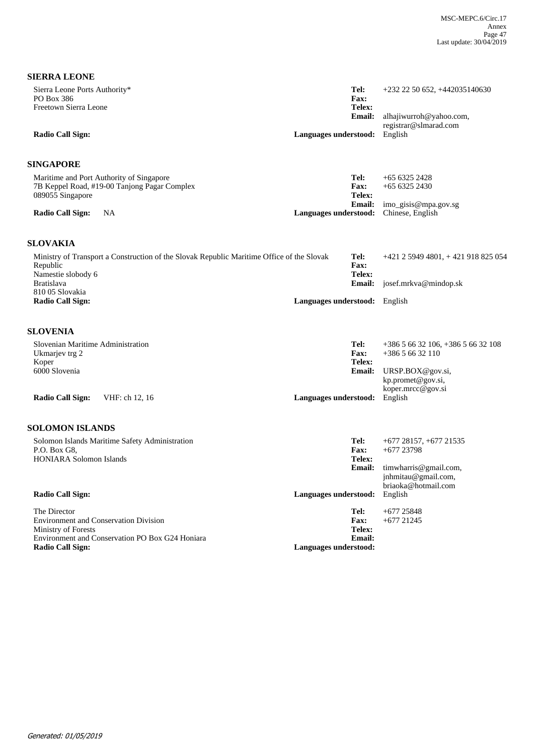| <b>SIERRA LEONE</b>                                                                                                         |                                        |                                                                     |
|-----------------------------------------------------------------------------------------------------------------------------|----------------------------------------|---------------------------------------------------------------------|
| Sierra Leone Ports Authority*<br>PO Box 386<br>Freetown Sierra Leone                                                        | Tel:<br>Fax:<br>Telex:                 | $+232$ 22 50 652, $+442035140630$                                   |
|                                                                                                                             | <b>Email:</b>                          | alhajiwurroh@yahoo.com,                                             |
| <b>Radio Call Sign:</b>                                                                                                     | Languages understood:<br>English       | registrar@slmarad.com                                               |
| <b>SINGAPORE</b>                                                                                                            |                                        |                                                                     |
| Maritime and Port Authority of Singapore<br>7B Keppel Road, #19-00 Tanjong Pagar Complex<br>089055 Singapore                | Tel:<br><b>Fax:</b><br>Telex:          | $+6563252428$<br>$+6563252430$                                      |
| <b>Radio Call Sign:</b><br><b>NA</b>                                                                                        | <b>Email:</b><br>Languages understood: | imo_gisis@mpa.gov.sg<br>Chinese, English                            |
| <b>SLOVAKIA</b>                                                                                                             |                                        |                                                                     |
| Ministry of Transport a Construction of the Slovak Republic Maritime Office of the Slovak<br>Republic<br>Namestie slobody 6 | Tel:<br>Fax:<br>Telex:                 | +421 2 5949 4801, + 421 918 825 054                                 |
| <b>Bratislava</b>                                                                                                           | <b>Email:</b>                          | josef.mrkva@mindop.sk                                               |
| 810 05 Slovakia<br><b>Radio Call Sign:</b>                                                                                  | Languages understood: English          |                                                                     |
| <b>SLOVENIA</b>                                                                                                             |                                        |                                                                     |
| Slovenian Maritime Administration<br>Ukmarjev trg 2                                                                         | Tel:<br>Fax:                           | $+38656632106, +38656632108$<br>$+38656632110$                      |
| Koper                                                                                                                       | Telex:                                 |                                                                     |
| 6000 Slovenia                                                                                                               | <b>Email:</b>                          | URSP.BOX@gov.si,<br>kp.promet@gov.si,                               |
| <b>Radio Call Sign:</b><br>VHF: ch 12, 16                                                                                   | English<br>Languages understood:       | koper.mrcc@gov.si                                                   |
| <b>SOLOMON ISLANDS</b>                                                                                                      |                                        |                                                                     |
| Solomon Islands Maritime Safety Administration                                                                              | Tel:                                   | $+677$ 28157, $+677$ 21535                                          |
| P.O. Box G8,<br><b>HONIARA Solomon Islands</b>                                                                              | Fax:<br>Telex:                         | $+677$ 23798                                                        |
|                                                                                                                             | <b>Email:</b>                          | timwharris@gmail.com,<br>jnhmitau@gmail.com,<br>briaoka@hotmail.com |
| <b>Radio Call Sign:</b>                                                                                                     | Languages understood:<br>English       |                                                                     |
| The Director<br><b>Environment and Conservation Division</b>                                                                | Tel:<br>Fax:                           | $+677$ 25848<br>$+677$ 21245                                        |
| Ministry of Forests<br>Environment and Conservation PO Box G24 Honiara                                                      | Telex:<br><b>Email:</b>                |                                                                     |
| <b>Radio Call Sign:</b>                                                                                                     | Languages understood:                  |                                                                     |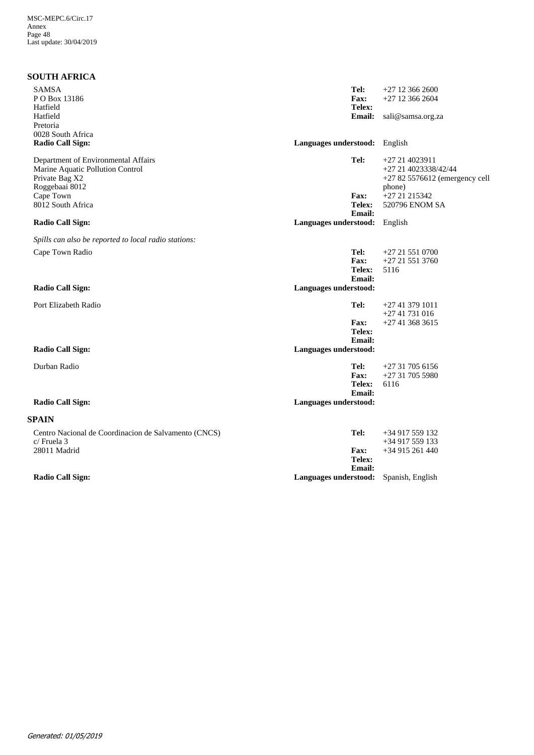## **SOUTH AFRICA**

| <b>SAMSA</b><br>PO Box 13186<br>Hatfield<br>Hatfield<br>Pretoria<br>0028 South Africa                       | Tel:<br>Fax:<br>Telex:<br><b>Email:</b>                 | $+27$ 12 366 2600<br>$+27$ 12 366 2604<br>sali@samsa.org.za                        |
|-------------------------------------------------------------------------------------------------------------|---------------------------------------------------------|------------------------------------------------------------------------------------|
| <b>Radio Call Sign:</b>                                                                                     | Languages understood: English                           |                                                                                    |
| Department of Environmental Affairs<br>Marine Aquatic Pollution Control<br>Private Bag X2<br>Roggebaai 8012 | Tel:                                                    | +27 21 4023911<br>+27 21 4023338/42/44<br>$+27825576612$ (emergency cell<br>phone) |
| Cape Town<br>8012 South Africa                                                                              | Fax:<br>Telex:<br>Email:                                | +27 21 215342<br>520796 ENOM SA                                                    |
| <b>Radio Call Sign:</b>                                                                                     | Languages understood: English                           |                                                                                    |
| Spills can also be reported to local radio stations:                                                        |                                                         |                                                                                    |
| Cape Town Radio                                                                                             | Tel:<br>Fax:<br>Telex:<br>Email:                        | $+27215510700$<br>$+27215513760$<br>5116                                           |
| <b>Radio Call Sign:</b>                                                                                     | Languages understood:                                   |                                                                                    |
| Port Elizabeth Radio                                                                                        | Tel:<br>Fax:<br>Telex:<br><b>Email:</b>                 | $+27413791011$<br>$+2741731016$<br>$+27413683615$                                  |
| <b>Radio Call Sign:</b>                                                                                     | Languages understood:                                   |                                                                                    |
| Durban Radio                                                                                                | Tel:<br><b>Fax:</b><br><b>Telex:</b><br>Email:          | $+27317056156$<br>$+27317055980$<br>6116                                           |
| <b>Radio Call Sign:</b>                                                                                     | Languages understood:                                   |                                                                                    |
| <b>SPAIN</b>                                                                                                |                                                         |                                                                                    |
| Centro Nacional de Coordinacion de Salvamento (CNCS)<br>c/ Fruela 3<br>28011 Madrid                         | Tel:<br><b>Fax:</b><br>Telex:                           | $+34917559132$<br>+34 917 559 133<br>+34 915 261 440                               |
| <b>Radio Call Sign:</b>                                                                                     | <b>Email:</b><br>Languages understood: Spanish, English |                                                                                    |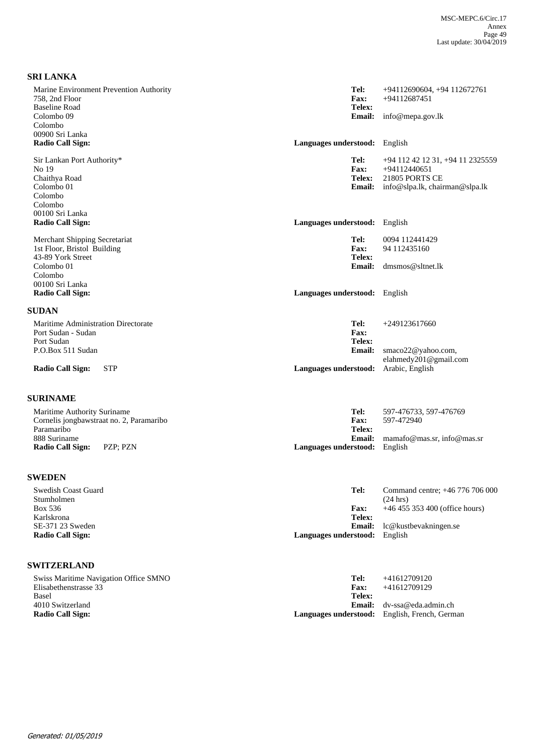| <b>SRI LANKA</b>                                                                  |                                        |                                                                           |
|-----------------------------------------------------------------------------------|----------------------------------------|---------------------------------------------------------------------------|
| Marine Environment Prevention Authority<br>758, 2nd Floor                         | Tel:<br><b>Fax:</b>                    | +94112690604, +94 112672761<br>+94112687451                               |
| <b>Baseline Road</b><br>Colombo 09                                                | Telex:<br><b>Email:</b>                | info@mepa.gov.lk                                                          |
| Colombo<br>00900 Sri Lanka                                                        |                                        |                                                                           |
| <b>Radio Call Sign:</b>                                                           | Languages understood:                  | English                                                                   |
| Sir Lankan Port Authority*<br>No 19<br>Chaithya Road                              | Tel:<br>Fax:<br><b>Telex:</b>          | +94 112 42 12 31, +94 11 2325559<br>+94112440651<br><b>21805 PORTS CE</b> |
| Colombo 01<br>Colombo                                                             | <b>Email:</b>                          | info@slpa.lk, chairman@slpa.lk                                            |
| Colombo<br>00100 Sri Lanka                                                        |                                        |                                                                           |
| <b>Radio Call Sign:</b>                                                           | Languages understood: English          |                                                                           |
| Merchant Shipping Secretariat<br>1st Floor, Bristol Building<br>43-89 York Street | Tel:<br>Fax:<br>Telex:                 | 0094 112441429<br>94 112435160                                            |
| Colombo 01<br>Colombo<br>00100 Sri Lanka                                          | <b>Email:</b>                          | dmsmos@sltnet.lk                                                          |
| <b>Radio Call Sign:</b>                                                           | Languages understood: English          |                                                                           |
| <b>SUDAN</b>                                                                      |                                        |                                                                           |
| Maritime Administration Directorate<br>Port Sudan - Sudan<br>Port Sudan           | Tel:<br>Fax:<br>Telex:                 | $+249123617660$                                                           |
| P.O.Box 511 Sudan                                                                 | <b>Email:</b>                          | smaco22@yahoo.com,<br>elahmedy201@gmail.com                               |
| <b>STP</b><br><b>Radio Call Sign:</b>                                             | Languages understood:                  | Arabic, English                                                           |
| <b>SURINAME</b>                                                                   |                                        |                                                                           |
| Maritime Authority Suriname<br>Cornelis jongbawstraat no. 2, Paramaribo           | Tel:<br><b>Fax:</b>                    | 597-476733, 597-476769<br>597-472940                                      |
| Paramaribo<br>888 Suriname                                                        | Telex:<br><b>Email:</b>                | mamafo@mas.sr, info@mas.sr                                                |
| PZP; PZN<br><b>Radio Call Sign:</b>                                               | Languages understood:                  | English                                                                   |
| <b>SWEDEN</b>                                                                     |                                        |                                                                           |
|                                                                                   |                                        |                                                                           |
| Swedish Coast Guard<br>Stumholmen                                                 | Tel:                                   | Command centre; +46 776 706 000<br>$(24 \text{ hrs})$                     |
| Box 536<br>Karlskrona                                                             | <b>Fax:</b><br>Telex:                  | +46 455 353 400 (office hours)                                            |
| SE-371 23 Sweden<br><b>Radio Call Sign:</b>                                       | <b>Email:</b><br>Languages understood: | lc@kustbevakningen.se<br>English                                          |
| <b>SWITZERLAND</b>                                                                |                                        |                                                                           |
| Swiss Maritime Navigation Office SMNO                                             | Tel:                                   | +41612709120                                                              |
| Elisabethenstrasse 33<br>Basel                                                    | <b>Fax:</b><br>Telex:                  | +41612709129                                                              |
| 4010 Switzerland                                                                  | <b>Email:</b>                          | dv-ssa@eda.admin.ch                                                       |

4010 Switzerland **Radio Call Sign: Languages understood:** English, French, German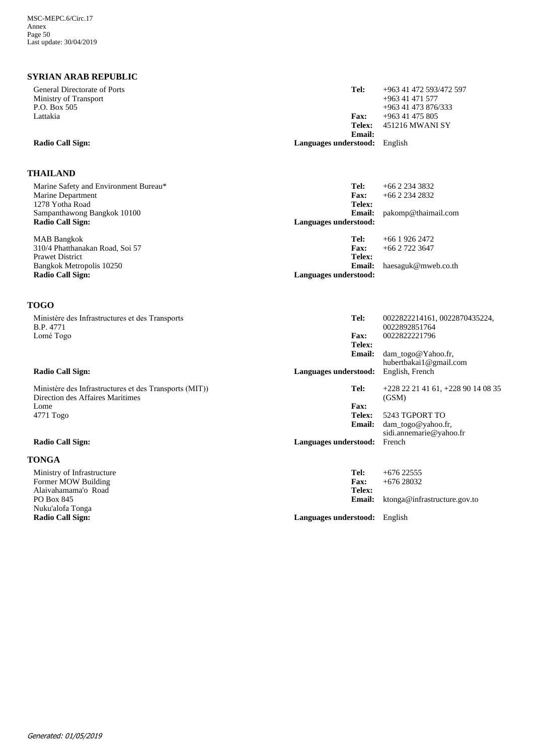# **SYRIAN ARAB REPUBLIC**

| ƏTKIAN AKAD KEFUDLIU                                         |                               |                                                |
|--------------------------------------------------------------|-------------------------------|------------------------------------------------|
| General Directorate of Ports                                 | Tel:                          | +963 41 472 593/472 597                        |
| Ministry of Transport                                        |                               | $+963$ 41 471 577                              |
| P.O. Box 505                                                 |                               | +963 41 473 876/333                            |
| Lattakia                                                     | Fax:                          | $+963$ 41 475 805                              |
|                                                              | Telex:                        | 451216 MWANI SY                                |
|                                                              | <b>Email:</b>                 |                                                |
| <b>Radio Call Sign:</b>                                      | Languages understood: English |                                                |
| <b>THAILAND</b>                                              |                               |                                                |
| Marine Safety and Environment Bureau*                        | Tel:                          | $+6622343832$                                  |
| Marine Department                                            | <b>Fax:</b>                   | $+6622342832$                                  |
| 1278 Yotha Road                                              | Telex:                        |                                                |
| Sampanthawong Bangkok 10100                                  | <b>Email:</b>                 | pakomp@thaimail.com                            |
| <b>Radio Call Sign:</b>                                      | Languages understood:         |                                                |
|                                                              |                               |                                                |
| <b>MAB</b> Bangkok                                           | Tel:                          | $+66$ 1 926 2472                               |
| 310/4 Phatthanakan Road, Soi 57                              | <b>Fax:</b>                   | $+6627223647$                                  |
| <b>Prawet District</b>                                       | Telex:                        |                                                |
| Bangkok Metropolis 10250                                     | <b>Email:</b>                 | haesaguk@mweb.co.th                            |
| <b>Radio Call Sign:</b>                                      | Languages understood:         |                                                |
| <b>TOGO</b>                                                  |                               |                                                |
| Ministère des Infrastructures et des Transports<br>B.P. 4771 | Tel:                          | 0022822214161, 0022870435224,<br>0022892851764 |
| Lomé Togo                                                    | <b>Fax:</b>                   | 0022822221796                                  |
|                                                              | Telex:                        |                                                |
|                                                              | <b>Email:</b>                 | dam_togo@Yahoo.fr,                             |
|                                                              |                               | hubertbakai1@gmail.com                         |
| <b>Radio Call Sign:</b>                                      | Languages understood:         | English, French                                |
| Ministère des Infrastructures et des Transports (MIT))       | Tel:                          | $+22822214161, +22890140835$                   |
| Direction des Affaires Maritimes<br>Lome                     | <b>Fax:</b>                   | (GSM)                                          |
|                                                              | Telex:                        | 5243 TGPORT TO                                 |
| 4771 Togo                                                    | <b>Email:</b>                 | dam_togo@yahoo.fr,                             |
|                                                              |                               | sidi.annemarie@yahoo.fr                        |
| <b>Radio Call Sign:</b>                                      |                               | French                                         |
|                                                              | Languages understood:         |                                                |
| <b>TONGA</b>                                                 |                               |                                                |
| Ministry of Infrastructure                                   | Tel:                          | $+67622555$                                    |
| Former MOW Building                                          | <b>Fax:</b>                   | $+67628032$                                    |
| Alaivahamama'o Road                                          | Telex:                        |                                                |
| PO Box 845                                                   | <b>Email:</b>                 | ktonga@infrastructure.gov.to                   |
| Nuku'alofa Tonga                                             |                               |                                                |
| <b>Radio Call Sign:</b>                                      | Languages understood: English |                                                |
|                                                              |                               |                                                |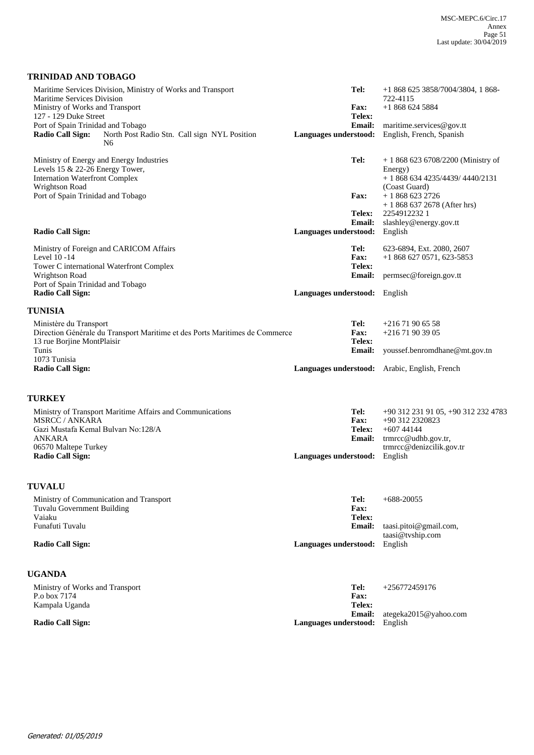## **TRINIDAD AND TOBAGO**

| Levels 15 & 22-26 Energy Tower,<br>Energy)<br><b>Internation Waterfront Complex</b><br>$+18686344235/4439/4440/2131$<br>Wrightson Road<br>(Coast Guard)<br>Port of Spain Trinidad and Tobago<br><b>Fax:</b><br>$+18686232726$<br>$+18686372678$ (After hrs)<br>Telex:<br>22549122321<br><b>Email:</b><br>slashley@energy.gov.tt<br><b>Radio Call Sign:</b><br>Languages understood:<br>English<br>Ministry of Foreign and CARICOM Affairs<br>Tel:<br>623-6894, Ext. 2080, 2607<br>Level 10-14<br>Fax:<br>$+18686270571,623-5853$<br>Tower C international Waterfront Complex<br>Telex:<br>Wrightson Road<br><b>Email:</b><br>permsec@foreign.gov.tt<br>Port of Spain Trinidad and Tobago<br><b>Radio Call Sign:</b><br>Languages understood: English<br><b>TUNISIA</b><br>Ministère du Transport<br>Tel:<br>$+21671906558$ |  |
|----------------------------------------------------------------------------------------------------------------------------------------------------------------------------------------------------------------------------------------------------------------------------------------------------------------------------------------------------------------------------------------------------------------------------------------------------------------------------------------------------------------------------------------------------------------------------------------------------------------------------------------------------------------------------------------------------------------------------------------------------------------------------------------------------------------------------|--|
|                                                                                                                                                                                                                                                                                                                                                                                                                                                                                                                                                                                                                                                                                                                                                                                                                            |  |
|                                                                                                                                                                                                                                                                                                                                                                                                                                                                                                                                                                                                                                                                                                                                                                                                                            |  |
|                                                                                                                                                                                                                                                                                                                                                                                                                                                                                                                                                                                                                                                                                                                                                                                                                            |  |
|                                                                                                                                                                                                                                                                                                                                                                                                                                                                                                                                                                                                                                                                                                                                                                                                                            |  |
| Direction Générale du Transport Maritime et des Ports Maritimes de Commerce<br>Fax:<br>+216 71 90 39 05<br>13 rue Borjine MontPlaisir<br>Telex:<br>Tunis<br><b>Email:</b><br>youssef.benromdhane@mt.gov.tn                                                                                                                                                                                                                                                                                                                                                                                                                                                                                                                                                                                                                 |  |
| 1073 Tunisia<br><b>Radio Call Sign:</b><br>Languages understood: Arabic, English, French                                                                                                                                                                                                                                                                                                                                                                                                                                                                                                                                                                                                                                                                                                                                   |  |
| <b>TURKEY</b>                                                                                                                                                                                                                                                                                                                                                                                                                                                                                                                                                                                                                                                                                                                                                                                                              |  |
| Ministry of Transport Maritime Affairs and Communications<br>Tel:<br>+90 312 231 91 05, +90 312 232 4783<br><b>MSRCC / ANKARA</b><br><b>Fax:</b><br>+90 312 2320823<br>Gazi Mustafa Kemal Bulvarı No:128/A<br>Telex:<br>$+60744144$<br>ANKARA<br><b>Email:</b><br>trmrcc@udhb.gov.tr,<br>trmrcc@denizcilik.gov.tr<br>06570 Maltepe Turkey<br><b>Radio Call Sign:</b><br>Languages understood:<br>English                                                                                                                                                                                                                                                                                                                                                                                                                   |  |
| <b>TUVALU</b>                                                                                                                                                                                                                                                                                                                                                                                                                                                                                                                                                                                                                                                                                                                                                                                                              |  |
| Tel:<br>Ministry of Communication and Transport<br>$+688-20055$<br>Fax:<br><b>Tuvalu Government Building</b><br>Telex:<br>Vaiaku<br>Funafuti Tuvalu<br><b>Email:</b><br>taasi.pitoi@gmail.com,<br>taasi@tvship.com<br><b>Radio Call Sign:</b><br>Languages understood:<br>English                                                                                                                                                                                                                                                                                                                                                                                                                                                                                                                                          |  |
| <b>UGANDA</b>                                                                                                                                                                                                                                                                                                                                                                                                                                                                                                                                                                                                                                                                                                                                                                                                              |  |
| Tel:<br>Ministry of Works and Transport<br>$+256772459176$<br>P.o box 7174<br>Fax:<br>Telex:<br>Kampala Uganda                                                                                                                                                                                                                                                                                                                                                                                                                                                                                                                                                                                                                                                                                                             |  |
| <b>Email:</b><br>ategeka2015@yahoo.com<br><b>Radio Call Sign:</b><br>Languages understood:<br>English                                                                                                                                                                                                                                                                                                                                                                                                                                                                                                                                                                                                                                                                                                                      |  |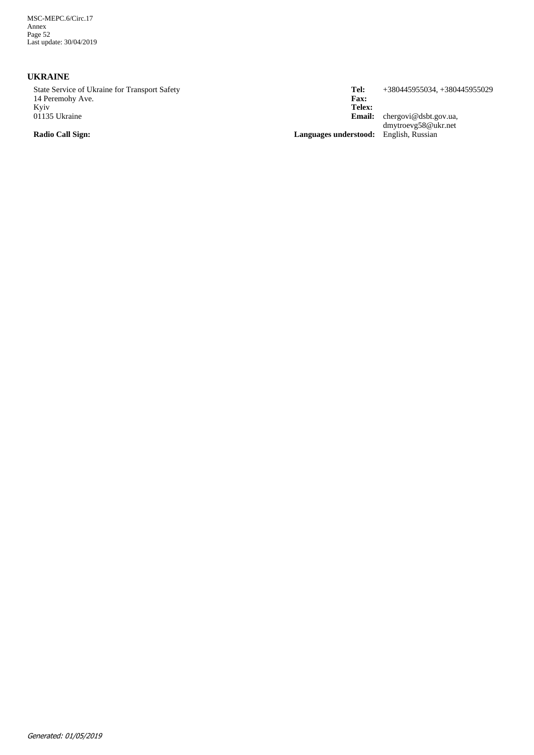MSC-MEPC.6/Circ.17 Annex Page 52 Last update: 30/04/2019

## **UKRAINE**

State Service of Ukraine for Transport Safety 14 Peremohy Ave. Kyiv 01135 Ukraine

chergovi@dsbt.gov.ua, dmytroevg58@ukr.net **Email: Telex: Fax: Tel:** +380445955034, +380445955029

**Radio Call Sign: Languages understood:** English, Russian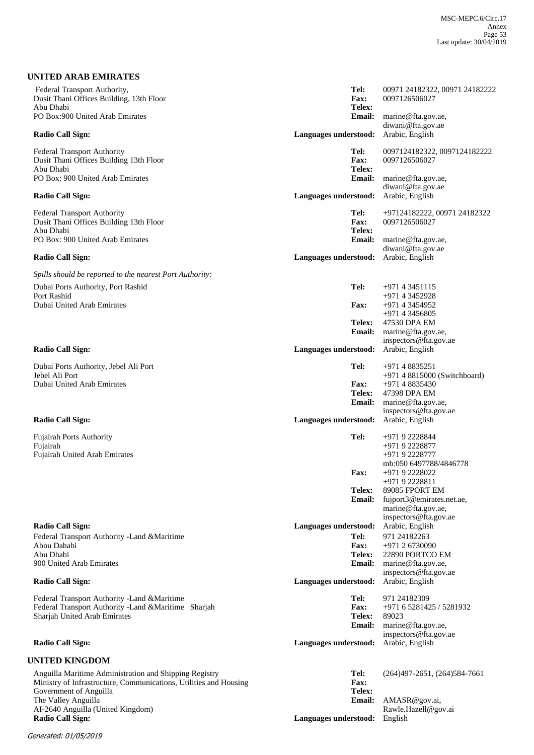| UNITED ARAB EMIRATES                                                                       |                              |                                                                          |
|--------------------------------------------------------------------------------------------|------------------------------|--------------------------------------------------------------------------|
| Federal Transport Authority,<br>Dusit Thani Offices Building, 13th Floor<br>Abu Dhabi      | Tel:<br>Fax:<br>Telex:       | 00971 24182322, 00971 24182222<br>0097126506027                          |
| PO Box:900 United Arab Emirates                                                            | <b>Email:</b>                | marine@fta.gov.ae,                                                       |
| <b>Radio Call Sign:</b>                                                                    | Languages understood:        | diwani@fta.gov.ae<br>Arabic, English                                     |
| <b>Federal Transport Authority</b><br>Dusit Thani Offices Building 13th Floor              | Tel:<br>Fax:                 | 0097124182322, 0097124182222<br>0097126506027                            |
| Abu Dhabi<br>PO Box: 900 United Arab Emirates                                              | Telex:<br>Email:             | marine@fta.gov.ae,<br>diwani@fta.gov.ae                                  |
| <b>Radio Call Sign:</b>                                                                    | Languages understood:        | Arabic, English                                                          |
| <b>Federal Transport Authority</b><br>Dusit Thani Offices Building 13th Floor<br>Abu Dhabi | Tel:<br>Fax:<br>Telex:       | +97124182222, 00971 24182322<br>0097126506027                            |
| PO Box: 900 United Arab Emirates                                                           | <b>Email:</b>                | marine@fta.gov.ae,<br>diwani@fta.gov.ae                                  |
| <b>Radio Call Sign:</b>                                                                    | Languages understood:        | Arabic, English                                                          |
| Spills should be reported to the nearest Port Authority:                                   |                              |                                                                          |
| Dubai Ports Authority, Port Rashid<br>Port Rashid                                          | Tel:                         | $+97143451115$<br>+971 4 3452928                                         |
| Dubai United Arab Emirates                                                                 | <b>Fax:</b>                  | +971 4 3454952<br>$+97143456805$                                         |
|                                                                                            | Telex:<br><b>Email:</b>      | 47530 DPA EM<br>marine@fta.gov.ae,<br>inspectors@fta.gov.ae              |
| <b>Radio Call Sign:</b>                                                                    | Languages understood:        | Arabic, English                                                          |
| Dubai Ports Authority, Jebel Ali Port<br>Jebel Ali Port                                    | Tel:                         | +971 4 8835251<br>+971 4 8815000 (Switchboard)                           |
| Dubai United Arab Emirates                                                                 | <b>Fax:</b>                  | +971 4 8835430                                                           |
|                                                                                            | Telex:                       | 47398 DPA EM                                                             |
|                                                                                            | <b>Email:</b>                | marine@fta.gov.ae,<br>inspectors@fta.gov.ae<br>Arabic, English           |
| <b>Radio Call Sign:</b>                                                                    | Languages understood:        |                                                                          |
| <b>Fujairah Ports Authority</b><br>Fujairah                                                | Tel:                         | +971 9 2228844<br>+971 9 2228877                                         |
| <b>Fujairah United Arab Emirates</b>                                                       |                              | +971 9 2228777                                                           |
|                                                                                            | Fax:                         | mb:050 6497788/4846778<br>+971 9 2228022<br>+971 9 2228811               |
|                                                                                            | Telex:                       | 89085 FPORT EM                                                           |
|                                                                                            | Email:                       | fujport3@emirates.net.ae,<br>marine@fta.gov.ae,<br>inspectors@fta.gov.ae |
| <b>Radio Call Sign:</b>                                                                    | Languages understood:        | Arabic, English                                                          |
| Federal Transport Authority - Land & Maritime                                              | Tel:                         | 971 24182263                                                             |
| Abou Dahabi<br>Abu Dhabi                                                                   | <b>Fax:</b><br><b>Telex:</b> | +971 2 6730090<br>22890 PORTCO EM                                        |
| 900 United Arab Emirates                                                                   | <b>Email:</b>                | marine@fta.gov.ae,                                                       |
| <b>Radio Call Sign:</b>                                                                    | Languages understood:        | inspectors@fta.gov.ae<br>Arabic, English                                 |
| Federal Transport Authority - Land & Maritime                                              | Tel:                         | 971 24182309                                                             |
| Federal Transport Authority -Land &Maritime Sharjah<br>Sharjah United Arab Emirates        | Fax:<br>Telex:               | +971 6 5281425 / 5281932<br>89023                                        |
|                                                                                            | <b>Email:</b>                | marine@fta.gov.ae,                                                       |
| <b>Radio Call Sign:</b>                                                                    | Languages understood:        | inspectors@fta.gov.ae<br>Arabic, English                                 |
| <b>UNITED KINGDOM</b>                                                                      |                              |                                                                          |
| Anguilla Maritime Administration and Shipping Registry                                     | Tel:                         | $(264)497 - 2651, (264)584 - 7661$                                       |
| Ministry of Infrastructure, Communications, Utilities and Housing                          | Fax:                         |                                                                          |
| Government of Anguilla<br>The Valley Anguilla                                              | Telex:<br><b>Email:</b>      | AMASR@gov.ai,                                                            |
| AI-2640 Anguilla (United Kingdom)<br><b>Radio Call Sign:</b>                               | Languages understood:        | Rawle.Hazell@gov.ai<br>English                                           |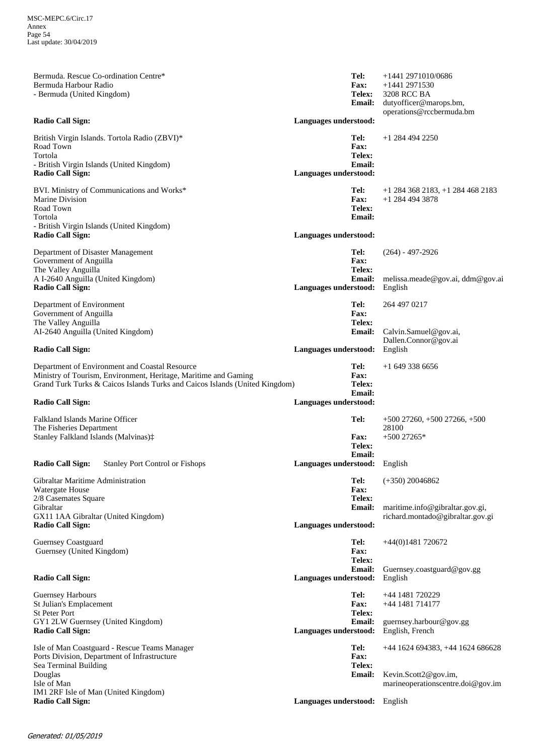| Bermuda. Rescue Co-ordination Centre*<br>Bermuda Harbour Radio<br>- Bermuda (United Kingdom)<br><b>Radio Call Sign:</b>                                                                                                     | Tel:<br>Fax:<br>Telex:<br><b>Email:</b><br>Languages understood:               | +1441 2971010/0686<br>$+1441$ 2971530<br>3208 RCC BA<br>dutyofficer@marops.bm,<br>operations@rccbermuda.bm |
|-----------------------------------------------------------------------------------------------------------------------------------------------------------------------------------------------------------------------------|--------------------------------------------------------------------------------|------------------------------------------------------------------------------------------------------------|
| British Virgin Islands. Tortola Radio (ZBVI)*<br>Road Town<br>Tortola<br>- British Virgin Islands (United Kingdom)<br><b>Radio Call Sign:</b>                                                                               | Tel:<br>Fax:<br>Telex:<br><b>Email:</b><br>Languages understood:               | $+1$ 284 494 2250                                                                                          |
| BVI. Ministry of Communications and Works*<br><b>Marine Division</b><br>Road Town<br>Tortola<br>- British Virgin Islands (United Kingdom)<br><b>Radio Call Sign:</b>                                                        | Tel:<br><b>Fax:</b><br><b>Telex:</b><br><b>Email:</b><br>Languages understood: | $+1$ 284 368 2183, $+1$ 284 468 2183<br>+1 284 494 3878                                                    |
| Department of Disaster Management<br>Government of Anguilla<br>The Valley Anguilla<br>A I-2640 Anguilla (United Kingdom)<br><b>Radio Call Sign:</b>                                                                         | Tel:<br><b>Fax:</b><br>Telex:<br><b>Email:</b><br>Languages understood:        | $(264) - 497 - 2926$<br>melissa.meade@gov.ai, ddm@gov.ai<br>English                                        |
| Department of Environment<br>Government of Anguilla<br>The Valley Anguilla<br>AI-2640 Anguilla (United Kingdom)<br><b>Radio Call Sign:</b>                                                                                  | Tel:<br>Fax:<br>Telex:<br>Email:<br>Languages understood:                      | 264 497 0217<br>Calvin.Samuel@gov.ai,<br>Dallen.Connor@gov.ai<br>English                                   |
| Department of Environment and Coastal Resource<br>Ministry of Tourism, Environment, Heritage, Maritime and Gaming<br>Grand Turk Turks & Caicos Islands Turks and Caicos Islands (United Kingdom)<br><b>Radio Call Sign:</b> | Tel:<br>Fax:<br>Telex:<br><b>Email:</b><br>Languages understood:               | $+16493386656$                                                                                             |
| Falkland Islands Marine Officer<br>The Fisheries Department<br>Stanley Falkland Islands (Malvinas):                                                                                                                         | Tel:<br><b>Fax:</b><br>Telex:<br><b>Email:</b>                                 | $+50027260, +50027266, +500$<br>28100<br>$+500$ 27265*                                                     |
| <b>Radio Call Sign:</b><br><b>Stanley Port Control or Fishops</b>                                                                                                                                                           | Languages understood: English                                                  |                                                                                                            |
| Gibraltar Maritime Administration<br>Watergate House<br>2/8 Casemates Square<br>Gibraltar<br>GX11 1AA Gibraltar (United Kingdom)<br><b>Radio Call Sign:</b>                                                                 | Tel:<br><b>Fax:</b><br>Telex:<br><b>Email:</b><br>Languages understood:        | $(+350)$ 20046862<br>maritime.info@gibraltar.gov.gi,<br>richard.montado@gibraltar.gov.gi                   |
| Guernsey Coastguard<br>Guernsey (United Kingdom)                                                                                                                                                                            | Tel:<br>Fax:<br>Telex:<br>Email:                                               | $+44(0)1481720672$<br>Guernsey.coastguard@gov.gg                                                           |
| <b>Radio Call Sign:</b>                                                                                                                                                                                                     | Languages understood:                                                          | English                                                                                                    |
| <b>Guernsey Harbours</b><br>St Julian's Emplacement<br>St Peter Port<br>GY1 2LW Guernsey (United Kingdom)<br><b>Radio Call Sign:</b>                                                                                        | Tel:<br>Fax:<br>Telex:<br><b>Email:</b><br>Languages understood:               | +44 1481 720229<br>+44 1481 714177<br>guernsey.harbour@gov.gg<br>English, French                           |
| Isle of Man Coastguard - Rescue Teams Manager<br>Ports Division, Department of Infrastructure<br>Sea Terminal Building<br>Douglas<br>Isle of Man<br>IM1 2RF Isle of Man (United Kingdom)<br><b>Radio Call Sign:</b>         | Tel:<br>Fax:<br>Telex:<br><b>Email:</b><br>Languages understood: English       | +44 1624 694383, +44 1624 686628<br>Kevin.Scott2@gov.im,<br>marineoperationscentre.doi@gov.im              |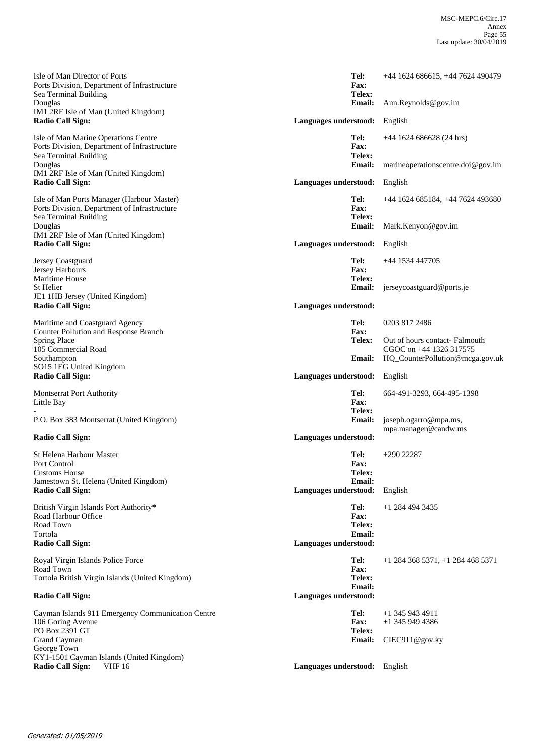| Isle of Man Director of Ports<br>Ports Division, Department of Infrastructure<br>Sea Terminal Building              | Tel:<br><b>Fax:</b><br>Telex:          | +44 1624 686615, +44 7624 490479                          |
|---------------------------------------------------------------------------------------------------------------------|----------------------------------------|-----------------------------------------------------------|
| Douglas<br>IM1 2RF Isle of Man (United Kingdom)<br><b>Radio Call Sign:</b>                                          | <b>Email:</b><br>Languages understood: | Ann.Reynolds@gov.im<br>English                            |
|                                                                                                                     |                                        |                                                           |
| Isle of Man Marine Operations Centre<br>Ports Division, Department of Infrastructure<br>Sea Terminal Building       | Tel:<br>Fax:<br>Telex:                 | $+44$ 1624 686628 (24 hrs)                                |
| Douglas<br>IM1 2RF Isle of Man (United Kingdom)                                                                     | <b>Email:</b>                          | marineoperationscentre.doi@gov.im                         |
| <b>Radio Call Sign:</b>                                                                                             | Languages understood:                  | English                                                   |
| Isle of Man Ports Manager (Harbour Master)<br>Ports Division, Department of Infrastructure<br>Sea Terminal Building | Tel:<br>Fax:<br>Telex:                 | +44 1624 685184, +44 7624 493680                          |
| Douglas                                                                                                             | <b>Email:</b>                          | Mark.Kenyon@gov.im                                        |
| IM1 2RF Isle of Man (United Kingdom)<br><b>Radio Call Sign:</b>                                                     | Languages understood:                  | English                                                   |
| Jersey Coastguard<br>Jersey Harbours                                                                                | Tel:<br>Fax:                           | +44 1534 447705                                           |
| <b>Maritime House</b><br>St Helier                                                                                  | Telex:<br><b>Email:</b>                | jerseycoastguard@ports.je                                 |
| JE1 1HB Jersey (United Kingdom)<br><b>Radio Call Sign:</b>                                                          | Languages understood:                  |                                                           |
| Maritime and Coastguard Agency<br>Counter Pollution and Response Branch                                             | Tel:<br>Fax:                           | 0203 817 2486                                             |
| <b>Spring Place</b><br>105 Commercial Road                                                                          | Telex:                                 | Out of hours contact- Falmouth<br>CGOC on +44 1326 317575 |
| Southampton<br>SO15 1EG United Kingdom                                                                              |                                        | <b>Email:</b> HQ_CounterPollution@mcga.gov.uk             |
| <b>Radio Call Sign:</b>                                                                                             | Languages understood:                  | English                                                   |
| <b>Montserrat Port Authority</b><br>Little Bay                                                                      | Tel:<br>Fax:                           | 664-491-3293, 664-495-1398                                |
| P.O. Box 383 Montserrat (United Kingdom)                                                                            | Telex:<br><b>Email:</b>                | joseph.ogarro@mpa.ms,<br>mpa.manager@candw.ms             |
| <b>Radio Call Sign:</b>                                                                                             | Languages understood:                  |                                                           |
| St Helena Harbour Master<br>Port Control                                                                            | Tel:                                   | $+290$ 22287                                              |
| <b>Customs House</b>                                                                                                | <b>Fax:</b><br>Telex:                  |                                                           |
| Jamestown St. Helena (United Kingdom)<br><b>Radio Call Sign:</b>                                                    | <b>Email:</b><br>Languages understood: | English                                                   |
| British Virgin Islands Port Authority*<br>Road Harbour Office<br>Road Town                                          | Tel:<br><b>Fax:</b><br>Telex:          | +1 284 494 3435                                           |
| Tortola<br><b>Radio Call Sign:</b>                                                                                  | <b>Email:</b><br>Languages understood: |                                                           |
| Royal Virgin Islands Police Force<br>Road Town                                                                      | Tel:<br>Fax:                           | $+1$ 284 368 5371, $+1$ 284 468 5371                      |
| Tortola British Virgin Islands (United Kingdom)                                                                     | Telex:<br><b>Email:</b>                |                                                           |
| <b>Radio Call Sign:</b>                                                                                             | Languages understood:                  |                                                           |
| Cayman Islands 911 Emergency Communication Centre<br>106 Goring Avenue                                              | Tel:<br><b>Fax:</b>                    | $+1$ 345 943 4911<br>+1 345 949 4386                      |
| PO Box 2391 GT<br>Grand Cayman                                                                                      | Telex:<br><b>Email:</b>                | CIEC911@gov.ky                                            |
| George Town<br>KY1-1501 Cayman Islands (United Kingdom)                                                             |                                        |                                                           |
| <b>Radio Call Sign:</b><br><b>VHF 16</b>                                                                            | Languages understood: English          |                                                           |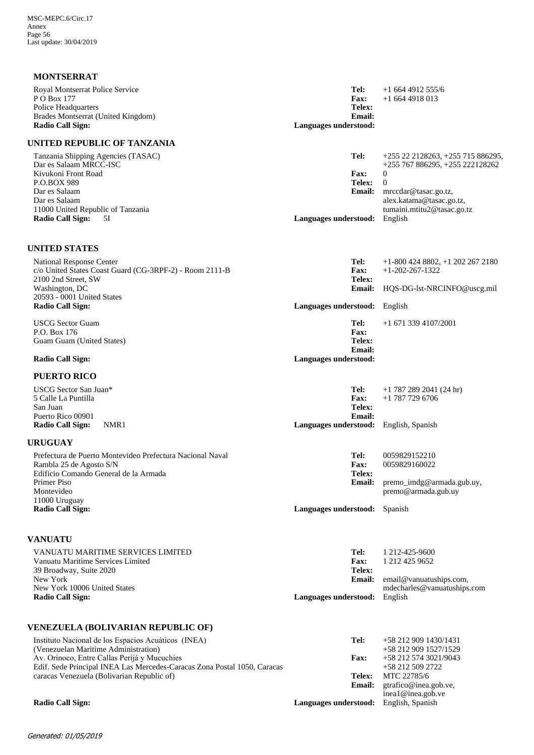| <b>MONTSERRAT</b>                                             |                                        |                                                        |
|---------------------------------------------------------------|----------------------------------------|--------------------------------------------------------|
| Royal Montserrat Police Service<br>P O Box 177                | Tel:<br><b>Fax:</b>                    | $+16644912555/6$<br>$+16644918013$                     |
| Police Headquarters                                           | Telex:                                 |                                                        |
| Brades Montserrat (United Kingdom)<br><b>Radio Call Sign:</b> | Email:<br>Languages understood:        |                                                        |
|                                                               |                                        |                                                        |
| UNITED REPUBLIC OF TANZANIA                                   |                                        |                                                        |
| Tanzania Shipping Agencies (TASAC)                            | Tel:                                   | $+255$ 22 2128263, $+255$ 715 886295,                  |
| Dar es Salaam MRCC-ISC<br>Kivukoni Front Road                 | <b>Fax:</b>                            | +255 767 886295, +255 222128262<br>$\mathbf{0}$        |
| P.O.BOX 989                                                   | <b>Telex:</b>                          | $\mathbf{0}$                                           |
| Dar es Salaam                                                 | <b>Email:</b>                          | mrccdar@tasac.go.tz,                                   |
| Dar es Salaam<br>11000 United Republic of Tanzania            |                                        | alex.katama@tasac.go.tz,<br>tumaini.mtitu2@tasac.go.tz |
| <b>Radio Call Sign:</b><br>5I                                 | Languages understood: English          |                                                        |
| <b>UNITED STATES</b>                                          |                                        |                                                        |
| National Response Center                                      | Tel:                                   | $+1-800$ 424 8802, $+1$ 202 267 2180                   |
| c/o United States Coast Guard (CG-3RPF-2) - Room 2111-B       | <b>Fax:</b>                            | $+1 - 202 - 267 - 1322$                                |
| 2100 2nd Street, SW                                           | Telex:                                 |                                                        |
| Washington, DC<br>20593 - 0001 United States                  | <b>Email:</b>                          | HQS-DG-lst-NRCINFO@uscg.mil                            |
| <b>Radio Call Sign:</b>                                       | Languages understood: English          |                                                        |
| <b>USCG</b> Sector Guam                                       | Tel:                                   | $+1$ 671 339 4107/2001                                 |
| P.O. Box 176                                                  | <b>Fax:</b>                            |                                                        |
| Guam Guam (United States)                                     | Telex:<br><b>Email:</b>                |                                                        |
| <b>Radio Call Sign:</b>                                       | Languages understood:                  |                                                        |
| <b>PUERTO RICO</b>                                            |                                        |                                                        |
| USCG Sector San Juan*                                         | Tel:                                   | $+1$ 787 289 2041 (24 hr)                              |
| 5 Calle La Puntilla                                           | <b>Fax:</b>                            | $+1$ 787 729 6706                                      |
| San Juan<br>Puerto Rico 00901                                 | Telex:<br><b>Email:</b>                |                                                        |
| <b>Radio Call Sign:</b><br>NMR1                               | Languages understood: English, Spanish |                                                        |
| <b>URUGUAY</b>                                                |                                        |                                                        |
| Prefectura de Puerto Montevideo Prefectura Nacional Naval     | Tel:                                   | 0059829152210                                          |
| Rambla 25 de Agosto S/N                                       | Fax:                                   | 0059829160022                                          |
| Edificio Comando General de la Armada                         | <b>Telex:</b>                          |                                                        |
| Primer Piso                                                   | <b>Email:</b>                          | premo_imdg@armada.gub.uy,                              |
| Montevideo<br>11000 Uruguay                                   |                                        | premo@armada.gub.uy                                    |
| <b>Radio Call Sign:</b>                                       | Languages understood: Spanish          |                                                        |
| <b>VANUATU</b>                                                |                                        |                                                        |
| VANUATU MARITIME SERVICES LIMITED                             | Tel:                                   | 1 212-425-9600                                         |
| Vanuatu Maritime Services Limited                             | Fax:                                   | 1 212 425 9652                                         |
| 39 Broadway, Suite 2020<br>New York                           | Telex:<br><b>Email:</b>                | email@vanuatuships.com,                                |
| New York 10006 United States                                  |                                        | mdecharles@vanuatuships.com                            |
| <b>Radio Call Sign:</b>                                       | Languages understood:                  | English                                                |
| <b>VENEZUELA (BOLIVARIAN REPUBLIC OF)</b>                     |                                        |                                                        |
| Instituto Nacional de los Espacios Acuáticos (INEA)           | Tel:                                   | +58 212 909 1430/1431                                  |
| (Venezuelan Maritime Administration)                          |                                        | +58 212 909 1527/1529                                  |
| Av. Orinoco, Entre Callas Perijá y Mucuchies                  | <b>Fax:</b>                            | +58 212 574 3021/9043                                  |

| (Venezuelan Maritime Administration)                                     |             | +58 212 909 1527/152                |
|--------------------------------------------------------------------------|-------------|-------------------------------------|
| Av. Orinoco, Entre Callas Perijá y Mucuchies                             | <b>Fax:</b> | +58 212 574 3021/904                |
| Edif. Sede Principal INEA Las Mercedes-Caracas Zona Postal 1050, Caracas |             | +58 212 509 2722                    |
| caracas Venezuela (Bolivarian Republic of)                               |             | <b>Telex:</b> MTC 22785/6           |
|                                                                          |             | <b>Email:</b> gtrafico@inea.gob.ve. |
|                                                                          |             | inea1@inea.gob.ve                   |

**Radio Call Sign: Languages understood:** English, Spanish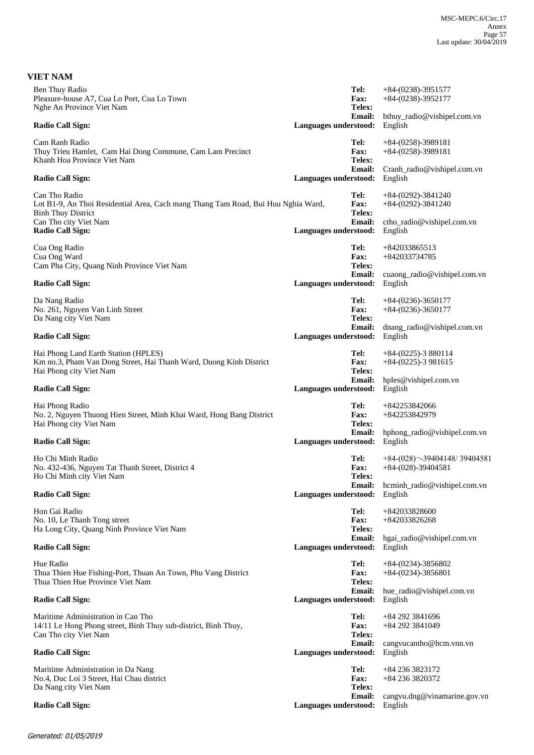| <b>VIET NAM</b>                                                                                                                       |                                        |                                                         |
|---------------------------------------------------------------------------------------------------------------------------------------|----------------------------------------|---------------------------------------------------------|
| Ben Thuy Radio<br>Pleasure-house A7, Cua Lo Port, Cua Lo Town<br>Nghe An Province Viet Nam                                            | Tel:<br>Fax:<br>Telex:                 | $+84-(0238)-3951577$<br>$+84-(0238)-3952177$            |
| <b>Radio Call Sign:</b>                                                                                                               | <b>Email:</b><br>Languages understood: | bthuy_radio@vishipel.com.vn<br>English                  |
| Cam Ranh Radio<br>Thuy Trieu Hamlet, Cam Hai Dong Commune, Cam Lam Precinct<br>Khanh Hoa Province Viet Nam                            | Tel:<br>Fax:<br>Telex:                 | $+84-(0258)-3989181$<br>$+84-(0258)-3989181$            |
| <b>Radio Call Sign:</b>                                                                                                               | Email:<br>Languages understood:        | Cranh_radio@vishipel.com.vn<br>English                  |
| Can Tho Radio<br>Lot B1-9, An Thoi Residential Area, Cach mang Thang Tam Road, Bui Huu Nghia Ward,<br><b>Binh Thuy District</b>       | Tel:<br>Fax:<br>Telex:                 | $+84-(0292)-3841240$<br>$+84-(0292)-3841240$            |
| Can Tho city Viet Nam<br><b>Radio Call Sign:</b>                                                                                      | <b>Email:</b><br>Languages understood: | ctho_radio@vishipel.com.vn<br>English                   |
| Cua Ong Radio<br>Cua Ong Ward<br>Cam Pha City, Quang Ninh Province Viet Nam                                                           | Tel:<br><b>Fax:</b><br>Telex:          | +842033865513<br>+842033734785                          |
| <b>Radio Call Sign:</b>                                                                                                               | <b>Email:</b><br>Languages understood: | cuaong_radio@vishipel.com.vn<br>English                 |
| Da Nang Radio<br>No. 261, Nguyen Van Linh Street<br>Da Nang city Viet Nam                                                             | Tel:<br><b>Fax:</b><br>Telex:          | $+84-(0236)-3650177$<br>$+84-(0236)-3650177$            |
| <b>Radio Call Sign:</b>                                                                                                               | Email:<br>Languages understood:        | dnang_radio@vishipel.com.vn<br>English                  |
| Hai Phong Land Earth Station (HPLES)<br>Km no.3, Pham Van Dong Street, Hai Thanh Ward, Duong Kinh District<br>Hai Phong city Viet Nam | Tel:<br>Fax:<br>Telex:                 | $+84-(0225)-3880114$<br>$+84-(0225)-3981615$            |
| <b>Radio Call Sign:</b>                                                                                                               | <b>Email:</b><br>Languages understood: | hples@vishipel.com.vn<br>English                        |
| Hai Phong Radio<br>No. 2, Nguyen Thuong Hien Street, Minh Khai Ward, Hong Bang District<br>Hai Phong city Viet Nam                    | Tel:<br><b>Fax:</b><br>Telex:          | +842253842066<br>+842253842979                          |
| <b>Radio Call Sign:</b>                                                                                                               | <b>Email:</b><br>Languages understood: | hphong_radio@vishipel.com.vn<br>English                 |
| Ho Chi Minh Radio<br>No. 432-436, Nguyen Tat Thanh Street, District 4<br>Ho Chi Minh city Viet Nam                                    | Tel:<br>Fax:<br>Telex:                 | $+84-(028)$ - 39404148/39404581<br>$+84-(028)-39404581$ |
| Radio Call Sign:                                                                                                                      | <b>Email:</b><br>Languages understood: | hcminh_radio@vishipel.com.vn<br>English                 |
| Hon Gai Radio<br>No. 10, Le Thanh Tong street<br>Ha Long City, Quang Ninh Province Viet Nam                                           | Tel:<br><b>Fax:</b><br>Telex:          | +842033828600<br>+842033826268                          |
| <b>Radio Call Sign:</b>                                                                                                               | <b>Email:</b><br>Languages understood: | hgai_radio@vishipel.com.vn<br>English                   |
| Hue Radio<br>Thua Thien Hue Fishing-Port, Thuan An Town, Phu Vang District<br>Thua Thien Hue Province Viet Nam                        | Tel:<br>Fax:<br>Telex:                 | $+84-(0234)-3856802$<br>$+84-(0234)-3856801$            |
| <b>Radio Call Sign:</b>                                                                                                               | <b>Email:</b><br>Languages understood: | hue_radio@vishipel.com.vn<br>English                    |
| Maritime Administration in Can Tho<br>14/11 Le Hong Phong street, Binh Thuy sub-district, Binh Thuy,<br>Can Tho city Viet Nam         | Tel:<br>Fax:<br>Telex:                 | +84 292 3841696<br>+84 292 3841049                      |
| <b>Radio Call Sign:</b>                                                                                                               | <b>Email:</b><br>Languages understood: | cangvucantho@hcm.vnn.vn<br>English                      |
| Maritime Administration in Da Nang<br>No.4, Duc Loi 3 Street, Hai Chau district<br>Da Nang city Viet Nam                              | Tel:<br>Fax:<br>Telex:                 | +84 236 3823172<br>+84 236 3820372                      |
| <b>Radio Call Sign:</b>                                                                                                               | Email:<br>Languages understood:        | cangvu.dng@vinamarine.gov.vn<br>English                 |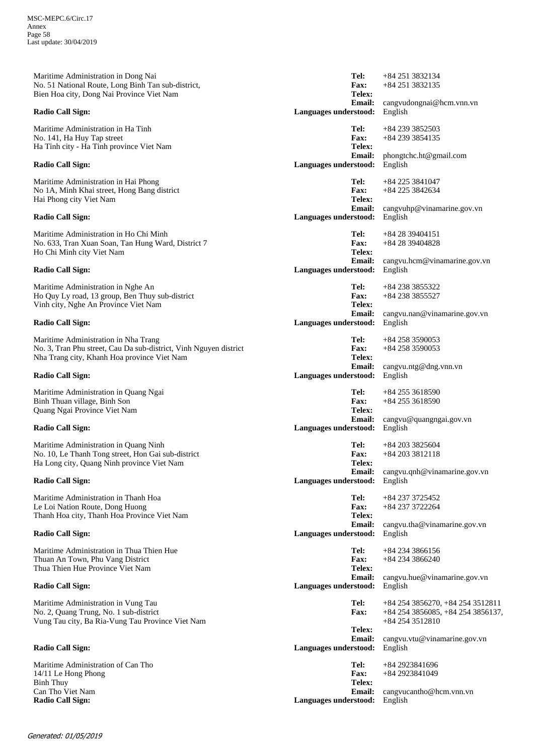Maritime Administration in Dong Nai No. 51 National Route, Long Binh Tan sub-district, Bien Hoa city, Dong Nai Province Viet Nam **Radio Call Sign: Languages understood:** English Maritime Administration in Ha Tinh No. 141, Ha Huy Tap street Ha Tinh city - Ha Tinh province Viet Nam **Radio Call Sign: Languages understood:** English Maritime Administration in Hai Phong No 1A, Minh Khai street, Hong Bang district Hai Phong city Viet Nam **Radio Call Sign: Languages understood:** English Maritime Administration in Ho Chi Minh No. 633, Tran Xuan Soan, Tan Hung Ward, District 7 Ho Chi Minh city Viet Nam **Radio Call Sign: Languages understood:** English Maritime Administration in Nghe An Ho Quy Ly road, 13 group, Ben Thuy sub-district Vinh city, Nghe An Province Viet Nam **Radio Call Sign: Languages understood:** English Maritime Administration in Nha Trang No. 3, Tran Phu street, Cau Da sub-district, Vinh Nguyen district Nha Trang city, Khanh Hoa province Viet Nam **Radio Call Sign: Languages understood:** English Maritime Administration in Quang Ngai Binh Thuan village, Binh Son Quang Ngai Province Viet Nam **Radio Call Sign: Languages understood:** English Maritime Administration in Quang Ninh No. 10, Le Thanh Tong street, Hon Gai sub-district Ha Long city, Quang Ninh province Viet Nam **Radio Call Sign: Languages understood:** English Maritime Administration in Thanh Hoa Le Loi Nation Route, Dong Huong Thanh Hoa city, Thanh Hoa Province Viet Nam **Radio Call Sign: Languages understood:** English Maritime Administration in Thua Thien Hue Thuan An Town, Phu Vang District Thua Thien Hue Province Viet Nam **Radio Call Sign: Languages understood:** English Maritime Administration in Vung Tau No. 2, Quang Trung, No. 1 sub-district Vung Tau city, Ba Ria-Vung Tau Province Viet Nam **Radio Call Sign: Languages understood:** English Maritime Administration of Can Tho 14/11 Le Hong Phong Binh Thuy Can Tho Viet Nam **Radio Call Sign: Languages understood:** English

cangvudongnai@hcm.vnn.vn +84 251 3832135 **Email: Telex: Fax: Tel:** +84 251 3832134 phongtchc.ht@gmail.com +84 239 3854135 **Email: Telex: Fax: Tel:** +84 239 3852503 cangvuhp@vinamarine.gov.vn +84 225 3842634 **Email: Telex: Fax: Tel:** +84 225 3841047 cangvu.hcm@vinamarine.gov.vn +84 28 39404828 **Email: Telex: Fax: Tel:** +84 28 39404151 cangvu.nan@vinamarine.gov.vn +84 238 3855527 **Email: Telex: Fax: Tel:** +84 238 3855322 cangvu.ntg@dng.vnn.vn +84 258 3590053 **Email: Telex: Fax: Tel:** +84 258 3590053 cangvu@quangngai.gov.vn +84 255 3618590 **Email: Telex: Fax: Tel:** +84 255 3618590 cangvu.qnh@vinamarine.gov.vn +84 203 3812118 **Email: Telex: Fax: Tel:** +84 203 3825604 cangvu.tha@vinamarine.gov.vn +84 237 3722264 **Email: Telex: Fax: Tel:** +84 237 3725452 cangvu.hue@vinamarine.gov.vn +84 234 3866240 **Email: Telex: Fax: Tel:** +84 234 3866156 cangvu.vtu@vinamarine.gov.vn +84 254 3856085, +84 254 3856137, +84 254 3512810 **Email: Telex: Fax: Tel:** +84 254 3856270, +84 254 3512811 cangvucantho@hcm.vnn.vn +84 2923841049 **Email: Telex: Fax: Tel:** +84 2923841696

## Generated: 01/05/2019